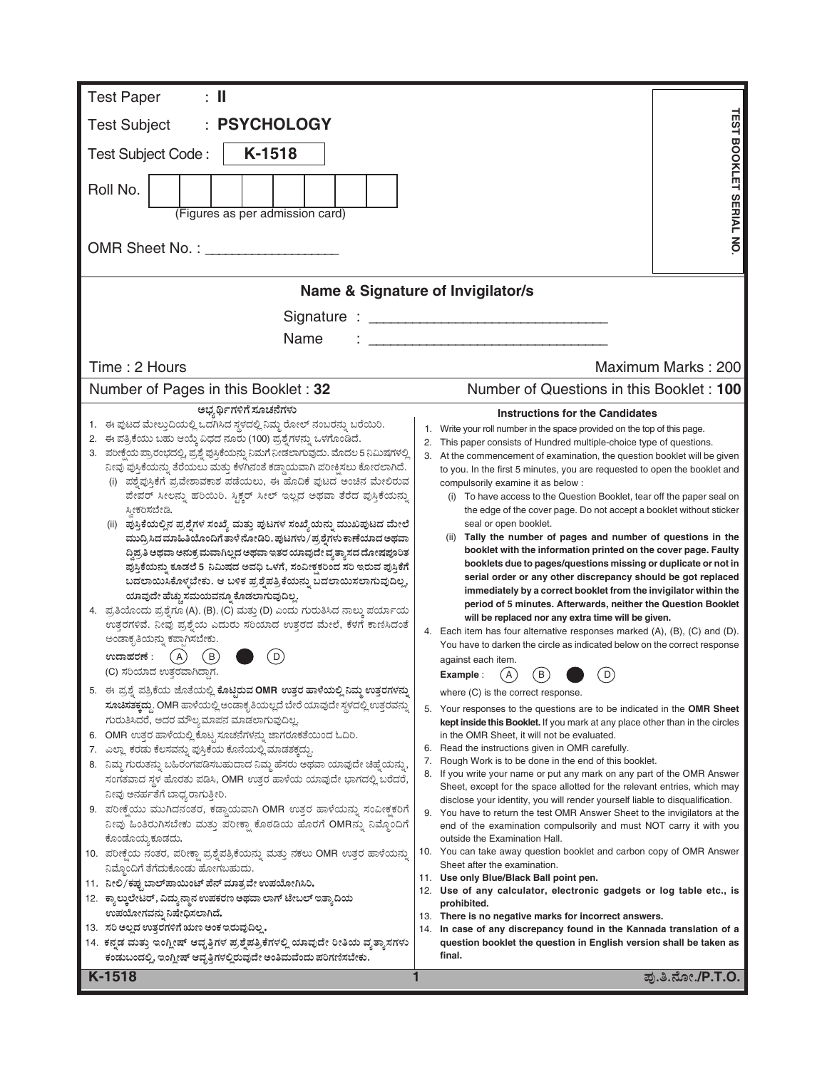| <b>Test Paper</b><br>: II                                                                                                                                                                                     |                                                                                                                                                          |  |  |  |  |  |  |  |
|---------------------------------------------------------------------------------------------------------------------------------------------------------------------------------------------------------------|----------------------------------------------------------------------------------------------------------------------------------------------------------|--|--|--|--|--|--|--|
| : PSYCHOLOGY<br><b>Test Subject</b>                                                                                                                                                                           |                                                                                                                                                          |  |  |  |  |  |  |  |
| K-1518<br>Test Subject Code:                                                                                                                                                                                  |                                                                                                                                                          |  |  |  |  |  |  |  |
|                                                                                                                                                                                                               | <b>TEST BOOKLET SERIAL NO</b>                                                                                                                            |  |  |  |  |  |  |  |
| Roll No.                                                                                                                                                                                                      |                                                                                                                                                          |  |  |  |  |  |  |  |
| (Figures as per admission card)                                                                                                                                                                               |                                                                                                                                                          |  |  |  |  |  |  |  |
|                                                                                                                                                                                                               |                                                                                                                                                          |  |  |  |  |  |  |  |
|                                                                                                                                                                                                               |                                                                                                                                                          |  |  |  |  |  |  |  |
|                                                                                                                                                                                                               | Name & Signature of Invigilator/s                                                                                                                        |  |  |  |  |  |  |  |
|                                                                                                                                                                                                               |                                                                                                                                                          |  |  |  |  |  |  |  |
| Name                                                                                                                                                                                                          |                                                                                                                                                          |  |  |  |  |  |  |  |
| Time: 2 Hours                                                                                                                                                                                                 | Maximum Marks: 200                                                                                                                                       |  |  |  |  |  |  |  |
| Number of Pages in this Booklet: 32                                                                                                                                                                           | Number of Questions in this Booklet: 100                                                                                                                 |  |  |  |  |  |  |  |
| ಅಭ್ಯರ್ಥಿಗಳಿಗೆ ಸೂಚನೆಗಳು                                                                                                                                                                                        | <b>Instructions for the Candidates</b>                                                                                                                   |  |  |  |  |  |  |  |
| 1. ಈ ಪುಟದ ಮೇಲ್ತುದಿಯಲ್ಲಿ ಒದಗಿಸಿದ ಸ್ಥಳದಲ್ಲಿ ನಿಮ್ಮ ರೋಲ್ ನಂಬರನ್ನು ಬರೆಯಿರಿ.                                                                                                                                        | Write your roll number in the space provided on the top of this page.<br>1.                                                                              |  |  |  |  |  |  |  |
| 2. ಈ ಪತ್ರಿಕೆಯು ಬಹು ಆಯ್ಕೆ ವಿಧದ ನೂರು (100) ಪ್ರಶ್ನೆಗಳನ್ನು ಒಳಗೊಂಡಿದೆ.<br>3. ಪರೀಕ್ಷೆಯ ಪ್ರಾರಂಭದಲ್ಲಿ, ಪ್ರಶ್ನೆ ಪುಸ್ತಿಕೆಯನ್ನು ನಿಮಗೆ ನೀಡಲಾಗುವುದು. ಮೊದಲ 5 ನಿಮಿಷಗಳಲ್ಲಿ                                                    | 2.<br>This paper consists of Hundred multiple-choice type of questions.                                                                                  |  |  |  |  |  |  |  |
| ನೀವು ಪುಸ್ತಿಕೆಯನ್ನು ತೆರೆಯಲು ಮತ್ತು ಕೆಳಗಿನಂತೆ ಕಡ್ಡಾಯವಾಗಿ ಪರೀಕ್ಷಿಸಲು ಕೋರಲಾಗಿದೆ.                                                                                                                                   | 3. At the commencement of examination, the question booklet will be given<br>to you. In the first 5 minutes, you are requested to open the booklet and   |  |  |  |  |  |  |  |
| ಪಶ್ನೆಪುಸ್ತಿಕೆಗೆ ಪ್ರವೇಶಾವಕಾಶ ಪಡೆಯಲು, ಈ ಹೊದಿಕೆ ಪುಟದ ಅಂಚಿನ ಮೇಲಿರುವ                                                                                                                                               | compulsorily examine it as below :                                                                                                                       |  |  |  |  |  |  |  |
| ಪೇಪರ್ ಸೀಲನ್ನು ಹರಿಯಿರಿ. ಸ್ಟಿಕ್ಕರ್ ಸೀಲ್ ಇಲ್ಲದ ಅಥವಾ ತೆರೆದ ಪುಸ್ತಿಕೆಯನ್ನು                                                                                                                                          | (i) To have access to the Question Booklet, tear off the paper seal on                                                                                   |  |  |  |  |  |  |  |
| ಸ್ತೀಕರಿಸಬೇಡಿ.<br>(ii) ಪುಸ್ತಿಕೆಯಲ್ಲಿನ ಪ್ರಶ್ನೆಗಳ ಸಂಖ್ಯೆ ಮತ್ತು ಪುಟಗಳ ಸಂಖ್ಯೆಯನ್ನು ಮುಖಪುಟದ ಮೇಲೆ                                                                                                                    | the edge of the cover page. Do not accept a booklet without sticker<br>seal or open booklet.                                                             |  |  |  |  |  |  |  |
| ಮುದ್ರಿಸಿದ ಮಾಹಿತಿಯೊಂದಿಗೆ ತಾಳೆ ನೋಡಿರಿ. ಪುಟಗಳು / ಪ್ರಶ್ನೆಗಳು ಕಾಣೆಯಾದ ಅಥವಾ                                                                                                                                         | (ii) Tally the number of pages and number of questions in the                                                                                            |  |  |  |  |  |  |  |
| ದ್ಧಿಪ್ರತಿ ಅಥವಾ ಅನುಕ್ರಮವಾಗಿಲ್ಲದ ಅಥವಾ ಇತರ ಯಾವುದೇ ವ್ಯತ್ಯಾಸದ ದೋಷಪೂರಿತ                                                                                                                                             | booklet with the information printed on the cover page. Faulty<br>booklets due to pages/questions missing or duplicate or not in                         |  |  |  |  |  |  |  |
| ಪುಸ್ತಿಕೆಯನ್ನು ಕೂಡಲೆ 5 ನಿಮಿಷದ ಅವಧಿ ಒಳಗೆ, ಸಂವೀಕ್ಷಕರಿಂದ ಸರಿ ಇರುವ ಪುಸ್ತಿಕೆಗೆ<br>serial order or any other discrepancy should be got replaced<br>ಬದಲಾಯಿಸಿಕೊಳ್ಳಬೇಕು. ಆ ಬಳಿಕ ಪ್ರಶ್ನೆಪತ್ರಿಕೆಯನ್ನು ಬದಲಾಯಿಸಲಾಗುವುದಿಲ್ಲ, |                                                                                                                                                          |  |  |  |  |  |  |  |
| ಯಾವುದೇ ಹೆಚ್ಚು ಸಮಯವನ್ನೂ ಕೊಡಲಾಗುವುದಿಲ್ಲ.                                                                                                                                                                        | immediately by a correct booklet from the invigilator within the                                                                                         |  |  |  |  |  |  |  |
| 4. ಪ್ರತಿಯೊಂದು ಪ್ರಶ್ನೆಗೂ (A), (B), (C) ಮತ್ತು (D) ಎಂದು ಗುರುತಿಸಿದ ನಾಲ್ಕು ಪರ್ಯಾಯ                                                                                                                                  | period of 5 minutes. Afterwards, neither the Question Booklet<br>will be replaced nor any extra time will be given.                                      |  |  |  |  |  |  |  |
| ಉತ್ತರಗಳಿವೆ. ನೀವು ಪ್ರಶ್ನೆಯ ಎದುರು ಸರಿಯಾದ ಉತ್ತರದ ಮೇಲೆ, ಕೆಳಗೆ ಕಾಣಿಸಿದಂತೆ                                                                                                                                          | 4. Each item has four alternative responses marked (A), (B), (C) and (D).                                                                                |  |  |  |  |  |  |  |
| ಅಂಡಾಕೃತಿಯನ್ನು ಕಪ್ಪಾಗಿಸಬೇಕು.<br>ಉದಾಹರಣೆ :<br>D                                                                                                                                                                 | You have to darken the circle as indicated below on the correct response                                                                                 |  |  |  |  |  |  |  |
| (A)<br>(C) ಸರಿಯಾದ ಉತ್ತರವಾಗಿದ್ದಾಗ.                                                                                                                                                                             | against each item.<br>$\left( \mathsf{B}\right)$                                                                                                         |  |  |  |  |  |  |  |
| 5.   ಈ ಪ್ರಶ್ನೆ ಪತ್ರಿಕೆಯ ಜೊತೆಯಲ್ಲಿ ಕೊಟ್ಟಿರುವ OMR ಉತ್ತರ ಹಾಳೆಯಲ್ಲಿ ನಿಮ್ಮ ಉತ್ತರಗಳನ್ನು                                                                                                                             | (A)<br>D<br>Example :<br>where (C) is the correct response.                                                                                              |  |  |  |  |  |  |  |
| ಸೂಚಿಸತಕ್ಕದ್ದು. OMR ಹಾಳೆಯಲ್ಲಿ ಅಂಡಾಕೃತಿಯಲ್ಲದೆ ಬೇರೆ ಯಾವುದೇ ಸ್ಥಳದಲ್ಲಿ ಉತ್ತರವನ್ನು                                                                                                                                  | 5. Your responses to the questions are to be indicated in the OMR Sheet                                                                                  |  |  |  |  |  |  |  |
| ಗುರುತಿಸಿದರೆ, ಅದರ ಮೌಲ್ಯಮಾಪನ ಮಾಡಲಾಗುವುದಿಲ್ಲ.                                                                                                                                                                    | kept inside this Booklet. If you mark at any place other than in the circles                                                                             |  |  |  |  |  |  |  |
| 6. OMR ಉತ್ತರ ಹಾಳೆಯಲ್ಲಿ ಕೊಟ್ಟ ಸೂಚನೆಗಳನ್ನು ಜಾಗರೂಕತೆಯಿಂದ ಓದಿರಿ.                                                                                                                                                  | in the OMR Sheet, it will not be evaluated.<br>6. Read the instructions given in OMR carefully.                                                          |  |  |  |  |  |  |  |
| 7. ಎಲ್ಲಾ ಕರಡು ಕೆಲಸವನ್ನು ಪುಸ್ತಿಕೆಯ ಕೊನೆಯಲ್ಲಿ ಮಾಡತಕ್ಕದ್ದು<br>8. ನಿಮ್ಮ ಗುರುತನ್ನು ಬಹಿರಂಗಪಡಿಸಬಹುದಾದ ನಿಮ್ಮ ಹೆಸರು ಅಥವಾ ಯಾವುದೇ ಚಿಹ್ನೆಯನ್ನು,                                                                           | Rough Work is to be done in the end of this booklet.<br>7.                                                                                               |  |  |  |  |  |  |  |
| ಸಂಗತವಾದ ಸ್ಥಳ ಹೊರತು ಪಡಿಸಿ, OMR ಉತ್ತರ ಹಾಳೆಯ ಯಾವುದೇ ಭಾಗದಲ್ಲಿ ಬರೆದರೆ,                                                                                                                                             | If you write your name or put any mark on any part of the OMR Answer<br>8.                                                                               |  |  |  |  |  |  |  |
| ನೀವು ಅನರ್ಹತೆಗೆ ಬಾಧ್ಯರಾಗುತ್ತೀರಿ.                                                                                                                                                                               | Sheet, except for the space allotted for the relevant entries, which may<br>disclose your identity, you will render yourself liable to disqualification. |  |  |  |  |  |  |  |
| 9. ಪರೀಕ್ಷೆಯು ಮುಗಿದನಂತರ, ಕಡ್ಡಾಯವಾಗಿ OMR ಉತ್ತರ ಹಾಳೆಯನ್ನು ಸಂವೀಕ್ಷಕರಿಗೆ                                                                                                                                           | 9. You have to return the test OMR Answer Sheet to the invigilators at the                                                                               |  |  |  |  |  |  |  |
| ನೀವು ಹಿಂತಿರುಗಿಸಬೇಕು ಮತ್ತು ಪರೀಕ್ಷಾ ಕೊಠಡಿಯ ಹೊರಗೆ OMRನ್ನು ನಿಮ್ಮೊಂದಿಗೆ<br>ಕೊಂಡೊಯ್ನ ಕೂಡದು.                                                                                                                         | end of the examination compulsorily and must NOT carry it with you<br>outside the Examination Hall.                                                      |  |  |  |  |  |  |  |
| 10. ಪರೀಕ್ಷೆಯ ನಂತರ, ಪರೀಕ್ಷಾ ಪ್ರಶ್ನೆಪತ್ರಿಕೆಯನ್ನು ಮತ್ತು ನಕಲು OMR ಉತ್ತರ ಹಾಳೆಯನ್ನು                                                                                                                                 | 10. You can take away question booklet and carbon copy of OMR Answer                                                                                     |  |  |  |  |  |  |  |
| ನಿಮ್ಗೊಂದಿಗೆ ತೆಗೆದುಕೊಂಡು ಹೋಗಬಹುದು.                                                                                                                                                                             | Sheet after the examination.                                                                                                                             |  |  |  |  |  |  |  |
| 11.   ನೀಲಿ/ಕಪ್ಪು ಬಾಲ್ಪಾಯಿಂಟ್ ಪೆನ್ ಮಾತ್ರವೇ ಉಪಯೋಗಿಸಿರಿ.                                                                                                                                                         | 11. Use only Blue/Black Ball point pen.<br>12. Use of any calculator, electronic gadgets or log table etc., is                                           |  |  |  |  |  |  |  |
| 12. ಕ್ಯಾಲ್ಕುಲೇಟರ್, ವಿದ್ಯುನ್ಮಾನ ಉಪಕರಣ ಅಥವಾ ಲಾಗ್ ಟೇಬಲ್ ಇತ್ಯಾದಿಯ<br>ಉಪಯೋಗವನ್ನು ನಿಷೇಧಿಸಲಾಗಿದೆ.                                                                                                                    | prohibited.                                                                                                                                              |  |  |  |  |  |  |  |
| 13. ಸರಿ ಅಲ್ಲದ ಉತ್ತರಗಳಿಗೆ ಋಣ ಅಂಕ ಇರುವುದಿಲ್ಲ.                                                                                                                                                                   | 13. There is no negative marks for incorrect answers.<br>In case of any discrepancy found in the Kannada translation of a<br>14.                         |  |  |  |  |  |  |  |
| 14. ಕನ್ನಡ ಮತ್ತು ಇಂಗ್ಲೀಷ್ ಆವೃತ್ತಿಗಳ ಪ್ರಶ್ನೆಪತ್ರಿಕೆಗಳಲ್ಲಿ ಯಾವುದೇ ರೀತಿಯ ವ್ಯತ್ಯಾಸಗಳು                                                                                                                              | question booklet the question in English version shall be taken as                                                                                       |  |  |  |  |  |  |  |
| ಕಂಡುಬಂದಲ್ಲಿ, ಇಂಗ್ಲೀಷ್ ಆವೃತ್ತಿಗಳಲ್ಲಿರುವುದೇ ಅಂತಿಮವೆಂದು ಪರಿಗಣಿಸಬೇಕು.                                                                                                                                             | final.                                                                                                                                                   |  |  |  |  |  |  |  |
| K-1518                                                                                                                                                                                                        | ಪು.ತಿ.ನೋ./P.T.O.                                                                                                                                         |  |  |  |  |  |  |  |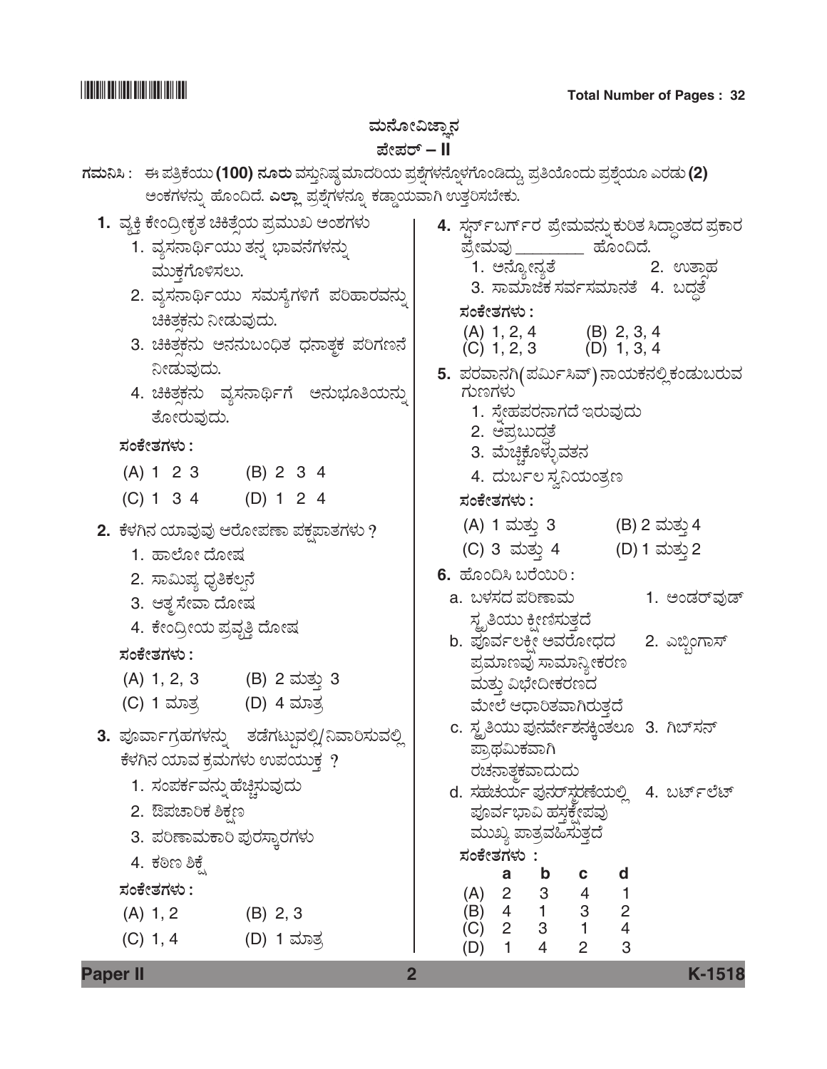# ಮನೋವಿಜ್ಞಾನ

### *±æà±ÜÃ…* **– II**

| ಗಮನಿಸಿ :    ಈ ಪತ್ರಿಕೆಯು (100) ನೂರು ವಸ್ತುನಿಷ್ಠ ಮಾದರಿಯ ಪ್ರಶ್ನೆಗಳನ್ನೊಳಗೊಂಡಿದ್ದು, ಪ್ರತಿಯೊಂದು ಪ್ರಶ್ನೆಯೂ ಎರಡು (2)                                                                                                    |                                                                                                                                                                                       |
|----------------------------------------------------------------------------------------------------------------------------------------------------------------------------------------------------------------|---------------------------------------------------------------------------------------------------------------------------------------------------------------------------------------|
| ಅಂಕಗಳನ್ನು ಹೊಂದಿದೆ. ಎಲ್ಲಾ ಪ್ರಶ್ನೆಗಳನ್ನೂ ಕಡ್ಡಾಯವಾಗಿ ಉತ್ತರಿಸಬೇಕು.                                                                                                                                                 |                                                                                                                                                                                       |
| 1. ವ್ಯಕ್ತಿ ಕೇಂದ್ರೀಕೃತ ಚಿಕಿತ್ಸೆಯ ಪ್ರಮುಖ ಅಂಶಗಳು<br>1. ವ್ಯಸನಾರ್ಥಿಯು ತನ್ನ ಭಾವನೆಗಳನ್ನು<br>ಮುಕ್ತಗೊಳಿಸಲು.<br>2. ವ್ಯಸನಾರ್ಥಿಯು ಸಮಸ್ಯೆಗಳಿಗೆ ಪರಿಹಾರವನ್ನು<br>ಚಿಕಿತಕನು ನೀಡುವುದು.<br>3. ಚಿಕಿತ್ತಕನು ಅನನುಬಂಧಿತ ಧನಾತ್ಮಕ ಪರಿಗಣನೆ | 4. ಸ್ಪರ್ನ್ಐರ್ಗ್ ಪ್ರೇಮವನ್ನು ಕುರಿತ ಸಿದ್ಧಾಂತದ ಪ್ರಕಾರ<br>1. ಅನ್ತೋನ್ತತೆ<br>2. ಉತಾಹ<br>3. ಸಾಮಾಜಿಕ ಸರ್ವಸಮಾನತೆ  4. ಬದ್ಧತೆ<br>ಸಂಕೇತಗಳು :<br>(A) 1, 2, 4 (B) 2, 3, 4<br>(C) 1, 2, 3 (D) 1, 3, 4 |
| ನೀಡುವುದು.<br>4. ಚಿಕಿತ್ತಕನು  ವ್ಯಸನಾರ್ಥಿಗೆ  ಅನುಭೂತಿಯನ್ನು<br>ತೋರುವುದು.                                                                                                                                            | 5. ಪರವಾನಗಿ(ಪರ್ಮಿಸಿವ್)ನಾಯಕನಲ್ಲಿಕಂಡುಬರುವ<br>ಗುಣಗಳು<br>1. ಸೇಹಪರನಾಗದೆ ಇರುವುದು<br>2. ಅಪ್ರಬುದ್ಧತೆ                                                                                           |
| ಸಂಕೇತಗಳು :                                                                                                                                                                                                     | 3. ಮೆಚ್ಚಿಕೊಳ್ಳುವತನ                                                                                                                                                                    |
| (A) 1 2 3 (B) 2 3 4                                                                                                                                                                                            | 4. ದುರ್ಬಲ ಸ್ವನಿಯಂತ್ರಣ                                                                                                                                                                 |
| (C) 1 3 4 (D) 1 2 4                                                                                                                                                                                            | ಸಂಕೇತಗಳು :                                                                                                                                                                            |
| 2.  ಕೆಳಗಿನ ಯಾವುವು ಆರೋಪಣಾ ಪಕ್ಷಪಾತಗಳು ?<br>1. ಹಾಲೋ ದೋಷ                                                                                                                                                           | (A) 1 ಮತ್ತು 3 (B) 2 ಮತ್ತು 4<br>(C) 3 ಮತ್ತು 4<br>(D) 1 ಮತ್ತು 2<br><b>6.</b> ಹೊಂದಿಸಿ ಬರೆಯಿರಿ:                                                                                           |
| 2. ಸಾಮಿಪ್ಯ ಧೃತಿಕಲ್ಪನೆ                                                                                                                                                                                          | a. ಬಳಸದ ಪರಿಣಾಮ<br>1. ಅಂಡರ್ ವುಡ್                                                                                                                                                       |
| 3. ಆತ್ಮಸೇವಾ ದೋಷ<br>4. ಕೇಂದ್ರೀಯ ಪ್ರವೃತ್ತಿ ದೋಷ<br>ಸಂಕೇತಗಳು :                                                                                                                                                     | ಸ್ಥೃತಿಯು ಕ್ಷೀಣಿಸುತ್ತದೆ<br>b. ಪೂರ್ವಲಕ್ಷೀ ಅವರೋಧದ<br>2. ಎಬ್ಳಿಂಗಾಸ್<br>ಪ್ರಮಾಣವು ಸಾಮಾನ್ಯೀಕರಣ                                                                                               |
| (A) 1, 2, 3 (B) 2 ಮತ್ತು 3                                                                                                                                                                                      | ಮತ್ತು ವಿಭೇದೀಕರಣದ                                                                                                                                                                      |
| (C) 1 ಮಾತ್ರ         (D) 4 ಮಾತ್ರ                                                                                                                                                                                | ಮೇಲೆ ಆಧಾರಿತವಾಗಿರುತ್ತದೆ                                                                                                                                                                |
| 3. ಪೂರ್ವಾಗ್ರಹಗಳನ್ನು  ತಡೆಗಟ್ಟುವಲ್ಲಿ/ನಿವಾರಿಸುವಲ್ಲಿ<br>ಕೆಳಗಿನ ಯಾವ ಕ್ರಮಗಳು ಉಪಯುಕ್ತ ?                                                                                                                               | c. ಸ್ಥೃತಿಯು ಪುನರ್ವೇಶನಕ್ತಿಂತಲೂ 3. ಗಿಬ್ಸನ್<br>ಪ್ರಾಥಮಿಕವಾಗಿ<br>ರಚನಾತ್ಮಕವಾದುದು                                                                                                            |
| 1. ಸಂಪರ್ಕವನ್ನು ಹೆಚ್ಚಿಸುವುದು                                                                                                                                                                                    | d. ಸಹಚರ್ಯ ಪುನರ್ಸ್ತರಣೆಯಲ್ಲಿ   4. ಬರ್ಟ್ಲೆಟ್                                                                                                                                             |
| 2. ಔಪಚಾರಿಕ ಶಿಕ್ಷಣ                                                                                                                                                                                              | ಪೂರ್ವಭಾವಿ ಹಸ್ತಕ್ಷೇಪವು                                                                                                                                                                 |
| 3.  ಪರಿಣಾಮಕಾರಿ ಪುರಸ್ತಾರಗಳು                                                                                                                                                                                     | ಮುಖ್ಯ ಪಾತ್ರವಹಿಸುತ್ತದೆ<br>ಸಂಕೇತಗಳು :                                                                                                                                                   |
| 4. ಕಠಿಣ ಶಿಕ್ಷ್ಮೆ                                                                                                                                                                                               | $\mathbf b$<br>d<br>a<br>C                                                                                                                                                            |
| ಸಂಕೇತಗಳು :                                                                                                                                                                                                     |                                                                                                                                                                                       |
| $(A)$ 1, 2<br>$(B)$ 2, 3                                                                                                                                                                                       | (A) 2 3 4 1<br>(B) 4 1 3 2<br>(C) 2 3 1 4                                                                                                                                             |
| $(C)$ 1, 4<br>(D) 1 ಮಾತ್ರ                                                                                                                                                                                      | $(D)$ 1<br>$2^{\circ}$<br>$\overline{4}$<br>3                                                                                                                                         |

**Paper II 2 K-1518**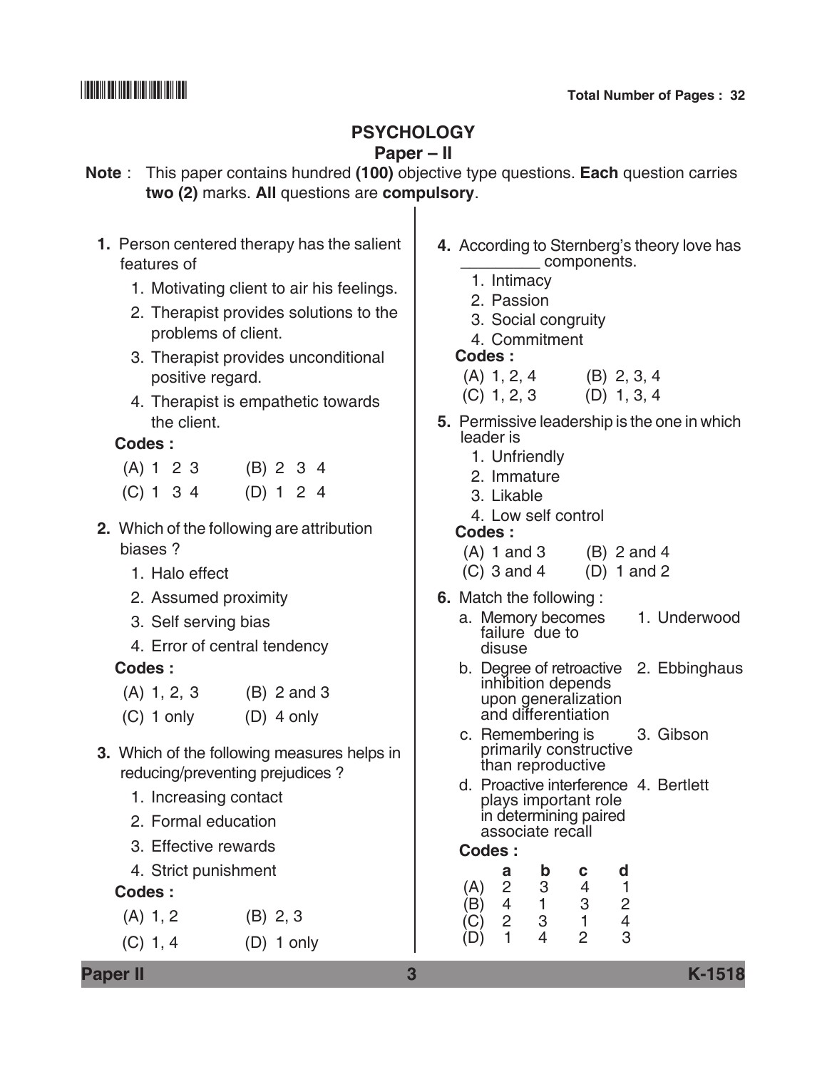### **Psychology**

### **Paper – II**

 **Note** : This paper contains hundred **(100)** objective type questions. **Each** question carries **two (2)** marks. **All** questions are **compulsory**.

- **1.** Person centered therapy has the salient features of
	- 1. Motivating client to air his feelings.
	- 2. Therapist provides solutions to the problems of client.
	- 3. Therapist provides unconditional positive regard.
	- 4. Therapist is empathetic towards the client.

#### **Codes :**

- (A) 1 2 3 (B) 2 3 4
- (C) 1 3 4 (D) 1 2 4
- **2.** Which of the following are attribution biases ?
	- 1. Halo effect
	- 2. Assumed proximity
	- 3. Self serving bias
	- 4. Error of central tendency

### **Codes :**

- (A) 1, 2, 3 (B) 2 and 3
- $(C)$  1 only  $(D)$  4 only
- **3.** Which of the following measures helps in reducing/preventing prejudices ?
	- 1. Increasing contact
	- 2. Formal education
	- 3. Effective rewards
	- 4. Strict punishment

### **Codes :**

- $(A)$  1, 2  $(B)$  2, 3
- (C) 1, 4 (D) 1 only
- **4.** According to Sternberg's theory love has \_\_\_\_\_\_\_\_\_ components.
	- 1. Intimacy
	- 2. Passion
	- 3. Social congruity
	- 4. Commitment

### **Codes :**

- (A) 1, 2, 4 (B) 2, 3, 4 (C) 1, 2, 3 (D) 1, 3, 4
- **5.** Permissive leadership is the one in which leader is
	- 1. Unfriendly
	- 2. Immature
	- 3. Likable
	- 4. Low self control

#### **Codes :**

- $(A)$  1 and 3 (B) 2 and 4
- (C) 3 and 4 (D) 1 and 2
- **6.** Match the following :
	- a. Memory becomes 1. Underwood<br>failure due to<br>disuse
	- b. Degree of retroactive 2. Ebbinghaus<br>inhibition depends<br>upon generalization<br>and differentiation
	- c. Remembering is 3. Gibson<br>primarily constructive<br>than reproductive
	- d. Proactive interference 4. Bertlett plays important role in determining paired associate recall

### **Codes :**

|     | a              | b | с | d |
|-----|----------------|---|---|---|
| (A) | 2              | 3 | 4 | 1 |
| (B) | 4              | 1 | 3 | 2 |
| (C) | $\overline{c}$ | 3 | 1 | 4 |
| (D) |                | 4 | 2 | 3 |

**Paper II 3 K-1518**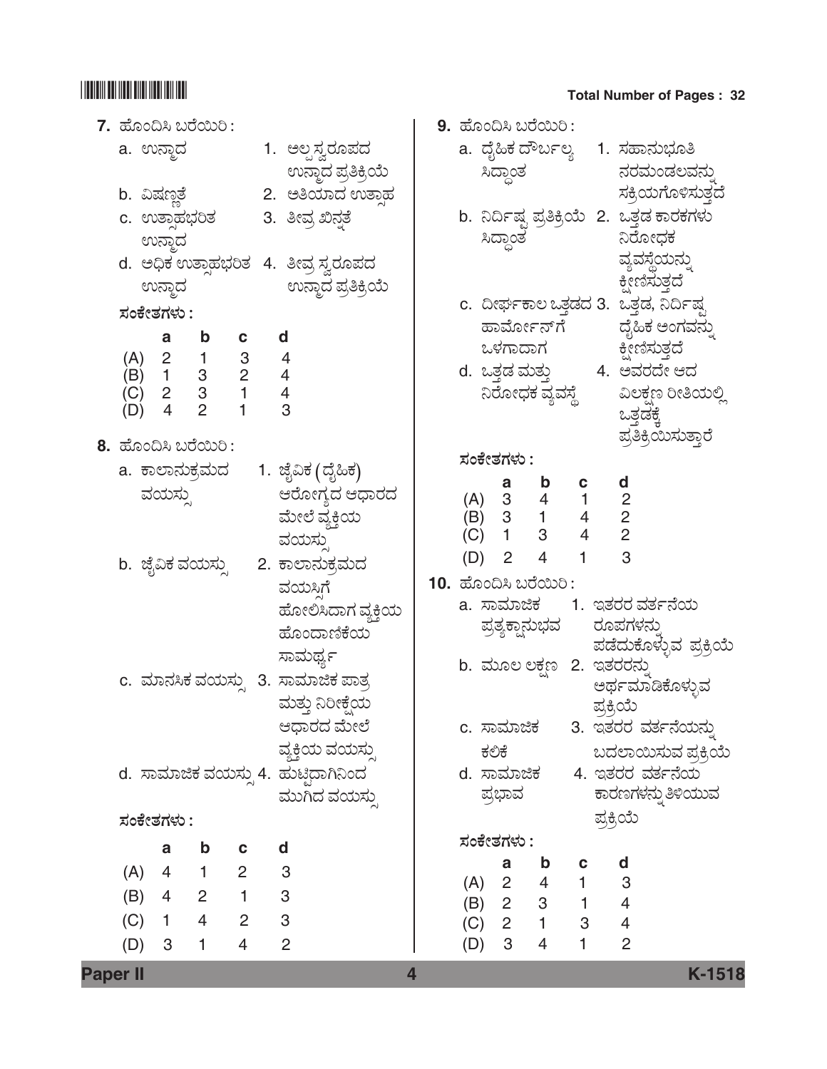| 7. ಹೊಂದಿಸಿ ಬರೆಯಿರಿ :                                     |                |                                  | 9. ಹೊಂದಿಸಿ ಬರೆಯಿರಿ:                                               |
|----------------------------------------------------------|----------------|----------------------------------|-------------------------------------------------------------------|
| a. ಉನ್ನಾದ                                                |                | 1. ಅಲ್ಪಸ್ವರೂಪದ                   | a. ದೈಹಿಕ ದೌರ್ಬಲ್ಯ    1.  ಸಹಾನುಭೂತಿ                                |
|                                                          |                | ಉನ್ಥಾದ ಪ್ರತಿಕ್ರಿಯೆ               | ನರಮಂಡಲವನು<br>ಸಿದ್ಧಾಂತ                                             |
| b. ವಿಷಣ್ಣತೆ                                              |                | 2. ಅತಿಯಾದ ಉತಾಹ                   | ಸಕ್ರಿಯಗೊಳಿಸುತ್ತದೆ                                                 |
| c. ಉತಾಹಭರಿತ                                              |                | 3. ತೀವ್ರ ಖಿನ್ನತೆ                 | b. ನಿರ್ದಿಷ್ಟ ಪ್ರತಿಕ್ರಿಯೆ  2. ಒತ್ತಡ ಕಾರಕಗಳು                        |
| ಉನ್ತಾದ                                                   |                |                                  | ನಿರೋಧಕ<br>ಸಿದ್ಧಾಂತ                                                |
| d. ಅಧಿಕ ಉತ್ತಾಹಭರಿತ 4. ತೀವ್ರ ಸ್ವರೂಪದ                      |                |                                  | ವ್ಯವಸ್ಥೆಯನ್ನು                                                     |
| ಉನ್ಜಾದ                                                   |                | ಉನ್ಥಾದ ಪ್ರತಿಕ್ರಿಯೆ               | ಕೀಣಿಸುತ್ತದೆ                                                       |
| ಸಂಕೇತಗಳು :                                               |                |                                  | c. ದೀರ್ಘಕಾಲ ಒತ್ತಡದ 3. ಒತ್ತಡ, ನಿರ್ದಿಷ್ಟ                            |
| b<br>а                                                   | C              | d                                | ಹಾರ್ಮೋನ್ಗ್ ದೈಹಿಕ ಅಂಗವನ್ನು<br>ಕ್ಷೀಣಿಸುತ್ತದೆ<br>ಒಳಗಾದಾಗ             |
| (A) 2 1 3 4<br>(B) 1 3 2 4<br>(C) 2 3 1 4<br>(D) 4 2 1 3 |                |                                  | d. ಒತ್ತಡ ಮತ್ತು 4. ಅವರದೇ ಆದ                                        |
|                                                          |                |                                  | ನಿರೋಧಕ ವ್ಯವಸ್ಥೆ<br>ವಿಲಕ್ಷಣ ರೀತಿಯಲ್ಲಿ                              |
| (D)                                                      |                |                                  | ಒತಡಕೆ,                                                            |
|                                                          |                |                                  | ಪ್ರತಿಕ್ರಿಯಿಸುತ್ತಾರೆ                                               |
| 8. ಹೊಂದಿಸಿ ಬರೆಯಿರಿ:                                      |                |                                  | ಸಂಕೇತಗಳು :                                                        |
| a. ಕಾಲಾನುಕ್ರಮದ                                           |                | 1. ಜೈವಿಕ (ದೈಹಿಕ)                 | d<br>a                                                            |
| ವಯಸು                                                     |                | ಆರೋಗ್ಯದ ಆಧಾರದ                    | (A) $3$ $4$ $1$ $2$<br>(B) $3$ $1$ $4$ $2$<br>(C) $1$ $3$ $4$ $2$ |
|                                                          |                | ಮೇಲೆ ವ್ಯಕ್ತಿಯ                    | $(B)$ 3 1<br>(C) 1 3                                              |
|                                                          |                | ವಯಸು                             | 3<br>$\overline{4}$<br>$\overline{2}$<br>1<br>(D)                 |
| b.  ಜೈವಿಕ ವಯಸ್ಸು                                         |                | 2. ಕಾಲಾನುಕ್ರಮದ                   | 10. ಹೊಂದಿಸಿ ಬರೆಯಿರಿ:                                              |
|                                                          |                | ವಯಸಿಗೆ                           | 1. ಇತರರ ವರ್ತನೆಯ<br>a. ಸಾಮಾಜಿಕ                                     |
|                                                          |                | ಹೋಲಿಸಿದಾಗ ವ್ಯಕ್ತಿಯ<br>ಹೊಂದಾಣಿಕೆಯ | ರೂಪಗಳನ್ನು<br>ಪ್ರತ್ಯಕ್ಷಾನುಭವ                                       |
|                                                          |                |                                  | ಪಡೆದುಕೊಳ್ಳುವ ಪ್ರಕ್ರಿಯೆ                                            |
|                                                          |                | ಸಾಮರ್ಥ್ಯ                         | b. ಮೂಲ ಲಕ್ಷಣ  2. ಇತರರನ್ನು                                         |
| c. ಮಾನಸಿಕ ವಯಸ್ಸು 3. ಸಾಮಾಜಿಕ ಪಾತ್ರ                        |                |                                  | ಅರ್ಥಮಾಡಿಕೊಳ್ಳುವ                                                   |
|                                                          |                | ಮತ್ತು ನಿರೀಕ್ಷೆಯ<br>ಆಧಾರದ ಮೇಲೆ    | ಪ್ರಕ್ರಿಯೆ                                                         |
|                                                          |                |                                  | c. ಸಾಮಾಜಿಕ<br>3. ಇತರರ ವರ್ತನೆಯನ್ನು                                 |
|                                                          |                | ವ್ಯಕ್ತಿಯ ವಯಸ್ಸು                  | ಕಲಿಕೆ<br>ಬದಲಾಯಿಸುವ ಪ್ರಕ್ರಿಯೆ<br>4. ಇತರರ ವರ್ತನೆಯ<br>d. ಸಾಮಾಜಿಕ     |
| d. ಸಾಮಾಜಿಕ ವಯಸ್ಸು 4. ಹುಟ್ಟಿದಾಗಿನಿಂದ                      |                | ಮುಗಿದ ವಯಸ್ಸು                     | ಕಾರಣಗಳನ್ನು ತಿಳಿಯುವ<br>ಪ್ರಭಾವ                                      |
| ಸಂಕೇತಗಳು :                                               |                |                                  | ಪ್ರಕ್ರಿಯೆ                                                         |
|                                                          |                |                                  | ಸಂಕೇತಗಳು :                                                        |
| $\mathbf b$<br>a                                         | C              | d                                | b<br>a<br>$\mathbf c$<br>d                                        |
| (A)<br>4<br>$\overline{1}$                               | $2 \quad 3$    |                                  |                                                                   |
| $\overline{\phantom{0}}^2$<br>$\overline{4}$<br>(B)      | $1 \quad 3$    |                                  | (A) 2 4 1 3<br>(B) 2 3 1 4<br>(C) 2 1 3 4                         |
| $\overline{4}$<br>(C)<br>$\overline{1}$                  | $2 \quad 3$    |                                  |                                                                   |
| 3<br>$\overline{\phantom{0}}$<br>(D)                     | $\overline{4}$ | $\overline{2}$                   | 1 <sup>1</sup><br>$\overline{4}$<br>$\overline{2}$<br>3<br>(D)    |
| <b>Paper II</b>                                          |                |                                  | K-1518<br>4                                                       |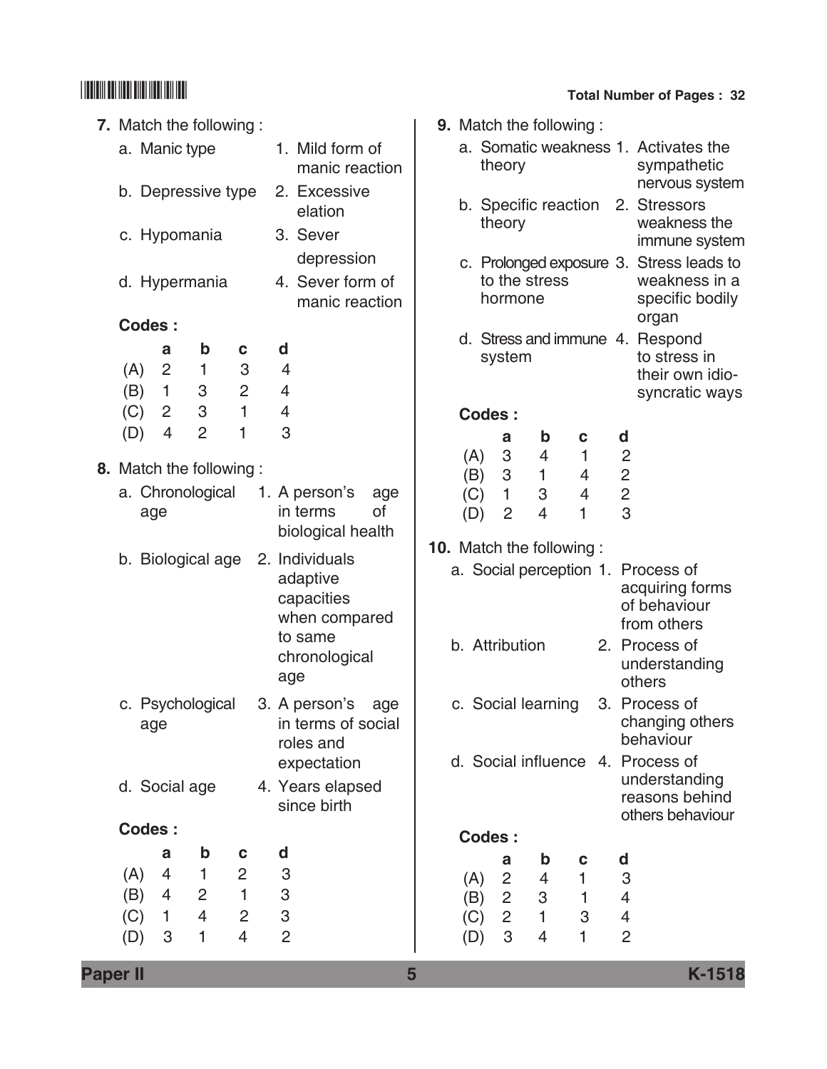| 7. Match the following: |                                     |                                  |                          |                           |                                                                      |     |            |                                           | 9. Match the following:                   |                                  |                                  |                                                                       |
|-------------------------|-------------------------------------|----------------------------------|--------------------------|---------------------------|----------------------------------------------------------------------|-----|------------|-------------------------------------------|-------------------------------------------|----------------------------------|----------------------------------|-----------------------------------------------------------------------|
| a. Manic type           |                                     |                                  |                          |                           | 1. Mild form of<br>manic reaction                                    |     |            | theory                                    |                                           |                                  |                                  | a. Somatic weakness 1. Activates the<br>sympathetic<br>nervous system |
| c. Hypomania            |                                     | b. Depressive type               |                          |                           | 2. Excessive<br>elation<br>3. Sever                                  |     |            | theory                                    | b. Specific reaction                      |                                  |                                  | 2. Stressors<br>weakness the                                          |
|                         |                                     |                                  |                          |                           | depression                                                           |     |            |                                           |                                           |                                  |                                  | immune system<br>c. Prolonged exposure 3. Stress leads to             |
|                         |                                     | d. Hypermania                    |                          |                           | 4. Sever form of<br>manic reaction                                   |     |            | hormone                                   | to the stress                             |                                  |                                  | weakness in a<br>specific bodily<br>organ                             |
| <b>Codes:</b>           |                                     |                                  |                          |                           |                                                                      |     |            |                                           |                                           | d. Stress and immune 4.          |                                  | Respond                                                               |
| (A)<br>(B)              | a<br>$\overline{2}$<br>$\mathbf{1}$ | $\mathbf b$<br>$\mathbf{1}$<br>3 | C<br>3<br>$\overline{2}$ | d<br>4<br>$\overline{4}$  |                                                                      |     |            | system                                    |                                           |                                  |                                  | to stress in<br>their own idio-<br>syncratic ways                     |
| (C)                     | $\overline{c}$                      | 3                                | 1                        | $\overline{4}$            |                                                                      |     |            | <b>Codes:</b>                             |                                           |                                  |                                  |                                                                       |
| (D)                     | $\overline{4}$                      | $\overline{2}$                   | 1                        | 3                         |                                                                      |     |            | a                                         | $\mathbf b$                               | C                                | d                                |                                                                       |
| 8. Match the following: |                                     |                                  |                          |                           |                                                                      |     | (A)        | 3                                         | 4                                         | 1                                | $\overline{2}$                   |                                                                       |
|                         |                                     | a. Chronological                 |                          |                           | 1. A person's                                                        | age | (B)<br>(C) | $\ensuremath{\mathsf{3}}$<br>$\mathbf{1}$ | $\mathbf{1}$<br>$\ensuremath{\mathsf{3}}$ | $\overline{4}$<br>$\overline{4}$ | $\overline{c}$<br>$\overline{2}$ |                                                                       |
| age                     |                                     |                                  |                          |                           | in terms<br>biological health                                        | οf  | (D)        | $\overline{2}$                            | $\overline{4}$                            | 1                                | 3                                |                                                                       |
|                         |                                     | b. Biological age                |                          |                           | 2. Individuals<br>adaptive<br>capacities<br>when compared<br>to same |     |            |                                           | <b>10.</b> Match the following:           | a. Social perception 1.          |                                  | Process of<br>acquiring forms<br>of behaviour<br>from others          |
|                         |                                     |                                  |                          | age                       | chronological                                                        |     |            | b. Attribution                            |                                           |                                  |                                  | 2. Process of<br>understanding<br>others                              |
| age                     |                                     | c. Psychological                 |                          |                           | 3. A person's<br>in terms of social<br>roles and                     | age |            |                                           | c. Social learning                        |                                  |                                  | 3. Process of<br>changing others<br>behaviour                         |
|                         |                                     |                                  |                          |                           | expectation                                                          |     |            |                                           |                                           |                                  |                                  | d. Social influence 4. Process of                                     |
| d. Social age           |                                     |                                  |                          |                           | 4. Years elapsed<br>since birth                                      |     |            |                                           |                                           |                                  |                                  | understanding<br>reasons behind<br>others behaviour                   |
| Codes:                  |                                     |                                  |                          |                           |                                                                      |     |            | Codes:                                    |                                           |                                  |                                  |                                                                       |
|                         | a                                   | $\mathbf b$                      | $\mathbf{c}$             | d                         |                                                                      |     |            | a                                         | b                                         | C                                | d                                |                                                                       |
| (A)                     | $\overline{4}$                      | $\mathbf{1}$                     | $\overline{2}$           | 3                         |                                                                      |     | (A)        | $\overline{c}$                            | 4                                         | 1                                | 3                                |                                                                       |
| (B)                     | 4                                   | $\overline{2}$                   | $\mathbf{1}$             | $\ensuremath{\mathsf{3}}$ |                                                                      |     | (B)        | $\overline{c}$                            | $\ensuremath{\mathsf{3}}$                 | 1                                | $\overline{4}$                   |                                                                       |
| (C)                     | $\mathbf{1}$                        | $\overline{4}$                   | $\overline{2}$           | $\ensuremath{\mathsf{3}}$ |                                                                      |     | (C)        | $\overline{c}$                            | $\mathbf{1}$                              | $\ensuremath{\mathsf{3}}$        | 4                                |                                                                       |
| (D)                     | 3                                   | $\mathbf{1}$                     | $\overline{4}$           | $\overline{2}$            |                                                                      |     | (D)        | 3                                         | 4                                         | $\mathbf{1}$                     | $\overline{2}$                   |                                                                       |

**Paper II 5 K-1518**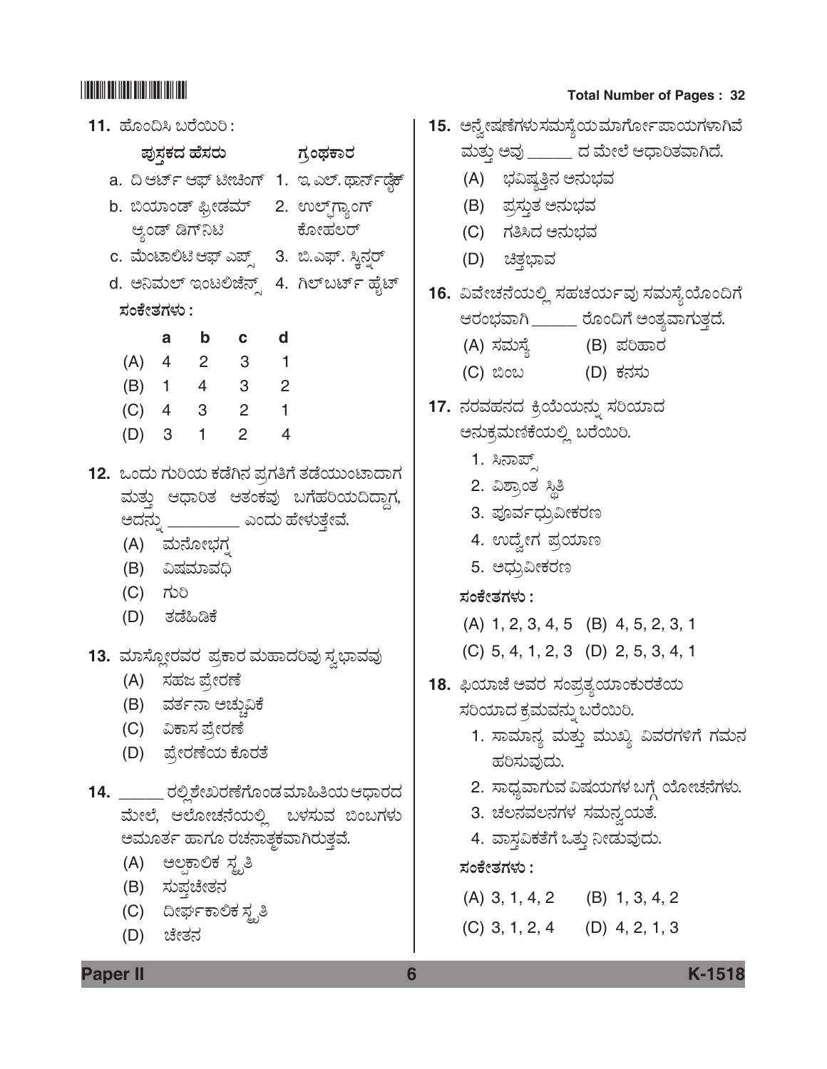| ಪುಸ್ತಕದ ಹೆಸರು ಗ್ರಂಥಕಾರ<br>a. ದಿ ಆರ್ಟ್ ಆಫ್ ಟೀಚಿಂಗ್ 1. ಇ.ಎಲ್. ಥಾರ್ನ <mark>್</mark> ಢೆಕ್<br>b. ಬಿಯಾಂಡ್ ಫ್ರೀಡಮ್    2.  ಉಲ್ಪ್ರಾಂಗ್<br>ಕೋಹಲರ್<br>ಆ್ಯಂಡ್ ಡಿಗ್ <b>ನಿ</b> ಟಿ<br>c. ಮೆಂಟಾಲಿಟಿ ಆಫ್ ಎಪ್ಸ್ 3. ಬಿ.ಎಫ್. ಸ್ಕಿನ್ನರ್<br>d. ಅನಿಮಲ್ ಇಂಟಲಿಜೆನ್ಸ್ 4. ಗಿಲ್ಬರ್ಟ್ ಹೈಟ್<br>ಸಂಕೇತಗಳು :<br>a b c d<br>(A) 4 2 3 1<br>(B) 1 4 3 2<br>$(C)$ 4 3 2 1<br>(D) 3 1 2 4<br>ಮತ್ತು ಆಧಾರಿತ ಆತಂಕವು ಬಗೆಹರಿಯದಿದ್ದಾಗ,<br>ಅದನ್ನು ___________ ಎಂದು ಹೇಳುತ್ತೇವೆ.<br>(A) ಮನೋಭಗ್ನ<br>(B) ವಿಷಮಾವಧಿ<br>(C) ಗುರಿ<br>(D) ತಡೆಹಿಡಿಕೆ<br>(A) ಸಹಜ ಪ್ರೇರಣೆ<br>(B) ವರ್ತನಾ ಅಚ್ಚುವಿಕೆ<br>(C) ವಿಕಾಸ ಪ್ರೇರಣೆ<br>(D) ಪ್ರೇರಣೆಯ ಕೊರತೆ | 1 |  |  | <b>11. ಹೊಂದಿಸಿ ಬರೆಯಿರಿ:</b> |  |
|--------------------------------------------------------------------------------------------------------------------------------------------------------------------------------------------------------------------------------------------------------------------------------------------------------------------------------------------------------------------------------------------------------------------------------------------------------------------------------------------------------------------------------------------------------------------------------------|---|--|--|-----------------------------|--|
|                                                                                                                                                                                                                                                                                                                                                                                                                                                                                                                                                                                      |   |  |  |                             |  |
|                                                                                                                                                                                                                                                                                                                                                                                                                                                                                                                                                                                      |   |  |  |                             |  |
|                                                                                                                                                                                                                                                                                                                                                                                                                                                                                                                                                                                      |   |  |  |                             |  |
|                                                                                                                                                                                                                                                                                                                                                                                                                                                                                                                                                                                      |   |  |  |                             |  |
|                                                                                                                                                                                                                                                                                                                                                                                                                                                                                                                                                                                      |   |  |  |                             |  |
|                                                                                                                                                                                                                                                                                                                                                                                                                                                                                                                                                                                      | 1 |  |  |                             |  |
|                                                                                                                                                                                                                                                                                                                                                                                                                                                                                                                                                                                      |   |  |  |                             |  |
|                                                                                                                                                                                                                                                                                                                                                                                                                                                                                                                                                                                      |   |  |  |                             |  |
|                                                                                                                                                                                                                                                                                                                                                                                                                                                                                                                                                                                      |   |  |  |                             |  |
| 12.  ಒಂದು ಗುರಿಯ ಕಡೆಗಿನ ಪ್ರಗತಿಗೆ ತಡೆಯುಂಟಾದಾಗ<br>13. ಮಾಸ್ಲೋರವರ ಪ್ರಕಾರ ಮಹಾದರಿವು ಸ್ವಭಾವವು<br>14. ______ ರಲ್ಲಿಶೇಖರಣೆಗೊಂಡಮಾಹಿತಿಯ ಆಧಾರದ                                                                                                                                                                                                                                                                                                                                                                                                                                                     |   |  |  |                             |  |
|                                                                                                                                                                                                                                                                                                                                                                                                                                                                                                                                                                                      | 1 |  |  |                             |  |
|                                                                                                                                                                                                                                                                                                                                                                                                                                                                                                                                                                                      |   |  |  |                             |  |
| ಮೇಲೆ, ಆಲೋಚನೆಯಲ್ಲಿ ಬಳಸುವ ಬಿಂಬಗಳು<br>ಅಮೂರ್ತ ಹಾಗೂ ರಚನಾತ್ತಕವಾಗಿರುತ್ತವೆ.<br>(A) ಅಲಕಾಲಿಕ ಸ್ಟೃತಿ<br>(B) ಸುಪ್ತಚೇತನ<br>(C) ದೀರ್ಘಕಾಲಿಕ <i>ಸ್ಟ</i> ೃತಿ                                                                                                                                                                                                                                                                                                                                                                                                                                          | 1 |  |  |                             |  |

| 15. ಅನ್ವೇಷಣೆಗಳುಸಮಸ್ಯೆಯಮಾರ್ಗೋಪಾಯಗಳಾಗಿವೆ  |
|-----------------------------------------|
| ಮತ್ತು ಅವು _______ ದ ಮೇಲೆ ಆಧಾರಿತವಾಗಿದೆ.  |
| (A) ಭವಿಷ್ಕತ್ತಿನ ಅನುಭವ                   |
| (B) ಪ್ರಸ್ತುತ ಅನುಭವ                      |
| (C) ಗತಿಸಿದ ಅನುಭವ                        |
| (D) ಚಿತ್ತಭಾವ                            |
| 16. ವಿವೇಚನೆಯಲ್ಲಿ ಸಹಚರ್ಯವು ಸಮಸ್ಯೆಯೊಂದಿಗೆ |
| ಆರಂಭವಾಗಿ ______ ರೊಂದಿಗೆ ಅಂತ್ಯವಾಗುತ್ತದೆ. |
| (A) ಸಮಸ್ಯೆ           (B) ಪರಿಹಾರ         |
| (C) ಬಿಂಬ           (D) ಕನಸು             |
| 17. ನರವಹನದ ಕ್ರಿಯೆಯನ್ನು ಸರಿಯಾದ           |
| ಅನುಕ್ರಮಣಿಕೆಯಲ್ಲಿ ಬರೆಯಿರಿ.               |
| 1. ಸಿನಾಪ್ಸ್                             |
| 2. ವಿಶ್ರಾಂತ ಸ್ಥಿತಿ                      |
| 3. ಪೂರ್ವಧ್ರುವೀಕರಣ                       |
| 4. ಉದ್ವೇಗ ಪ್ರಯಾಣ                        |
| 5. ಅಧ್ರುವೀಕರಣ                           |
| ಸಂಕೇತಗಳು :                              |
| (A) 1, 2, 3, 4, 5 (B) 4, 5, 2, 3, 1     |
| (C) 5, 4, 1, 2, 3 (D) 2, 5, 3, 4, 1     |
| 18. ಫಿಯಾಜೆ ಅವರ ಸಂಪ್ರತ್ಯಯಾಂಕುರತೆಯ        |
| ಸರಿಯಾದ ಕ್ರಮವನ್ನು ಬರೆಯಿರಿ.               |
| 1. ಸಾಮಾನ್ಯ ಮತ್ತು ಮುಖ್ಯ ವಿವರಗಳಿಗೆ ಗಮನ    |
| ಹರಿಸುವುದು.                              |
| 2. ಸಾಧ್ಯವಾಗುವ ವಿಷಯಗಳ ಬಗ್ಗೆ ಯೋಚನೆಗಳು.    |
| 3. ಚಲನವಲನಗಳ ಸಮನ್ನಯತೆ.                   |
| 4. ವಾಸ್ತವಿಕತೆಗೆ ಒತ್ತು ನೀಡುವುದು.         |
| ಸಂಕೇತಗಳು :                              |
| $(A)$ 3, 1, 4, 2<br>$(B)$ 1, 3, 4, 2    |
| $(C)$ 3, 1, 2, 4<br>$(D)$ 4, 2, 1, 3    |

**Paper II 6 K-1518**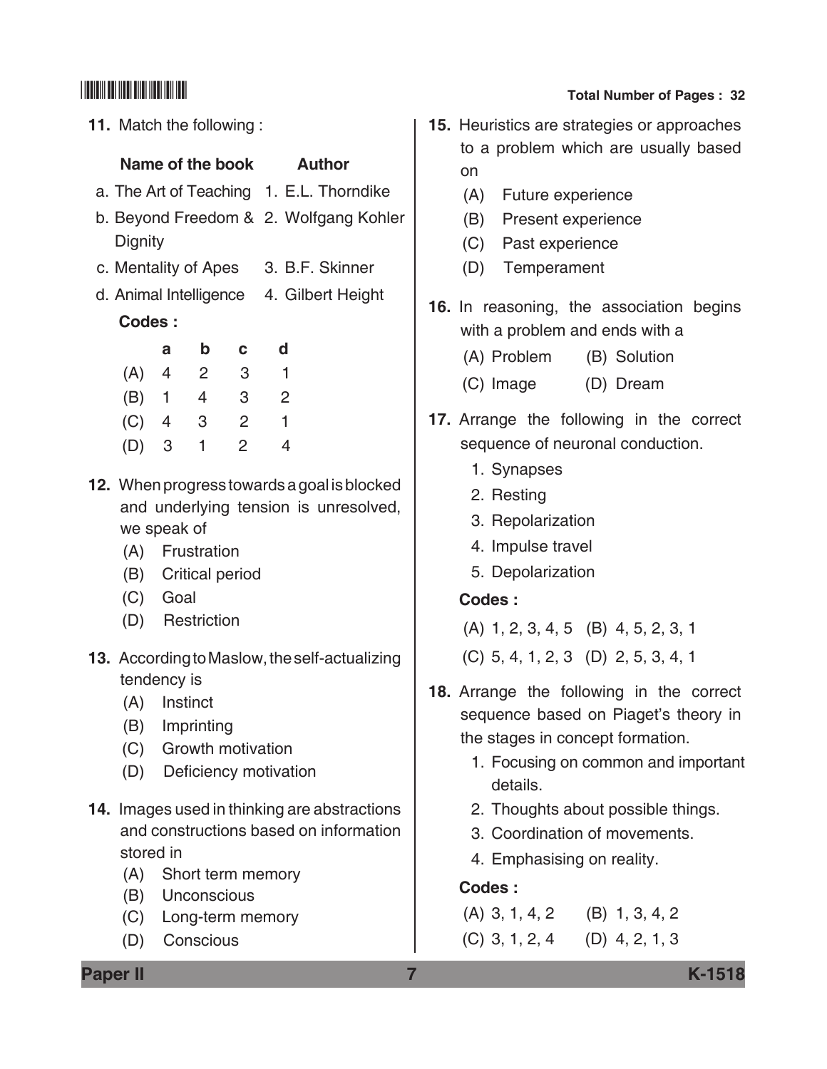**11.** Match the following :

### **Name of the book Author**

- a. The Art of Teaching 1. E.L. Thorndike
- b. Beyond freedom & 2. Wolfgang Kohler Dignity
- c. Mentality of Apes 3. B.F. Skinner
- d. Animal Intelligence 4. Gilbert Height **Codes :**

|     | a | b | с | d |
|-----|---|---|---|---|
| (A) | 4 | 2 | 3 | 1 |
| (B) | 1 | 4 | 3 | 2 |
| (C) | 4 | 3 | 2 | 1 |
| (D) | 3 | 1 | 2 | 4 |

- **12.** When progress towards a goal is blocked and underlying tension is unresolved, we speak of
	- (A) Frustration
	- (B) Critical period
	- (C) Goal
	- (D) Restriction
- **13.** According to Maslow, the self-actualizing tendency is
	- (A) Instinct
	- (B) Imprinting
	- (C) Growth motivation
	- (D) Deficiency motivation
- **14.** Images used in thinking are abstractions and constructions based on information stored in
	- (A) Short term memory
	- (B) Unconscious
	- (C) Long-term memory
	- (D) Conscious

## \*K1518\* **Total Number of Pages : 32**

- **15.** Heuristics are strategies or approaches to a problem which are usually based on
	- (A) Future experience
	- (B) Present experience
	- (C) Past experience
	- (D) Temperament
- **16.** In reasoning, the association begins with a problem and ends with a
	- (A) Problem (B) Solution
	- (C) Image (D) Dream
- **17.** Arrange the following in the correct sequence of neuronal conduction.
	- 1. Synapses
	- 2. Resting
	- 3. Repolarization
	- 4. Impulse travel
	- 5. Depolarization

#### **Codes :**

(A) 1, 2, 3, 4, 5 (B) 4, 5, 2, 3, 1

- (C) 5, 4, 1, 2, 3 (D) 2, 5, 3, 4, 1
- **18.** Arrange the following in the correct sequence based on Piaget's theory in the stages in concept formation.
	- 1. Focusing on common and important details.
	- 2. Thoughts about possible things.
	- 3. Coordination of movements.
	- 4. Emphasising on reality.

#### **Codes :**

- (A) 3, 1, 4, 2 (B) 1, 3, 4, 2 (C) 3, 1, 2, 4 (D) 4, 2, 1, 3
- **Paper II 7 K-1518**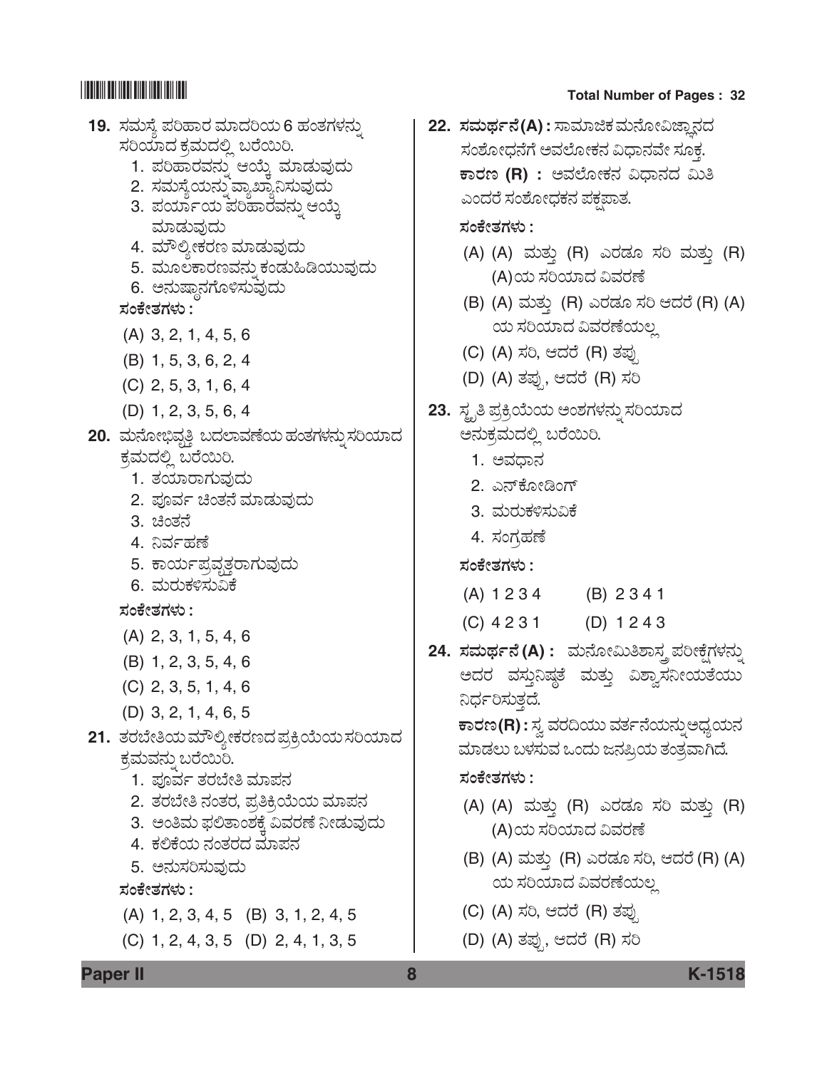| 19. ಸಮಸ್ಯೆ ಪರಿಹಾರ ಮಾದರಿಯ 6 ಹಂತಗಳನ್ನು                                       | 22. ಸಮರ್ಥನೆ(A)                |
|----------------------------------------------------------------------------|-------------------------------|
| ಸರಿಯಾದ ಕ್ರಮದಲ್ಲಿ ಬರೆಯಿರಿ.                                                  | ಸಂಶೋಧನೆಗೆ                     |
| 1. ಪರಿಹಾರವನ್ನು ಆಯ್ಕೆ ಮಾಡುವುದು                                              | ಕಾರಣ (R) :                    |
| 2. ಸಮಸ್ಯೆಯನ್ನು ವ್ಯಾಖ್ಯಾನಿಸುವುದು                                            | ಎಂದರೆ ಸಂಶೊ                    |
| 3. ಪರ್ಯಾಯ ಪರಿಹಾರವನ್ನು ಆಯ್ಕೆ<br>ಮಾಡುವುದು                                    | ಸಂಕೇತಗಳು :                    |
| 4. ಮೌಲ್ಯೀಕರಣ ಮಾಡುವುದು                                                      | (A) (A) ಮ                     |
| 5. ಮೂಲಕಾರಣವನ್ನು ಕಂಡುಹಿಡಿಯುವುದು                                             | $(A)$ ಯ ;                     |
| 6. ಅನುಷ್ಠಾನಗೊಳಿಸುವುದು                                                      |                               |
| ಸಂಕೇತಗಳು :                                                                 | (B) (A) ಮತ                    |
| $(A)$ 3, 2, 1, 4, 5, 6                                                     | ಯ ಸರೀ                         |
| $(B)$ 1, 5, 3, 6, 2, 4                                                     | (C) (A) ಸರಿ,                  |
| (C) 2, 5, 3, 1, 6, 4                                                       | (D) (A) ತಪ್ಪು                 |
| $(D)$ 1, 2, 3, 5, 6, 4                                                     | <b>23.</b> ಸ್ಟ್ರತಿ ಪ್ರಕ್ರಿಯೆಂ |
| 20.  ಮನೋಭಿವೃತ್ತಿ  ಬದಲಾವಣೆಯ ಹಂತಗಳನ್ನು ಸರಿಯಾದ                                | ಅನುಕ್ರಮದಲ್ಲಿ                  |
| ಕ್ರಮದಲ್ಲಿ ಬರೆಯಿರಿ.                                                         | 1. ಅವಧಾನ                      |
| 1. ತಯಾರಾಗುವುದು                                                             | 2. ಎನ್ಕೋ                      |
| 2. ಪೂರ್ವ ಚಿಂತನೆ ಮಾಡುವುದು                                                   | 3. ಮರುಕಳೆ                     |
| 3. ಚಿಂತನೆ                                                                  | 4. ಸಂಗ್ರಹಣ                    |
| 4. ನಿರ್ವಹಣೆ                                                                |                               |
| 5. ಕಾರ್ಯಪ್ರವೃತ್ತರಾಗುವುದು<br>6. ಮರುಕಳಿಸುವಿಕೆ                                | ಸಂಕೇತಗಳು :                    |
| ಸಂಕೇತಗಳು :                                                                 | (A) 1 2 3 4                   |
|                                                                            | $(C)$ 4 2 3 1                 |
| $(A)$ 2, 3, 1, 5, 4, 6                                                     | 24. ಸಮರ್ಥನೆ(A)                |
| $(B)$ 1, 2, 3, 5, 4, 6                                                     | ಅದರ ವಸ್ತುನ                    |
| $(C)$ 2, 3, 5, 1, 4, 6                                                     | ನಿರ್ಧರಿಸುತ್ತದೆ.               |
| $(D)$ 3, 2, 1, 4, 6, 5                                                     | ಕಾರಣ(R) : ಸ್ವ                 |
| 21. ತರಬೇತಿಯ ಮೌಲ್ಯೀಕರಣದ ಪ್ರಕ್ರಿಯೆಯ ಸರಿಯಾದ                                   | ಮಾಡಲು ಬಳಸ                     |
| ಕ್ರಮವನ್ನು ಬರೆಯಿರಿ.                                                         | ಸಂಕೇತಗಳು :                    |
| 1. ಫೂರ್ವ ತರಬೇತಿ ಮಾಪನ                                                       |                               |
| 2.  ತರಬೇತಿ ನಂತರ, ಪ್ರತಿಕ್ರಿಯೆಯ ಮಾಪನ<br>3. ಅಂತಿಮ ಫಲಿತಾಂಶಕ್ಕೆ ವಿವರಣೆ ನೀಡುವುದು | (A) (A) ಮ                     |
| 4. ಕಲಿಕೆಯ ನಂತರದ ಮಾಪನ                                                       | $(A)$ ಯ ;                     |
| 5. ಅನುಸರಿಸುವುದು                                                            | (B) (A) ಮತ                    |
| ಸಂಕೇತಗಳು :                                                                 | ಯ ಸರೀ                         |
| (A) 1, 2, 3, 4, 5 (B) 3, 1, 2, 4, 5                                        | (C) (A) ಸರಿ,                  |
| $(C)$ 1, 2, 4, 3, 5 $(D)$ 2, 4, 1, 3, 5                                    | (D) (A) ತಪು                   |
|                                                                            |                               |

| ai muniv <del>c</del> i vi ray <del>c</del> ə .  vz |
|-----------------------------------------------------|
| 22.  ಸಮರ್ಥನೆ(A) : ಸಾಮಾಜಿಕ ಮನೋವಿಜ್ಞಾನದ               |
| ಸಂಶೋಧನೆಗೆ ಅವಲೋಕನ ವಿಧಾನವೇ ಸೂಕ್ತ.                     |
| ಕಾರಣ (R) : ಅವಲೋಕನ ವಿಧಾನದ ಮಿತಿ                       |
| ಎಂದರೆ ಸಂಶೋಧಕನ ಪಕ್ಷಪಾತ.                              |
| ಸಂಕೇತಗಳು :                                          |
| (A) (A) ಮತ್ತು (R) ಎರಡೂ ಸರಿ ಮತ್ತು (R)                |
| (A)ಯ ಸರಿಯಾದ ವಿವರಣೆ                                  |
| (B) (A) ಮತ್ತು (R) ಎರಡೂ ಸರಿ ಆದರೆ (R) (A)             |
| ಯ ಸರಿಯಾದ ವಿವರಣೆಯಲ್ಲ                                 |
| (C) (A) ಸರಿ, ಆದರೆ (R) ತಪ್ಪು                         |
| (D) (A) ತಪ್ಪು, ಆದರೆ (R) ಸರಿ                         |
| 23. ಸ್ಥೃತಿ ಪ್ರಕ್ರಿಯೆಯ ಅಂಶಗಳನ್ನು ಸರಿಯಾದ              |
| ಅನುಕ್ರಮದಲ್ಲಿ ಬರೆಯಿರಿ.                               |
| 1. ಅವಧಾನ                                            |
| 2. ಎನ್ಕೋಡಿಂಗ್                                       |
| 3. ಮರುಕಳಿಸುವಿಕೆ                                     |
| 4. ಸಂಗ್ರಹಣೆ                                         |
| ಸಂಕೇತಗಳು :                                          |
| (B) 2341<br>(A) 1234                                |
| $(C)$ 4 2 3 1<br>(D) $1243$                         |
| 24. ಸಮರ್ಥನೆ(A) : ಮನೋಮಿತಿಶಾಸ್ತ್ರ ಪರೀಕ್ಷೆಗಳನ್ನು       |
| ಅದರ ವಸ್ತುನಿಷ್ಠತೆ ಮತ್ತು ವಿಶ್ವಾಸನೀಯತೆಯು               |
| ನಿರ್ಧರಿಸುತ್ತದೆ.                                     |
| ಕಾರಣ(R): ಸ್ವ ವರದಿಯು ವರ್ತನೆಯನ್ನುಅಧ್ಯಯನ               |
| ಮಾಡಲು ಬಳಸುವ ಒಂದು ಜನಪ್ರಿಯ ತಂತ್ರವಾಗಿದೆ.               |
| ಸಂಕೇತಗಳು :                                          |
| (A) (A) ಮತ್ತು (R) ಎರಡೂ ಸರಿ ಮತ್ತು (R)                |
| (A)ಯ ಸರಿಯಾದ ವಿವರಣೆ                                  |
| (B) (A) ಮತ್ತು (R) ಎರಡೂ ಸರಿ, ಆದರೆ (R) (A)            |
| ಯ ಸರಿಯಾದ ವಿವರಣೆಯಲ್ಲ                                 |
| (C) (A) ಸರಿ, ಆದರೆ (R) ತಪ್ಪು                         |
| (D) (A) ತಪ್ಪು, ಆದರೆ (R) ಸರಿ                         |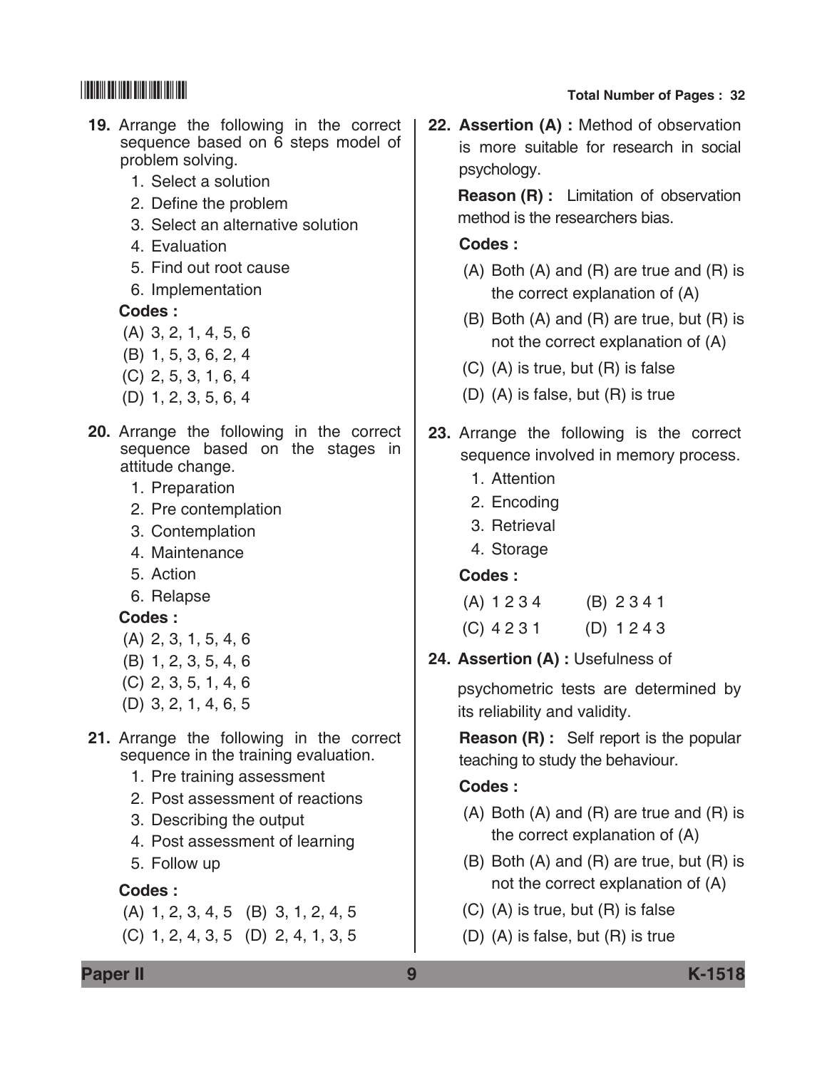#### **19.** Arrange the following in the correct sequence based on 6 steps model of problem solving.

- 1. Select a solution
- 2. Define the problem
- 3. Select an alternative solution
- 4. Evaluation
- 5. Find out root cause
- 6. Implementation

#### **Codes :**

- (A) 3, 2, 1, 4, 5, 6
- (B) 1, 5, 3, 6, 2, 4
- (C) 2, 5, 3, 1, 6, 4
- (D) 1, 2, 3, 5, 6, 4
- **20.** Arrange the following in the correct sequence based on the stages in attitude change.
	- 1. Preparation
	- 2. Pre contemplation
	- 3. Contemplation
	- 4. Maintenance
	- 5. Action
	- 6. Relapse

### **Codes :**

- (A) 2, 3, 1, 5, 4, 6
- (B) 1, 2, 3, 5, 4, 6
- (C) 2, 3, 5, 1, 4, 6
- (D) 3, 2, 1, 4, 6, 5
- **21.** Arrange the following in the correct sequence in the training evaluation.
	- 1. Pre training assessment
	- 2. Post assessment of reactions
	- 3. Describing the output
	- 4. Post assessment of learning
	- 5. Follow up

### **Codes :**

(A) 1, 2, 3, 4, 5 (B) 3, 1, 2, 4, 5 (C) 1, 2, 4, 3, 5 (D) 2, 4, 1, 3, 5

- 
- **22. Assertion (A) :** Method of observation is more suitable for research in social psychology.

 **Reason (R) :** Limitation of observation method is the researchers bias.

### **Codes :**

- (A) Both (A) and (R) are true and (R) is the correct explanation of (A)
- (B) Both (A) and (R) are true, but (R) is not the correct explanation of (A)
- (C) (A) is true, but (R) is false
- (D) (A) is false, but (R) is true
- **23.** Arrange the following is the correct sequence involved in memory process.
	- 1. Attention
	- 2. Encoding
	- 3. Retrieval
	- 4. Storage

#### **Codes :**

| $(B)$ 2341 |
|------------|
|            |

- (C) 4 2 3 1 (D) 1 2 4 3
- **24. Assertion (A) :** Usefulness of

 psychometric tests are determined by its reliability and validity.

 **Reason (R) :** Self report is the popular teaching to study the behaviour.

#### **Codes :**

- (A) Both (A) and (R) are true and (R) is the correct explanation of (A)
- (B) Both (A) and (R) are true, but (R) is not the correct explanation of (A)
- (C) (A) is true, but (R) is false
- (D) (A) is false, but (R) is true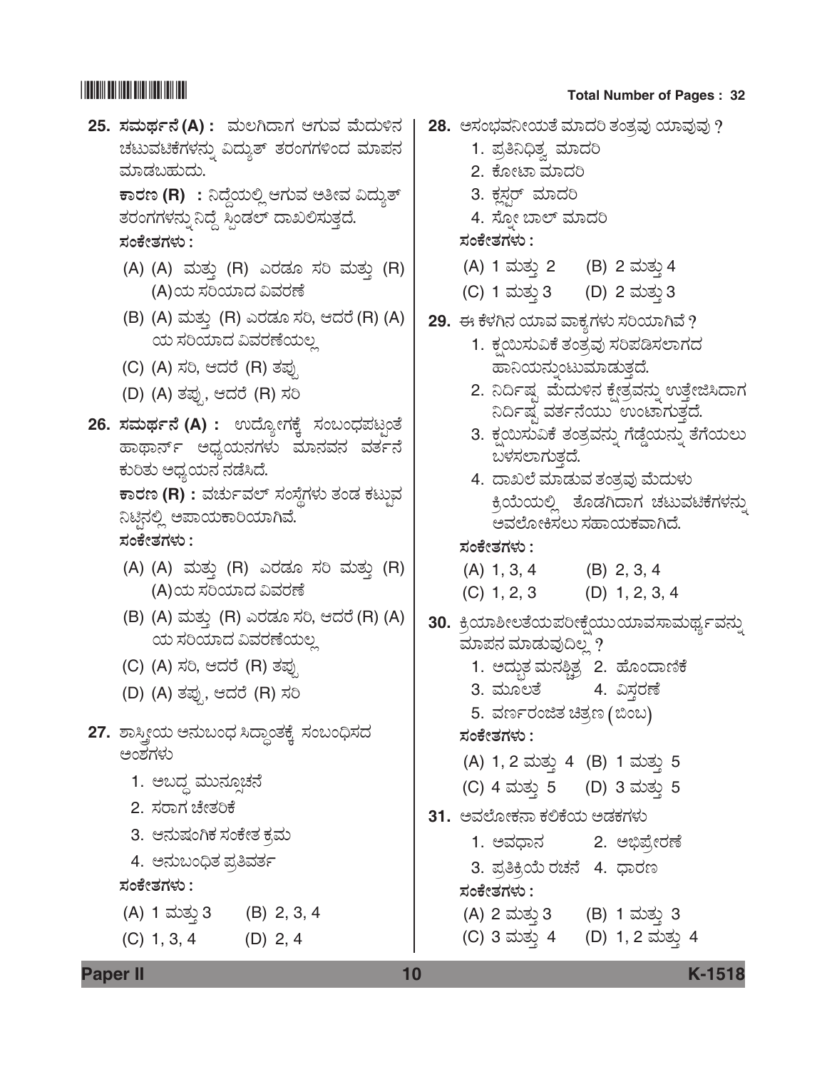```
25. ಸಮರ್ಥನೆ(A):  ಮಲಗಿದಾಗ ಆಗುವ ಮೆದುಳಿನ
    ಚಟುವಟಿಕೆಗಳನ್ನು ವಿದ್ಯುತ್ ತರಂಗಗಳಿಂದ ಮಾಪನ
    ಮಾಡಬಹುದು.
     PÝÃÜ| (R) : ¯¨æª¿áÈÉ BWÜáÊÜ A£àÊÜ Ë¨ÜáÂñ… 
    ತರಂಗಗಳನ್ನು ನಿದ್ದೆ ಸ್ಪಿಂಡಲ್ ದಾಖಲಿಸುತ್ತದೆ.
    ÓÜíPæàñÜWÜÙÜá :
    (A) (A) ಮತ್ತು (R) ಎರಡೂ ಸರಿ ಮತ್ತು (R)
         (A)ಯ ಸರಿಯಾದ ವಿವರಣೆ
    (B) (A) ಮತ್ತು (R) ಎರಡೂ ಸರಿ, ಆದರೆ (R) (A)
         ಯ ಸರಿಯಾದ ವಿವರಣೆಯಲ್ಲ
    (C) (A) ಸರಿ, ಆದರೆ (R) ತಪು
    (D) (A) ತಪ್ಪು, ಆದರೆ (R) ಸರಿ
26. ಸಮರ್ಥನೆ (A) : ಉದ್ಯೋಗಕ್ಕೆ ಸಂಬಂಧಪಟ್ಟಂತೆ
    ಹಾಥಾರ್ನ್ ಅಧ್ಯಯನಗಳು ಮಾನವನ ವರ್ತನೆ
    ಕುರಿತು ಅಧ್ಯಯನ ನಡೆಸಿದೆ.
    \overline{\texttt{F}}ರಣ (R) : ವರ್ಚುವಲ್ ಸಂಸ್ಥೆಗಳು ತಂಡ ಕಟ್ತುವ
    ನಿಟ್ಟಿನಲ್ಲಿ ಅಪಾಯಕಾರಿಯಾಗಿವೆ.
    ÓÜíPæàñÜWÜÙÜá :
    (A) (A) ಮತ್ತು (R) ಎರಡೂ ಸರಿ ಮತ್ತು (R)
         (A)ಯ ಸರಿಯಾದ ವಿವರಣೆ
     (B) (A) ಮತ್ತು (R) ಎರಡೂ ಸರಿ, ಆದರೆ (R) (A)
         ಯ ಸರಿಯಾದ ವಿವರಣೆಯಲ್ಲ
    (C) (A) ಸರಿ, ಆದರೆ (R) ತಪು
    (D) (A) ತಪ್ಪು, ಆದರೆ (R) ಸರಿ
27. ಶಾಸ್ತ್ರೀಯ ಅನುಬಂಧ ಸಿದ್ಧಾಂತಕ್ಕೆ ಸಂಬಂಧಿಸದ
    ಅಂಶಗಳು
      1. ಅಬದ್ಧ ಮುನ್ತೂಚನೆ
      2. ಸರಾಗ ಚೇತರಿಕೆ
      3. ಆನುಷಂಗಿಕ ಸಂಕೇತ ಕ್ರಮ
     4. ಅನುಬಂಧಿತ ಪ್ರತಿವರ್ತ
    ÓÜíPæàñÜWÜÙÜá :
    (A) 1 ಮತ್ತು 3 (B) 2, 3, 4
    (C) 1, 3, 4 (D) 2, 4
                                                28. ಅಸಂಭವನೀಯತೆ ಮಾದರಿ ತಂತ್ರವು ಯಾವುವು ?
                                                      1. ಪ್ರತಿನಿಧಿತ್ನ ಮಾದರಿ
                                                      2. ಕೋಟಾ ಮಾದರಿ
                                                      3. ಕ್ಲಸರ್ ಮಾದರಿ
                                                      4. ಸೋ ಬಾಲ್ ಮಾದರಿ
                                                    ÓÜíPæàñÜWÜÙÜá :
                                                     (A) 1 ಮತ್ತು 2 (B) 2 ಮತ್ತು 4
                                                     (C) 1 ಮತ್ತು 3 (D) 2 ಮತ್ತು 3
                                                29. ಈ ಕೆಳಗಿನ ಯಾವ ವಾಕ್ಯಗಳು ಸರಿಯಾಗಿವೆ ?
                                                      1. ಕ್ಷಯಿಸುವಿಕೆ ತಂತ್ರವು ಸರಿಪಡಿಸಲಾಗದ
                                                         ಹಾನಿಯನ್ಗುಂಟುಮಾಡುತ್ತದೆ.
                                                      2. ನಿರ್ದಿಷ್ಠ ಮೆದುಳಿನ ಕ್ಷೇತ್ರವನ್ನು ಉತ್ತೇಜಿಸಿದಾಗ
                                                         ನಿರ್ದಿಷ್ನ ವರ್ತನೆಯು ಉಂಟಾಗುತ್ತದೆ.
                                                      3. ಕೃಯಿಸುವಿಕೆ ತಂತ್ರವನ್ನು ಗೆಡ್ಡೆಯನ್ನು ತೆಗೆಯಲು
                                                         ಬಳಸಲಾಗುತ್ತದೆ.
                                                      4.  ದಾಖಲೆ ಮಾಡುವ ತಂತ್ರವು ಮೆದುಳು
                                                         ಕ್ರಿಯೆಯಲ್ಲಿ ತೊಡಗಿದಾಗ ಚಟುವಟಿಕೆಗಳನ್ನು
                                                         ಅವಲೋಕಿಸಲು ಸಹಾಯಕವಾಗಿದೆ.
                                                    ಸಂಕೇತಗಳು :
                                                     (A) 1, 3, 4 (B) 2, 3, 4
                                                     (C) 1, 2, 3 (D) 1, 2, 3, 4
                                                30. ಕ್ರಿಯಾಶೀಲತೆಯಪರೀಕೆಯುಯಾವಸಾಮರ್ಥ್ಯವನ್ನು
                                                    ಮಾಪನ ಮಾಡುವುದಿಲ್ಲ ?
                                                      1. ಅದ್ಧುತ ಮನಶ್ಚಿತ್ರ 2. ಹೊಂದಾಣಿಕೆ
                                                      3. ಮೂಲತೆ            4. ವಿಸ್ತರಣೆ
                                                      5. ವರ್ಣರಂಜಿತ ಚಿತ್ರಣ (ಬಿಂಬ)
                                                    ÓÜíPæàñÜWÜÙÜá :
                                                     (A) 1, 2 ಮತ್ತು 4  (B) 1 ಮತ್ತು 5
                                                     (C) 4 ಮತ್ತು 5 (D) 3 ಮತ್ತು 5
                                                31. ಅವಲೋಕನಾ ಕಲಿಕೆಯ ಅಡಕಗಳು
                                                      1. ಅವಧಾನ          2. ಅಭಿಪ್ರೇರಣೆ
                                                      3. ಪ್ರತಿಕ್ರಿಯೆ ರಚನೆ 4. ಧಾರಣ
                                                     ÓÜíPæàñÜWÜÙÜá :
                                                     (A) 2 ಮತ್ತು 3 (B) 1 ಮತ್ತು 3
                                                     (C) 3 ಮತ್ತು 4 (D) 1, 2 ಮತ್ತು 4
```
**Paper II 10 K-1518**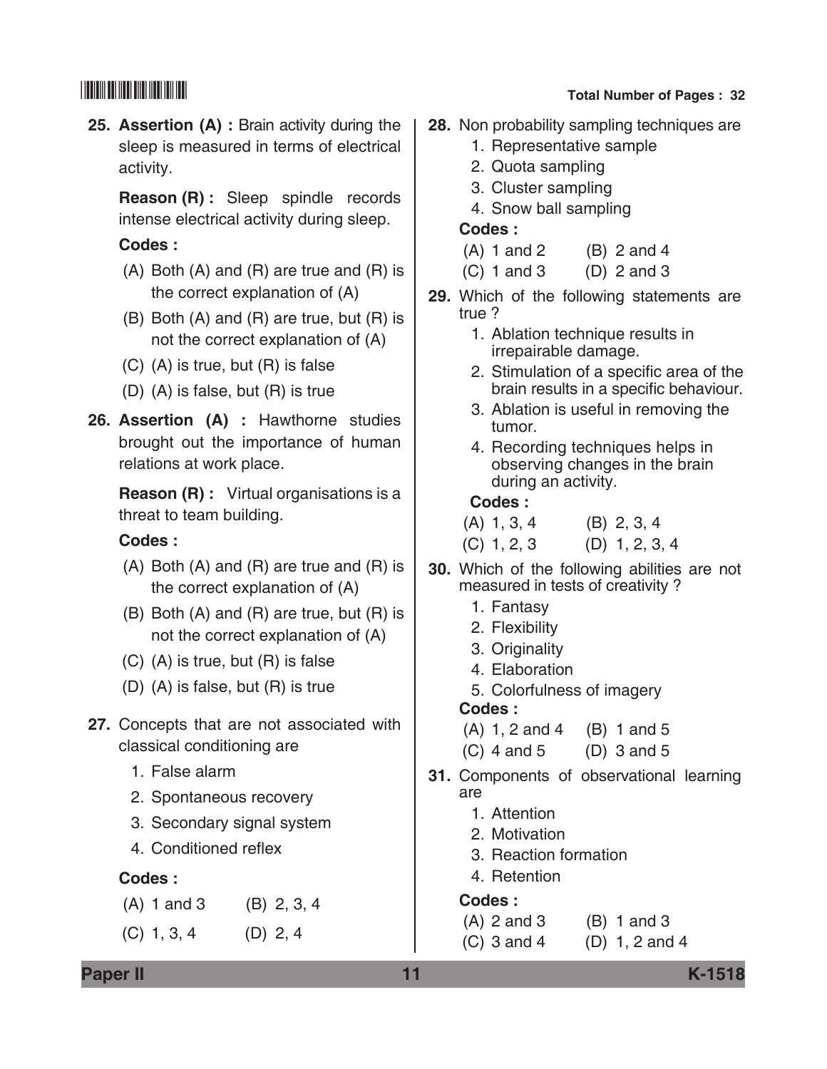**25. Assertion (A) :** Brain activity during the sleep is measured in terms of electrical activity.

 **Reason (R) :** Sleep spindle records intense electrical activity during sleep.

### **Codes :**

- (A) Both (A) and (R) are true and (R) is the correct explanation of (A)
- (B) Both (A) and (R) are true, but (R) is not the correct explanation of (A)
- (C) (A) is true, but (R) is false
- (D) (A) is false, but (R) is true
- **26. Assertion (A) :** Hawthorne studies brought out the importance of human relations at work place.

 **Reason (R) :** Virtual organisations is a threat to team building.

### **Codes :**

- (A) Both (A) and (R) are true and (R) is the correct explanation of (A)
- (B) Both (A) and (R) are true, but (R) is not the correct explanation of (A)
- (C) (A) is true, but (R) is false
- (D) (A) is false, but (R) is true
- **27.** Concepts that are not associated with classical conditioning are
	- 1. False alarm
	- 2. Spontaneous recovery
	- 3. Secondary signal system
	- 4. Conditioned reflex

### **Codes :**

- (A) 1 and 3 (B) 2, 3, 4
- $(C)$  1, 3, 4  $(D)$  2, 4

## \*K1518\* **Total Number of Pages : 32**

- **28.** Non probability sampling techniques are
	- 1. Representative sample
	- 2. Quota sampling
	- 3. Cluster sampling
	- 4. Snow ball sampling

#### **Codes :**

- $(A)$  1 and 2  $(B)$  2 and 4
- $(C)$  1 and 3  $(D)$  2 and 3
- **29.** Which of the following statements are true ?
	- 1. Ablation technique results in irrepairable damage.
	- 2. Stimulation of a specific area of the brain results in a specific behaviour.
	- 3. Ablation is useful in removing the tumor.
	- 4. Recording techniques helps in observing changes in the brain during an activity.

### **Codes :**

| $(A)$ 1, 3, 4 | $(B)$ 2, 3, 4    |
|---------------|------------------|
| $(C)$ 1, 2, 3 | $(D)$ 1, 2, 3, 4 |

- **30.** Which of the following abilities are not measured in tests of creativity ?
	- 1. Fantasy
	- 2. Flexibility
	- 3. Originality
	- 4. Elaboration
	- 5. Colorfulness of imagery

**Codes :**

- (A) 1, 2 and 4 (B) 1 and 5
- $(C)$  4 and 5 (D) 3 and 5
- **31.** Components of observational learning are
	- 1. Attention
	- 2. Motivation
	- 3. Reaction formation
	- 4. Retention

### **Codes :**

(A) 2 and 3 (B) 1 and 3 (C) 3 and 4 (D) 1, 2 and 4

**Paper II 11 K-1518**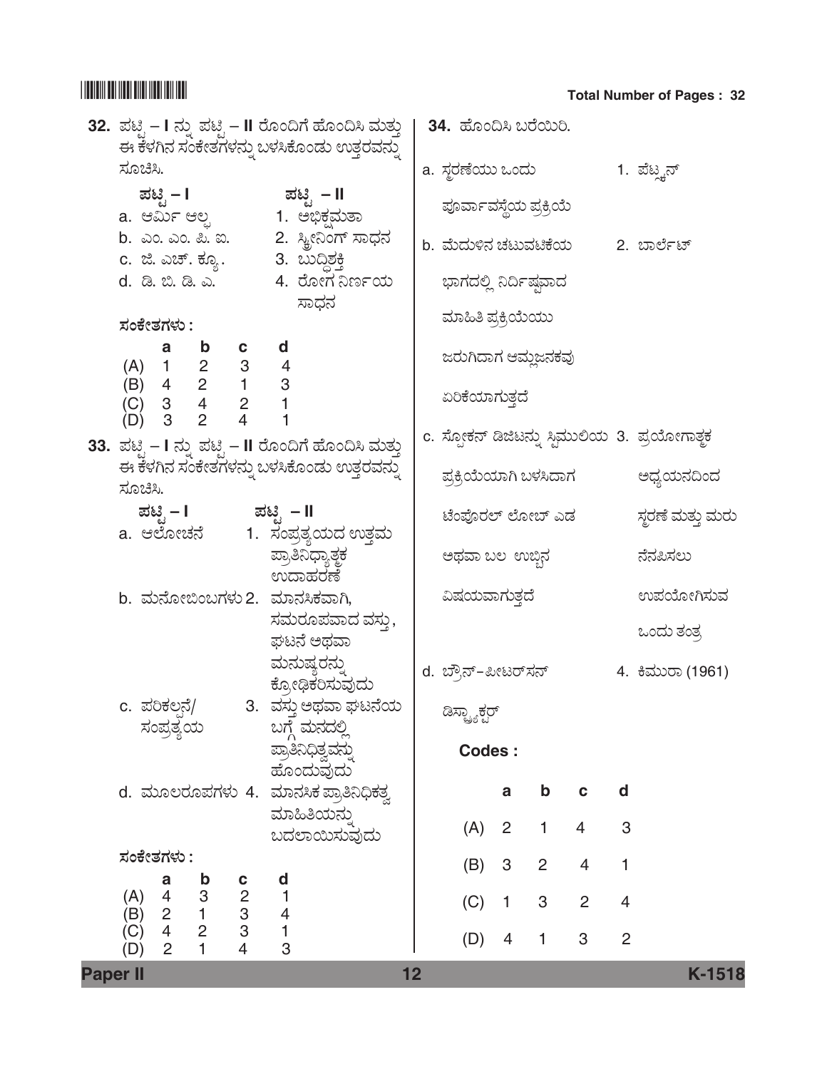|                 | 32. ಪಟಿೖ – I ನ್ನು ಪಟಿೖ – II ರೊಂದಿಗೆ ಹೊಂದಿಸಿ ಮತ್ತು<br>ಈ ಕೆಳಗಿನ ಸಂಕೇತಗಳನ್ನು ಬಳಸಿಕೊಂಡು ಉತ್ತರವನ್ನು | 34. ಹೊಂದಿಸಿ ಬರೆಯಿರಿ.                       |  |                        |                |                |                |                |                                                          |
|-----------------|------------------------------------------------------------------------------------------------|--------------------------------------------|--|------------------------|----------------|----------------|----------------|----------------|----------------------------------------------------------|
|                 | ಸೂಚಿಸಿ.                                                                                        |                                            |  | a. ಸ್ಥರಣೆಯು ಒಂದು       |                |                |                |                | 1. ಪೆಟ್ಸ್ಕನ್                                             |
|                 | ಪಟಿೖ – I                                                                                       | ಪಟಿೃ – II                                  |  | ಪೂರ್ವಾವಸ್ಥೆಯ ಪ್ರಕ್ರಿಯೆ |                |                |                |                |                                                          |
|                 | b. ಎಂ. ಎಂ. ಪಿ. ಐ.          2.  ಸ್ಕೀನಿಂಗ್ ಸಾಧನ<br>c. ಜಿ. ಎಚ್. ಕ್ಯೂ.            3. ಬುದ್ಧಿಶಕ್ತಿ   |                                            |  | b. ಮೆದುಳಿನ ಚಟುವಟಿಕೆಯ   |                |                |                |                | 2. ಬಾರ್ಲೆಟ್                                              |
|                 | d. ಡಿ. ಬಿ. ಡಿ. ಎ.               4. ರೋಗ ನಿರ್ಣಯ                                                  |                                            |  | ಭಾಗದಲ್ಲಿ ನಿರ್ದಿಷ್ಠವಾದ  |                |                |                |                |                                                          |
|                 | ಸಂಕೇತಗಳು :                                                                                     | ಸಾಧನ                                       |  | ಮಾಹಿತಿ ಪ್ರಕ್ರಿಯೆಯು     |                |                |                |                |                                                          |
|                 | b c<br>a                                                                                       | ∣ d                                        |  | ಜರುಗಿದಾಗ ಆಮ್ಲಜನಕವು     |                |                |                |                |                                                          |
|                 | (A) 1 2 3 4<br>(B) 4 2 1 3<br>(C) 3 4 2 1<br>(D) 3 2 4 1                                       |                                            |  | ಏರಿಕೆಯಾಗುತ್ತದೆ         |                |                |                |                |                                                          |
|                 | 33. ಪಟ್ಟಿ – I ನ್ನು ಪಟ್ಟಿ – II ರೊಂದಿಗೆ ಹೊಂದಿಸಿ ಮತ್ತು                                            |                                            |  |                        |                |                |                |                | c. ಸ್ಪೋಕನ್ ಡಿಜಿಟನ್ನು ಸ್ಥಿಮುಲಿಯ 3. ಪ್ರಯೋಗಾತ್ <del>ಚ</del> |
|                 | ಈ ಕೆಳಗಿನ ಸಂಕೇತಗಳನ್ನು ಬಳಸಿಕೊಂಡು ಉತ್ತರವನ್ನು<br>ಸೂಚಿಸಿ.                                           |                                            |  | ಪ್ರಕ್ರಿಯೆಯಾಗಿ ಬಳಸಿದಾಗ  |                |                |                |                | ಅಧ್ಯಯನದಿಂದ                                               |
|                 | ಪಟಿ  – I                                                                                       | ಪಟಿ <sub>.</sub> – II                      |  | ಟೆಂಪೊರಲ್ ಲೋಬ್ ಎಡ       |                |                |                |                | ಸ್ತರಣೆ ಮತ್ತು ಮರು                                         |
|                 | a. ಆಲೋಚನೆ        1.  ಸಂಪ್ರತ್ಯಯದ ಉತ್ತಮ                                                          | ಪ್ರಾತಿನಿಧ್ಯಾತ್ತಕ                           |  | ಅಥವಾ ಬಲ  ಉಬ್ಬಿನ        |                |                |                |                | ನೆನಪಿಸಲು                                                 |
|                 | b. ಮನೋಬಿಂಬಗಳು 2.  ಮಾನಸಿಕವಾಗಿ,                                                                  | ಉದಾಹರಣೆ                                    |  | ವಿಷಯವಾಗುತ್ತದೆ          |                |                |                |                | ಉಪಯೋಗಿಸುವ                                                |
|                 |                                                                                                | ಸಮರೂಪವಾದ ವಸ್ತು,                            |  |                        |                |                |                |                | ಒಂದು ತಂತ್ರ                                               |
|                 |                                                                                                | ಘಟನೆ ಅಥವಾ                                  |  |                        |                |                |                |                |                                                          |
|                 |                                                                                                | ಮನುಷ್ಯರನ್ನು<br>ಕ್ಸೋಢಿಕರಿಸುವುದು             |  | d. ಬ್ರೌನ್-ಪೀಟರ್ಸನ್     |                |                |                |                | 4. ಕಿಮುರಾ (1961)                                         |
|                 | c. ಪರಿಕಲ್ಗನೆ/<br>ಸಂಪ್ರತ್ಯಯ                                                                     | 3. ವಸ್ತು ಅಥವಾ ಘಟನೆಯ<br>ಬಗ್ಗೆ ಮನದಲ್ಲಿ       |  | ಡಿಸ್ಟ್ಯಾಕರ್<br>ಅಲ ಒ    |                |                |                |                |                                                          |
|                 |                                                                                                | ಪ್ರಾತಿನಿಧಿತ್ವವನ್ನು                         |  | Codes:                 |                |                |                |                |                                                          |
|                 | d. ಮೂಲರೂಪಗಳು 4. ಮಾನಸಿಕ ಪ್ರಾತಿನಿಧಿಕತ್ವ                                                          | ಹೊಂದುವುದು                                  |  |                        | $\mathbf{a}$   | b              | $\mathbf c$    | d              |                                                          |
|                 |                                                                                                | ಮಾಹಿತಿಯನ್ನು                                |  |                        | 2              | $\overline{1}$ | $\overline{4}$ | 3              |                                                          |
|                 | ಸಂಕೇತಗಳು :                                                                                     | ಬದಲಾಯಿಸುವುದು                               |  | (A)                    |                |                |                |                |                                                          |
|                 | C                                                                                              | d                                          |  | (B)                    | 3              | $\overline{2}$ | 4              | 1              |                                                          |
|                 |                                                                                                |                                            |  | (C)                    | $\mathbf{1}$   | 3              | $\overline{2}$ | $\overline{4}$ |                                                          |
|                 | $\begin{array}{c}\n 2 \\  3 \\  4\n \end{array}$<br>$(A)$ 4 3<br>(B) 2 1<br>(C) 4 2<br>(C) 4 2 | $\begin{array}{c} 4 \\ 1 \\ 3 \end{array}$ |  | (D)                    | $\overline{4}$ | $\mathbf{1}$   | $\mathbf{3}$   | $\overline{2}$ |                                                          |
| <b>Paper II</b> |                                                                                                | 12                                         |  |                        |                |                |                |                | K-1518                                                   |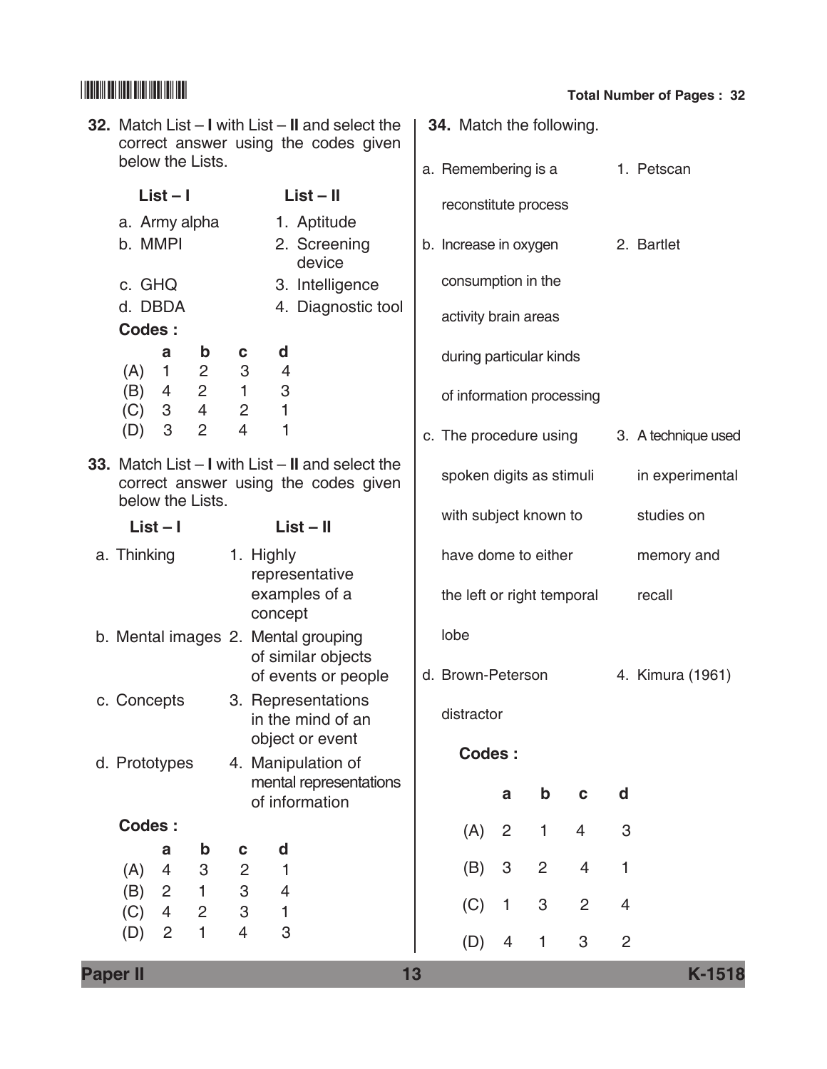|                 | <b>32.</b> Match List $- I$ with List $- II$ and select the<br>correct answer using the codes given<br>below the Lists. |                                  |                                           |                                |                                            |                       |                                                                                              | <b>34.</b> Match the following.<br>a. Remembering is a<br>1. Petscan |  |                            |                           |                           |                |                |                     |
|-----------------|-------------------------------------------------------------------------------------------------------------------------|----------------------------------|-------------------------------------------|--------------------------------|--------------------------------------------|-----------------------|----------------------------------------------------------------------------------------------|----------------------------------------------------------------------|--|----------------------------|---------------------------|---------------------------|----------------|----------------|---------------------|
|                 | $List - II$<br>$List - I$                                                                                               |                                  |                                           |                                |                                            |                       |                                                                                              |                                                                      |  |                            |                           |                           |                |                |                     |
|                 | a. Army alpha                                                                                                           |                                  |                                           |                                |                                            |                       |                                                                                              | reconstitute process                                                 |  |                            |                           |                           |                |                |                     |
|                 | b. MMPI                                                                                                                 |                                  |                                           |                                |                                            | 1. Aptitude<br>device | 2. Screening                                                                                 |                                                                      |  | b. Increase in oxygen      |                           |                           |                |                | 2. Bartlet          |
|                 | c. GHQ                                                                                                                  |                                  |                                           |                                |                                            |                       | 3. Intelligence                                                                              |                                                                      |  | consumption in the         |                           |                           |                |                |                     |
|                 | d. DBDA<br>Codes:                                                                                                       |                                  |                                           |                                |                                            |                       | 4. Diagnostic tool                                                                           |                                                                      |  | activity brain areas       |                           |                           |                |                |                     |
|                 | (A)                                                                                                                     | a<br>$\mathbf{1}$                | $\mathbf b$<br>$\overline{2}$             | C<br>3                         | d<br>4                                     |                       |                                                                                              |                                                                      |  | during particular kinds    |                           |                           |                |                |                     |
|                 | (B)<br>(C)                                                                                                              | 4<br>3                           | $\overline{2}$<br>$\overline{4}$          | $\mathbf{1}$<br>$\overline{2}$ | $\ensuremath{\mathsf{3}}$<br>$\mathbf{1}$  |                       |                                                                                              |                                                                      |  | of information processing  |                           |                           |                |                |                     |
|                 | (D)                                                                                                                     | 3                                | $\overline{2}$                            | $\overline{4}$                 | 1                                          |                       |                                                                                              |                                                                      |  | c. The procedure using     |                           |                           |                |                | 3. A technique used |
|                 |                                                                                                                         |                                  | below the Lists.                          |                                |                                            |                       | 33. Match List $- I$ with List $- II$ and select the<br>correct answer using the codes given |                                                                      |  | spoken digits as stimuli   |                           |                           |                |                | in experimental     |
|                 |                                                                                                                         | $List - I$                       |                                           |                                |                                            | $List - II$           |                                                                                              |                                                                      |  | with subject known to      |                           |                           |                |                | studies on          |
|                 | a. Thinking                                                                                                             |                                  |                                           |                                | 1. Highly                                  |                       |                                                                                              |                                                                      |  | have dome to either        |                           |                           |                |                | memory and          |
|                 |                                                                                                                         |                                  |                                           |                                | representative<br>examples of a<br>concept |                       |                                                                                              |                                                                      |  | the left or right temporal |                           |                           |                |                | recall              |
|                 |                                                                                                                         |                                  |                                           |                                | b. Mental images 2. Mental grouping        |                       |                                                                                              |                                                                      |  | lobe                       |                           |                           |                |                |                     |
|                 |                                                                                                                         |                                  |                                           |                                |                                            |                       | of similar objects<br>of events or people                                                    |                                                                      |  | d. Brown-Peterson          |                           |                           |                |                | 4. Kimura (1961)    |
|                 | c. Concepts                                                                                                             |                                  |                                           |                                |                                            |                       | 3. Representations<br>in the mind of an                                                      |                                                                      |  | distractor                 |                           |                           |                |                |                     |
|                 |                                                                                                                         |                                  |                                           |                                | object or event<br>4. Manipulation of      |                       |                                                                                              |                                                                      |  | <b>Codes:</b>              |                           |                           |                |                |                     |
|                 | d. Prototypes                                                                                                           |                                  |                                           |                                | of information                             |                       | mental representations                                                                       |                                                                      |  |                            | a                         | b                         | $\mathbf c$    | d              |                     |
|                 | Codes:                                                                                                                  |                                  |                                           |                                |                                            |                       |                                                                                              |                                                                      |  | (A)                        | $\overline{2}$            | $\mathbf{1}$              | 4              | 3              |                     |
|                 |                                                                                                                         | a                                | b                                         | C                              | d                                          |                       |                                                                                              |                                                                      |  |                            |                           |                           |                |                |                     |
|                 | (A)                                                                                                                     | $\overline{4}$                   | $\ensuremath{\mathsf{3}}$<br>$\mathbf{1}$ | $\overline{c}$<br>3            | 1                                          |                       |                                                                                              |                                                                      |  | (B)                        | $\ensuremath{\mathsf{3}}$ | $\overline{2}$            | $\overline{4}$ | 1              |                     |
|                 | (B)<br>(C)                                                                                                              | $\overline{c}$<br>$\overline{4}$ | $\overline{2}$                            | $\ensuremath{\mathsf{3}}$      | $\overline{4}$<br>$\mathbf{1}$             |                       |                                                                                              |                                                                      |  | (C)                        | $\mathbf{1}$              | $\ensuremath{\mathsf{3}}$ | $\overline{2}$ | $\overline{4}$ |                     |
|                 | (D)                                                                                                                     | $\overline{2}$                   | $\mathbf{1}$                              | $\overline{4}$                 | 3                                          |                       |                                                                                              |                                                                      |  | (D)                        | $\overline{4}$            | $\mathbf{1}$              | 3              | $\overline{2}$ |                     |
| <b>Paper II</b> |                                                                                                                         |                                  |                                           |                                |                                            |                       |                                                                                              | 13                                                                   |  |                            |                           |                           |                |                | K-1518              |
|                 |                                                                                                                         |                                  |                                           |                                |                                            |                       |                                                                                              |                                                                      |  |                            |                           |                           |                |                |                     |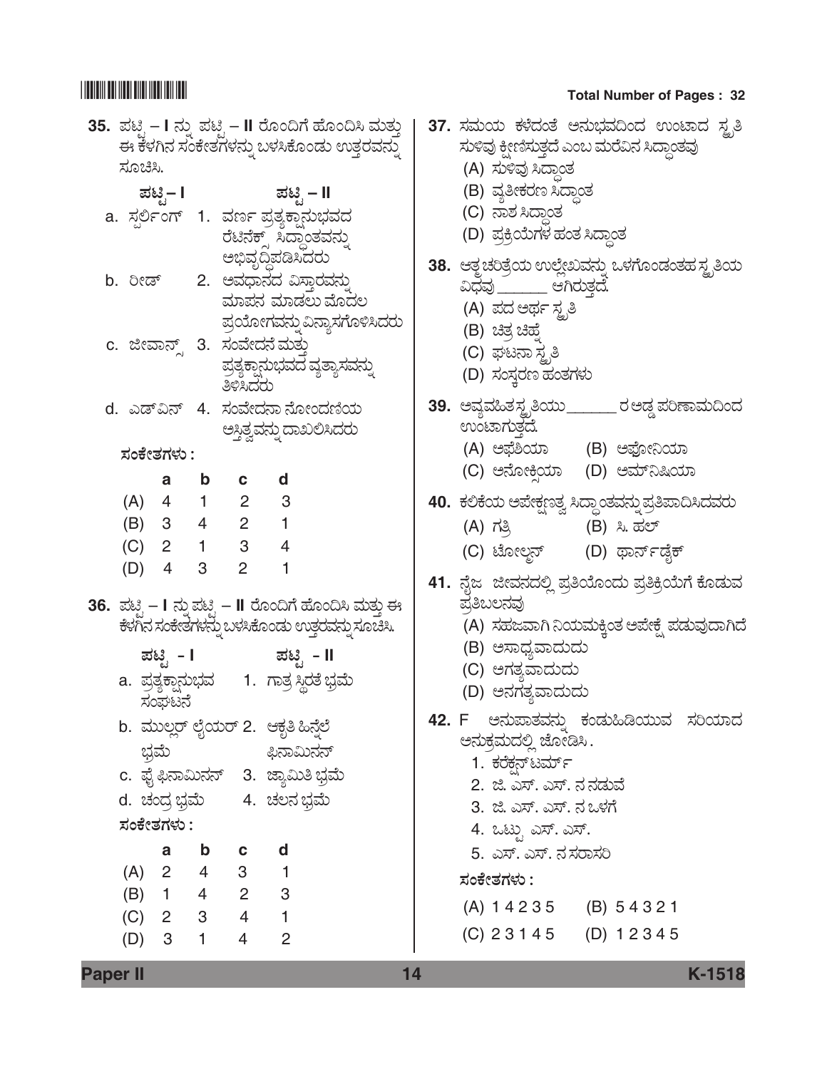### **35.** ಪಟ್ಟಿ – I ನ್ನು ಪಟ್ಟಿ – II ರೊಂದಿಗೆ ಹೊಂದಿಸಿ ಮತ್ತು | 37. ಸಮಯ ಕಳೆದಂತೆ ಅನುಭವದಿಂದ ಉಂಟಾದ ಸ್ಟ್ರತಿ ಈ ಕೆಳಗಿನ ಸಂಕೇತಗಳನ್ನು ಬಳಸಿಕೊಂಡು ಉತ್ತರವನ್ನು ಸೂಚಿಸಿ. *±Üqr* **– I** *±Üqr* **– II** a. ಸ್ಪರ್ಲಿಂಗ್ 1. ವರ್ಣಪ್ರತ್ಯಕ್ಷಾನುಭವದ ರೆಟಿನೆಕ್ ಸಿದ್ಧಾಂತವನ್ನು ಅಭಿವೃದ್ಧಿಪಡಿಸಿದರು b. ರೀಡ್ 2. ಅವಧಾನದ ವಿಸ್ತಾರವನ್ನು ಮಾಪನ ಮಾಡಲು ಮೊದಲ ್ಪವಯೋಗವನ್ನು ವಿನ್ಯಾಸಗೊಳಿಸಿದರು c. ಜೀವಾನ್ಸ್ 3. ಸಂವೇದನೆ*ಮ*ತ್ತು ಪ್ರತ್ಯಕ್ಷಾನುಭವದ ವ್ಯತ್ಯಾಸವನ್ನು ತಿಳಿಸಿದರು d. ಎಡ್ವನ್ 4. ಸಂವೇದನಾ ನೋಂದಣಿಯ ಅಸ್ತಿತ್ವವನ್ನು ದಾಖಲಿಸಿದರು *ÓÜíPæàñÜWÜÙÜá :* **a b c d** (A) 4 1 2 3 (B) 3 4 2 1 (C) 2 1 3 4 (D) 4 3 2 1 **36.** ಪಟ್ಸಿ – I ನ್ನು ಪಟ್ಸಿ – II ರೊಂದಿಗೆ ಹೊಂದಿಸಿ ಮತ್ತು ಈ ಕೆಳಗಿನ ಸಂಕೇತಗಳನ್ನು ಬಳಸಿಕೊಂಡು ಉತ್ತರವನ್ನು ಸೂಚಿಸಿ. *±Üqr &* **I** *±Üqr &* **II** a. ಪ್ರತ್ಯಕ್ಷಾನುಭವ 1. ಗಾತ್ರ ಸ್ಥಿರತೆ ಭ್ರಮೆ ಸಂಘಟನೆ b. ಮುಲ್ಲರ್ ಲೈಯರ್ 2. ಆಕೃತಿ ಹಿನ್ನೆಲೆ ಭ್ರಮೆ ಭನಾಮಿನನ್ c. ಫೈ ಫಿನಾಮಿನನ್ 3. ಜ್ಯಾಮಿತಿ ಭ್ರಮೆ d. ಚಂದ್ರ ಭ್ರಮೆ 4. ಚಲನ ಭ್ರಮೆ *ÓÜíPæàñÜWÜÙÜá :* **a b c d** (A) 2 4 3 1 (B) 1 4 2 3 (C) 2 3 4 1 (D) 3 1 4 2 (A) ಸುಳಿವು ಸಿದ್ದಾಂತ (C) ನಾಶ ಸಿದ್ದಾಂತ (A) ಪದ ಅರ್ಥ ಸ್ಟ್ರತಿ (B) ಚಿತ್ರ ಚಿಹ್ತೆ (C) ಘಟನಾ ಸ್ಟ್ರತಿ ಉಂಟಾಗುತ್ತದೆ. ಪ್ರತಿಬಲನವು 1. ಕರೆಕ್ಷನ್ಟಮ್೯ *ÓÜíPæàñÜWÜÙÜá :*

## \*K1518\* **Total Number of Pages : 32**

|   | (A) ಸುಳಿವು ಸಿದ್ಧಾಂತ                                                                                        | ಸುಳಿವು ಕ್ಷೀಣಿಸುತ್ತದೆ ಎಂಬ ಮರೆವಿನ ಸಿದ್ಧಾಂತವು                          |
|---|------------------------------------------------------------------------------------------------------------|---------------------------------------------------------------------|
|   | (B) ವ್ಯತೀಕರಣ ಸಿದ್ದಾಂತ<br>(C) ನಾಶ ಸಿದ್ಧಾಂತ                                                                  |                                                                     |
|   | (D) ಪ್ರಕ್ರಿಯೆಗಳ ಹಂತ ಸಿದ್ಧಾಂತ                                                                               | 38.  ಆತ್ಮಚರಿತ್ರೆಯ ಉಲ್ಲೇಖವನ್ನು ಒಳಗೊಂಡಂತಹ ಸ್ಥೃತಿಯ                     |
|   | ವಿಧವು _______ ಆಗಿರುತ್ತದೆ.<br>(A) ಪದ ಅರ್ಥ ಸ್ಥೃತಿ<br>(B) ಚಿತ್ರ ಚಿಹ್ನೆ<br>(C) ಘಟನಾಸ್ಥತಿ<br>(D) ಸಂಸ್ತರಣ ಹಂತಗಳು |                                                                     |
|   | ಉಂಟಾಗುತ್ತದೆ.                                                                                               | 39. ಅವ್ಯವಹಿತಸ್ಥೃತಿಯು_______ರ ಅಡ್ಡ ಪರಿಣಾಮದಿಂದ                        |
|   | (A) ಅಫೆಶಿಯಾ (B) ಅಫೋನಿಯಾ                                                                                    | (C) ಅನೋಕ್ಷಿಯಾ   (D) ಅಮ್ನಿಷಿಯಾ                                       |
|   | (A) ಗತ್ರಿ                                                                                                  | 40.  ಕಲಿಕೆಯ ಅಪೇಕ್ಷಣತ್ವ ಸಿದ್ಧಾಂತವನ್ನು ಪ್ರತಿಪಾದಿಸಿದವರು<br>(B) ಸಿ. ಹಲ್ |
|   | (C) ಟೋಲ್ಟನ್                                                                                                | (D) ಥಾರ್ನಡೈಕ್<br>41. ನೈಜ  ಜೀವನದಲ್ಲಿ ಪ್ರತಿಯೊಂದು ಪ್ರತಿಕ್ರಿಯೆಗೆ ಕೊಡುವ  |
| ŝ | ಪ್ರತಿಬಲನವು<br>(B) ಅಸಾಧ್ಯವಾದುದು<br>(C) ಅಗತ್ಯವಾದುದು                                                          | (A) ಸಹಜವಾಗಿ ನಿಯಮಕ್ಕಿಂತ ಅಪೇಕ್ಷೆ ಪಡುವುದಾಗಿದೆ                          |
|   | (D) ಅನಗತ್ಯವಾದುದು<br>ಅನುಕ್ರಮದಲ್ಲಿ ಜೋಡಿಸಿ .<br>1. ಕರೆಕ್ಷನ್ಟರ್ಮ್                                              | <b>42.</b> F  ಅನುಪಾತವನ್ನು ಕಂಡುಹಿಡಿಯುವ ಸರಿಯಾದ                        |
|   | 2. ಜಿ. ಎಸ್. ಎಸ್. ನ ನಡುವೆ<br>3. ಜಿ. ಎಸ್. ಎಸ್. ನ ಒಳಗೆ                                                        |                                                                     |
|   | 4. ಒಟ್ಟು ಎಸ್. ಎಸ್.<br>5. ಎಸ್. ಎಸ್. ನ ಸರಾಸರಿ                                                                |                                                                     |
|   | ಸಂಕೇತಗಳು :                                                                                                 |                                                                     |
|   | (A) 14235 (B) 54321                                                                                        |                                                                     |
|   | (C) 23145                                                                                                  | $(D)$ 12345                                                         |

**Paper II 14 K-1518**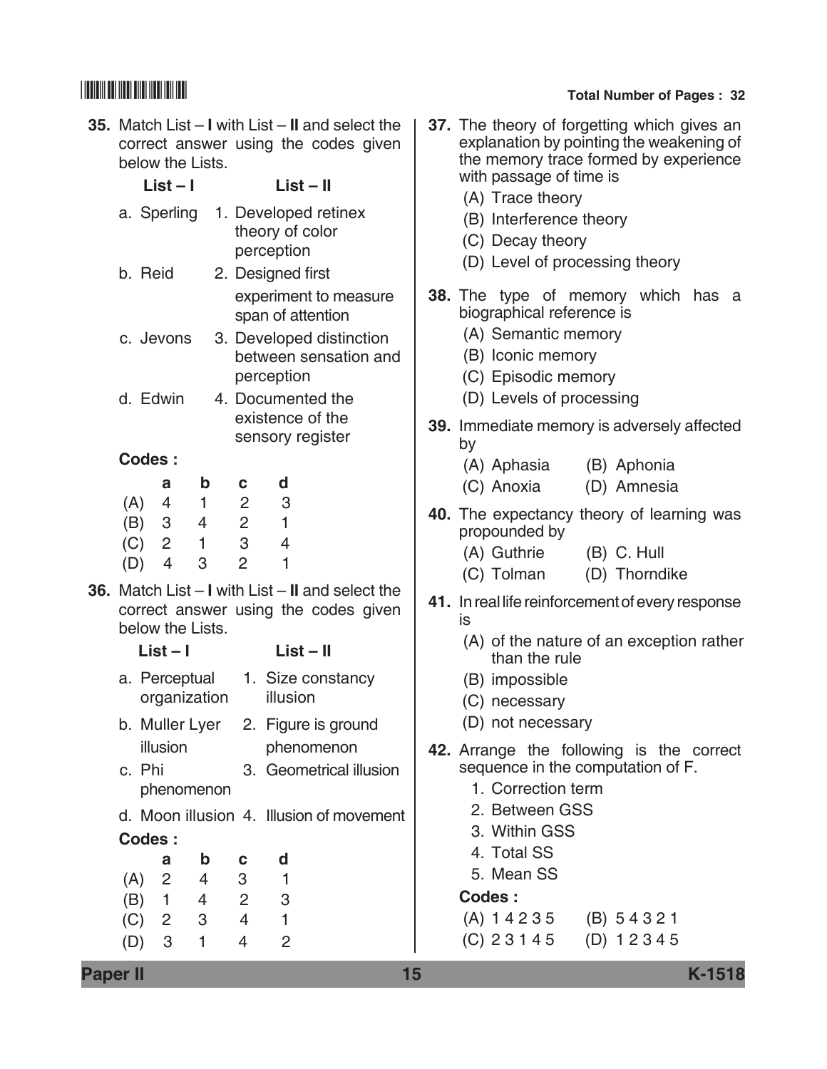#### **35.** Match List – **I** with List – **II** and select the correct answer using the codes given below the Lists. **List – I List – II** a. Sperling 1. Developed retinex theory of color perception b. Reid 2. Designed first experiment to measure span of attention c. Jevons 3. Developed distinction between sensation and perception d. Edwin 4. Documented the existence of the sensory register **Codes : a b c d** (A) 4 1 2 3 (B) 3 4 2 1 (C) 2 1 3 4 (D) 4 3 2 1 **36.** Match List – **I** with List – **II** and select the correct answer using the codes given below the Lists. **List – I List – II** a. Perceptual 1. Size constancy organization illusion b. Muller Lyer 2. Figure is ground illusion phenomenon c. Phi 3. Geometrical illusion phenomenon d. Moon illusion 4. Illusion of movement **Codes : a b c d** (A) 2 4 3 1 (B) 1 4 2 3 (C) 2 3 4 1 **37.** The theory of forgetting which gives an explanation by pointing the weakening of the memory trace formed by experience with passage of time is (A) Trace theory (B) Interference theory (C) Decay theory (D) Level of processing theory **38.** The type of memory which has a biographical reference is (A) Semantic memory (B) Iconic memory (C) Episodic memory (D) Levels of processing **39.** Immediate memory is adversely affected by (A) Aphasia (B) Aphonia (C) Anoxia (D) Amnesia **40.** The expectancy theory of learning was propounded by (A) Guthrie (B) C. Hull (C) Tolman (D) Thorndike **41.** In real life reinforcement of every response is (A) of the nature of an exception rather than the rule (B) impossible (C) necessary (D) not necessary **42.** Arrange the following is the correct sequence in the computation of F. 1. Correction term 2. Between GSS 3. Within GSS 4. Total SS 5. Mean SS **Codes :**

(A) 1 4 2 3 5 (B) 5 4 3 2 1 (C) 2 3 1 4 5 (D) 1 2 3 4 5

**Paper II 15 K-1518**

(D) 3 1 4 2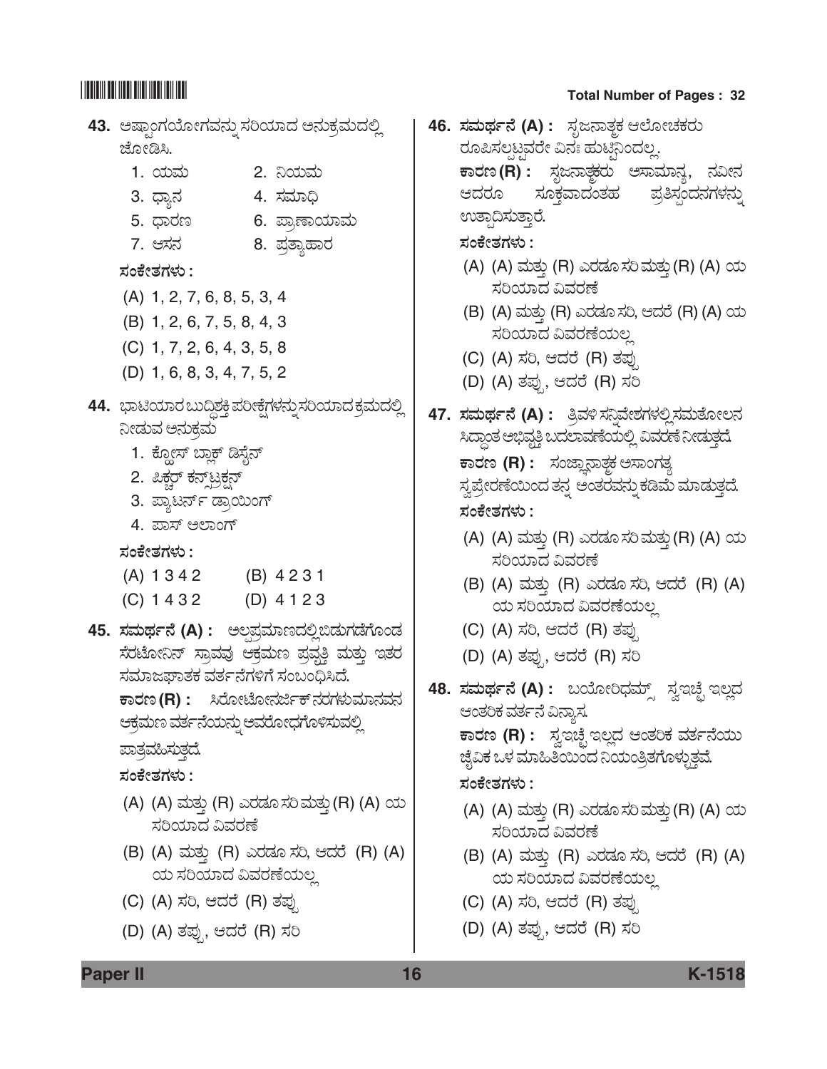**43.** ಅಷ್ರಾಂಗಯೋಗವನ್ನು ಸರಿಯಾದ ಅನುಕ್ರಮದಲ್ಲಿ ಜೋಡಿಸಿ. 1. ಯಮ 2. ನಿಯಮ 3. «Ý®Ü 4. ÓÜÊÜÞ— 5. «ÝÃÜ| 6. ±ÝÅOÝ¿ÞÊÜá 7. ಆಸನ 8. ಪ್ರತ್ಯಾಹಾರ

#### *ÓÜíPæàñÜWÜÙÜá :*

- (A) 1, 2, 7, 6, 8, 5, 3, 4
- (B) 1, 2, 6, 7, 5, 8, 4, 3
- (C) 1, 7, 2, 6, 4, 3, 5, 8
- (D) 1, 6, 8, 3, 4, 7, 5, 2
- 44. ಭಾಟಿಯಾರ ಬುದ್ಧಿಶಕ್ತಿ ಪರೀಕ್ಷೆಗಳನ್ನು ಸರಿಯಾದ ಕ್ರಮದಲ್ಲಿ ನೀಡುವ ಅನುಕ್ಷಮ
	- 1. ಕ್ಲೋಸ್ ಬ್ಲಾಕ್ ಡಿಸೈನ್
	- 2. ಪಿಕ್ಸರ್ ಕನ್ಸ್ಟ್ರಕ್ಷನ್
	- 3. ಪ್ಯಾಟರ್ನ್ ಡ್ರಾಯಿಂಗ್
	- 4. ಪಾಸ್ ಅಲಾಂಗ್

#### *ÓÜíPæàñÜWÜÙÜá :*

- (A) 1 3 4 2 (B) 4 2 3 1
- (C) 1 4 3 2 (D) 4 1 2 3
- 45. ಸಮರ್ಥನೆ (A) : **ಅಲಪ್ರಮಾಣದಲಿ ಬಿಡುಗಡೆಗೊಂಡ** ಸೆರಟೋನಿನ್ ಸ್ರಾವವು ಆಕ್ರಮಣ ಪ್ರವೃತ್ತಿ ಮತ್ತು ಇತರ ಸಮಾಜಘಾತಕ ವರ್ತನೆಗಳಿಗೆ ಸಂಬಂಧಿಸಿದೆ.

 $\overline{P}$ ಕಾರಣ (R) : ಸಿರೋಟೋನರ್ಜಿಕ್ ನರಗಳುಮಾನವನ ಆಕ್ರಮಣ ವರ್ತನೆಯನ್ನು ಅವರೋಧಗೊಳಿಸುವಲ್ಲಿ

ಪಾತ್ರವಹಿಸುತ್ತದೆ.

*ÓÜíPæàñÜWÜÙÜá :*

- (A) (A) ಮತ್ತು (R) ಎರಡೂ ಸರಿ ಮತ್ತು (R) (A) ಯ ಸರಿಯಾದ ವಿವರಣೆ
- (B) (A) ಮತ್ತು (R) ಎರಡೂ ಸರಿ, ಆದರೆ (R) (A) ಯ ಸರಿಯಾದ ವಿವರಣೆಯಲ್ಲ
- (C) (A) ಸರಿ, ಆದರೆ (R) ತಪ್ಪು
- (D) (A) ತಪ್ಪು, ಆದರೆ (R) ಸರಿ

## \*K1518\* **Total Number of Pages : 32**

**46. ಸಮರ್ಥನೆ (A) :** ಸೃಜನಾತ್ತಕ ಆಲೋಚಕರು ರೂಪಿಸಲ್ಪಟ್ಟವರೇ ವಿನಃ ಹುಟಿನಿಂದಲ್ಲ.  $\overline{P}$ ಕಾರಣ (R) : ಸ್ವಜನಾತ್ಗಕರು ಅಸಾಮಾನ್ಯ, ನವೀನ ಆದರೂ ಸೂಕವಾದಂತಹ ಪ್ರತಿಸಂದನಗಳನ್ನು ಉತ್ಪಾದಿಸುತ್ತಾರೆ. *ÓÜíPæàñÜWÜÙÜá :* (A) (A) ಮತ್ತು (R) ಎರಡೂ ಸರಿ ಮತ್ತು (R) (A) ಯ ಸರಿಯಾದ ವಿವರಣೆ (B) (A) ಮತ್ತು (R) ಎರಡೂ ಸರಿ, ಆದರೆ (R) (A) ಯ ಸರಿಯಾದ ವಿವರಣೆಯಲ್ಲ (C) (A) ಸರಿ, ಆದರೆ (R) ತಪ್ಪು (D) (A) ತಪ್ಪು, ಆದರೆ (R) ಸರಿ **47. ಸಮರ್ಥನೆ (A) :** ತಿವಳಿ ಸನಿವೇಶಗಳಲ್ಲಿಸಮತೋಲನ ಸಿದ್ಧಾಂತ ಅಭಿವೃತ್ತಿ ಬದಲಾವಣೆಯಲ್ಲಿ ವಿವರಣೆ ನೀಡುತ್ತದೆ.  $\overline{\texttt{F}}$ ಹರಣ (R) : ಸಂಜ್ಞಾನಾತ್<del>ಚ</del> ಅಸಾಂಗತ್ಯ ಸ್ವಪ್ರೇರಣೆಯಿಂದ ತನ್ನ ಅಂತರವನ್ನು ಕಡಿಮೆ ಮಾಡುತ್ತದೆ. *ÓÜíPæàñÜWÜÙÜá :* (A) (A) ಮತ್ತು (R) ಎರಡೂ ಸರಿ ಮತ್ತು (R) (A) ಯ ಸರಿಯಾದ ವಿವರಣೆ (B) (A) ಮತ್ತು (R) ಎರಡೂ ಸರಿ, ಆದರೆ (R) (A) ಯ ಸರಿಯಾದ ವಿವರಣೆಯಲ್ಲ (C) (A) ಸರಿ, ಆದರೆ (R) ತಪ್ಪು (D) (A) ತಪ್ಪು, ಆದರೆ (R) ಸರಿ 48. ಸಮರ್ಥನೆ (A) : ಬಯೋರಿಧಮ್ಸ್ ಸ್ತಇಚ್ಛೆ ಇಲ್ಲದ ಆಂತರಿಕ ವರ್ತನೆ ವಿನ್ಯಾಸ.  $\overline{P}$ ಕಾರಣ (R) : ಸ್ವಇಚ್ಛೆ ಇಲ್ಲದ ಆಂತರಿಕ ವರ್ತನೆಯು ಜೈವಿಕ ಒಳ ಮಾಹಿತಿಯಿಂದ ನಿಯಂತ್ರಿತಗೊಳ್ಳುತ್ತವೆ. *ÓÜíPæàñÜWÜÙÜá :* (A) (A) ಮತ್ತು (R) ಎರಡೂ ಸರಿ ಮತ್ತು (R) (A) ಯ ಸರಿಯಾದ ವಿವರಣೆ (B) (A) ಮತ್ತು (R) ಎರಡೂ ಸರಿ, ಆದರೆ (R) (A) ಯ ಸರಿಯಾದ ವಿವರಣೆಯಲ್ಲ (C) (A) ಸರಿ, ಆದರೆ (R) ತಪ್ಪು (D) (A) ತಪ್ಪು, ಆದರೆ (R) ಸರಿ

**Paper II 16 K-1518**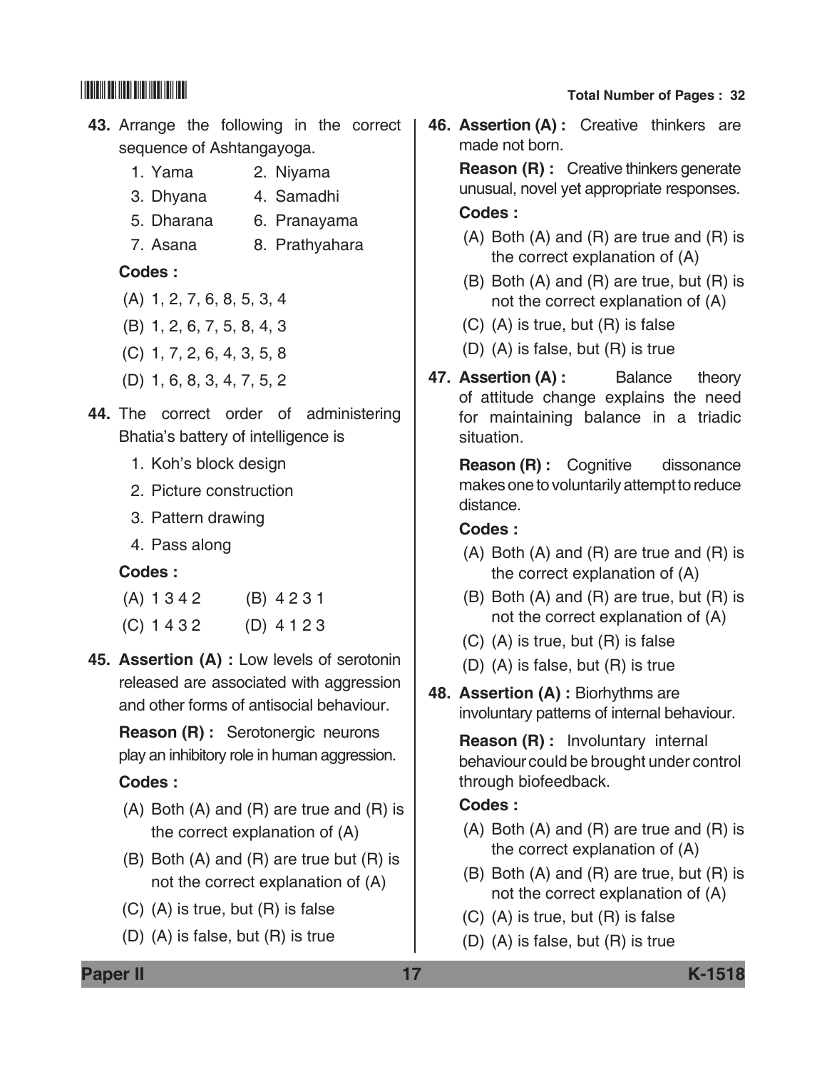### **43.** Arrange the following in the correct sequence of Ashtangayoga.

- 1. Yama 2. Niyama
- 3. Dhyana 4. Samadhi
- 5. Dharana 6. Pranayama
- 7. Asana 8. Prathyahara

### **Codes :**

- (A) 1, 2, 7, 6, 8, 5, 3, 4
- (B) 1, 2, 6, 7, 5, 8, 4, 3
- (C) 1, 7, 2, 6, 4, 3, 5, 8
- (D) 1, 6, 8, 3, 4, 7, 5, 2
- **44.** The correct order of administering Bhatia's battery of intelligence is
	- 1. Koh's block design
	- 2. Picture construction
	- 3. Pattern drawing
	- 4. Pass along

### **Codes :**

- (A) 1 3 4 2 (B) 4 2 3 1
- $(C)$  1 4 3 2  $(D)$  4 1 2 3
- **45. Assertion (A) :** Low levels of serotonin released are associated with aggression and other forms of antisocial behaviour.
	- **Reason (R) :** Serotonergic neurons play an inhibitory role in human aggression.

### **Codes :**

- (A) Both (A) and (R) are true and (R) is the correct explanation of (A)
- (B) Both (A) and (R) are true but (R) is not the correct explanation of (A)
- (C) (A) is true, but (R) is false
- (D) (A) is false, but (R) is true

## \*K1518\* **Total Number of Pages : 32**

**46. Assertion (A) :** Creative thinkers are made not born.

> **Reason (R) :** Creative thinkers generate unusual, novel yet appropriate responses.

### **Codes :**

- (A) Both (A) and (R) are true and (R) is the correct explanation of (A)
- (B) Both (A) and (R) are true, but (R) is not the correct explanation of (A)
- (C) (A) is true, but (R) is false
- (D) (A) is false, but (R) is true
- **47. Assertion (A) :** Balance theory of attitude change explains the need for maintaining balance in a triadic situation.

**Reason (R) :** Cognitive dissonance makes one to voluntarily attempt to reduce distance.

### **Codes :**

- (A) Both (A) and (R) are true and (R) is the correct explanation of (A)
- (B) Both (A) and (R) are true, but (R) is not the correct explanation of (A)
- (C) (A) is true, but (R) is false
- (D) (A) is false, but (R) is true
- **48. Assertion (A) :** Biorhythms are involuntary patterns of internal behaviour.

 **Reason (R) :** Involuntary internal behaviour could be brought under control through biofeedback.

### **Codes :**

- (A) Both (A) and (R) are true and (R) is the correct explanation of (A)
- (B) Both (A) and (R) are true, but (R) is not the correct explanation of (A)
- (C) (A) is true, but (R) is false
- (D) (A) is false, but (R) is true

**Paper II 17 K-1518**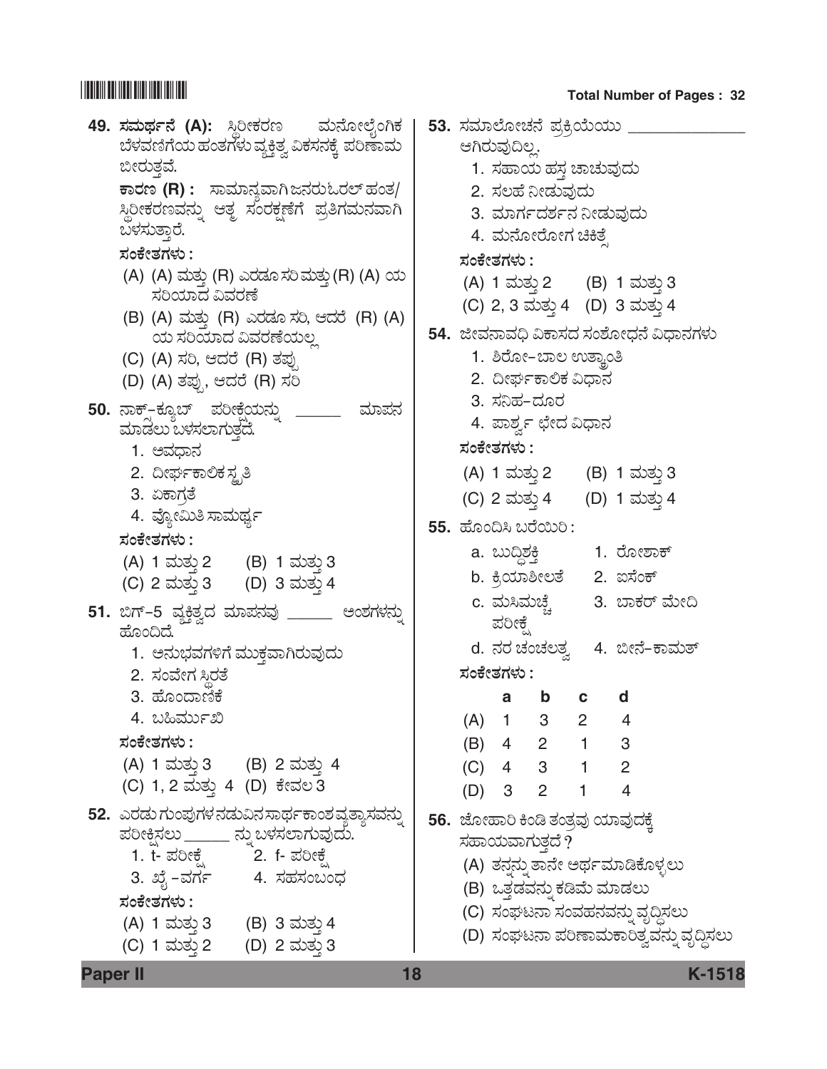**Paper II 18 K-1518 49. ಸಮರ್ಥನೆ (A):** ಸ್ಥಿರೀಕರಣ ಮನೋಲೈಂಗಿಕ ಬೆಳವಣಿಗೆಯ ಹಂತಗಳು ವ್ಯಕ್ತಿತ್ವ ವಿಕಸನಕ್ಕೆ ಪರಿಣಾಮ ಬೀರುತ್ತವೆ. **ಕಾರಣ (R) :** ಸಾಮಾನ್ಯವಾಗಿ ಜನರುಓರಲ್ ಹಂತ/<br>ಸ್ಥಿರೀಕರಣವನ್ನು ಆತ್ಮ ಸಂರಕ್ಷಣೆಗೆ ಪ್ರತಿಗಮನವಾಗಿ ಬಳಸುತ್ತಾರೆ. *ÓÜíPæàñÜWÜÙÜá :* (A) (A) ಮತ್ತು (R) ಎರಡೂ ಸರಿ ಮತ್ತು (R) (A) ಯ ಸರಿಯಾದ ವಿವರಣೆ (B) (A) ಮತ್ತು (R) ಎರಡೂ ಸರಿ, ಆದರೆ (R) (A) ಯ ಸರಿಯಾದ ವಿವರಣೆಯಲ್ಲ (C) (A) ಸರಿ, ಆದರೆ (R) ತಪ್ಪು (D) (A) ತಪ್ಪು, ಆದರೆ (R) ಸರಿ **50.** ನಾಕ್ಸ್-ಕ್ಯೂಬ್ ಪರೀಕ್ಷೆಯನ್ನು \_\_\_\_\_\_ ಮಾಪನ ಮಾಡಲು ಬಳಸಲಾಗುತ್ತದೆ. 1. ಅವಧಾನ 2. ದೀರ್ಘಕಾಲಿಕಸ್ಟ್ರತಿ 3. ಏಕಾಗತೆ 4. ವ್ಯೋಮಿತಿ ಸಾಮರ್ಥ್ಯ *ÓÜíPæàñÜWÜÙÜá :*  $(A)$  1 ಮತ್ತು 2  $(B)$  1 ಮತ್ತು 3 (C) 2 ಮತ್ತು 3 (D) 3 ಮತ್ತು 4 **51.** ಬಿಗ್-5 ವ್ಯಕ್ತಿತ್ವದ ಮಾಪನವು \_\_\_\_\_\_ ಅಂಶಗಳನ್ನು<br> ಹೊಂದಿದೆ. 1. ಅನುಭವಗಳಿಗೆ ಮುಕ್ತವಾಗಿರುವುದು 2. ಸಂವೇಗ ಸ್ಥಿರತೆ 3. ಹೊಂದಾಣಿಕೆ 4. ಬಹಿರ್ಮುಖಿ *ÓÜíPæàñÜWÜÙÜá :* (A) 1 ಮತ್ತು 3 (B) 2 ಮತ್ತು 4 (C) 1, 2 ಮತ್ತು 4 (D) ಕೇವಲ 3 **52.** ಎರಡು ಗುಂಪುಗಳ ನಡುವಿನ ಸಾರ್ಥಕಾಂಶ ವ್ಯತ್ಯಾಸವನ್ನು |ಪರೀಕ್ಷಿಸಲು \_\_\_\_\_\_ ನ್ನು ಬಳಸಲಾಗುವುದು. 1. t- ಪರೀಕೆ 2. f- ಪರೀಕೆ 3. ಖೈ $-$ ವರ್ಗೆ 4. ಸಹಸಂಬಂಧ ಸಂಕೇತಗಳು : (A) 1 ಮತ್ತು 3 (B) 3 ಮತ್ತು 4 (C) 1 ಮತ್ತು 2 (D) 2 ಮತ್ತು 3 ಆಗಿರುವುದಿಲ್ಲ. *ÓÜíPæàñÜWÜÙÜá : ÓÜíPæàñÜWÜÙÜá :* ಪರೀಕ್ಷೆ

**53.** ಸಮಾಲೋಚನೆ ಪ್ರಕ್ರಿಯೆಯು 1. ಸಹಾಯ ಹಸ್ತ ಚಾಚುವುದು 2. ಸಲಹೆ ನೀಡುವುದು 3. ಮಾರ್ಗದರ್ಶನ ನೀಡುವುದು 4. ಮನೋರೋಗ ಚಿಕಿತ್ರೆ  $(A)$  1 ಮತ್ತು 2  $(B)$  1 ಮತ್ತು 3 (C) 2, 3 ಮತ್ತು 4 (D) 3 ಮತ್ತು 4 **54.** ಜೀವನಾವಧಿ ವಿಕಾಸದ ಸಂಶೋಧನೆ ವಿಧಾನಗಳು 1. ಶಿರೋ–ಬಾಲ ಉತ್ಕಾಂತಿ 2. ದೀರ್ಘಕಾಲಿಕ ವಿಧಾನ 3. ಸನಿಹ–ದೂರ 4. ಪಾರ್ಶ್ವ ಛೇದ ವಿಧಾನ (A) 1 ಮತ್ತು 2 (B) 1 ಮತ್ತು 3 (C) 2 ಮತ್ತು 4 (D) 1 ಮತ್ತು 4 **55.** ಹೊಂದಿಸಿ ಬರೆಯಿರಿ: a. Ÿá©œÍÜQ¤ 1. ÃæãàÍÝP… b. ಕ್ರಿಯಾಶೀಲತೆ 2. ಐಸೆಂಕ್ c. ಮಸಿಮಚ್ಚೆ 3. ಬಾಕರ್ ಮೇದಿ d. ನರ ಚಂಚಲತ್ವ 4. ಬೀನೆ-ಕಾಮತ್ ಸಂಕೇತಗಳು : **a b c d** (A) 1 3 2 4 (B) 4 2 1 3 (C) 4 3 1 2 (D) 3 2 1 4 **56.** ಜೋಹಾರಿ ಕಿಂಡಿ ತಂತ್ರವು ಯಾವುದಕ್ಕೆ ಸಹಾಯವಾಗುತ್ತದೆ ? (A) ತನ್ನನ್ನು ತಾನೇ ಅರ್ಥಮಾಡಿಕೊಳ್ಳಲು (B) ಒತ್ತಡವನ್ನು ಕಡಿಮೆ ಮಾಡಲು (C) ಸಂಘಟನಾ ಸಂವಹನವನು ವೃದ್ಧಿಸಲು

(D) ಸಂಘಟನಾ ಪರಿಣಾಮಕಾರಿತ್ವವನ್ನು ವೃದ್ಧಿಸಲು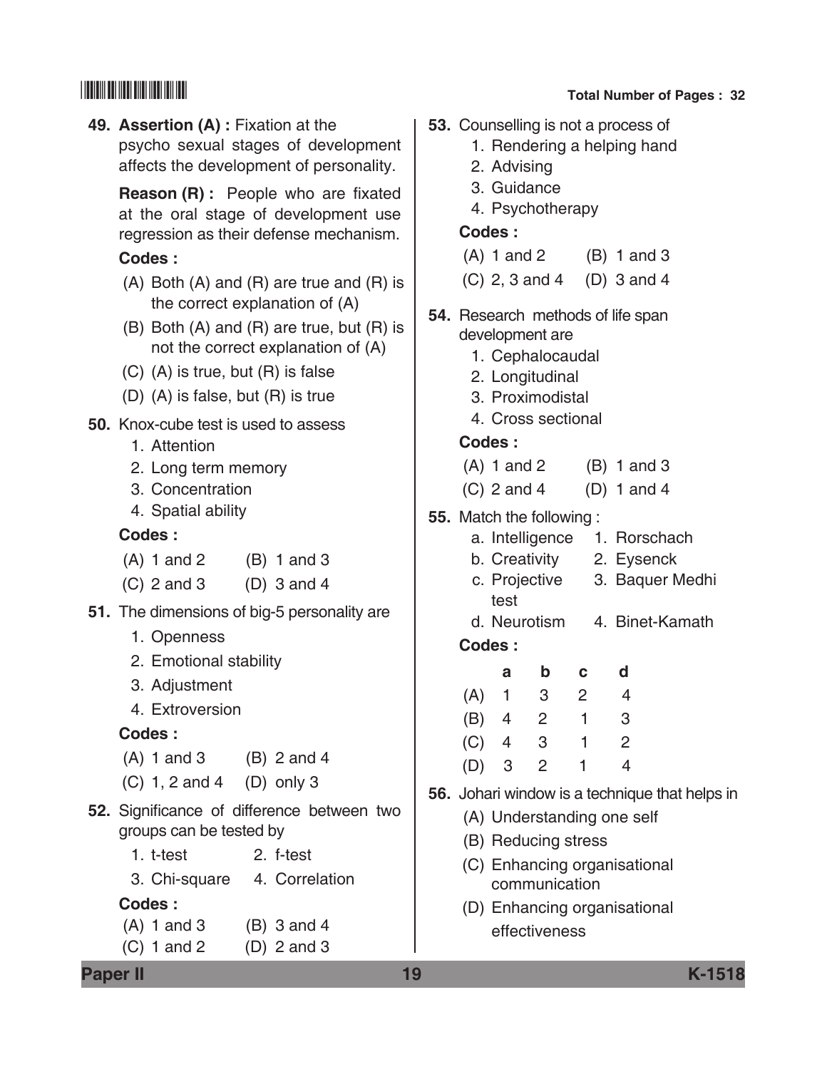**49. Assertion (A) :** Fixation at the psycho sexual stages of development affects the development of personality.

 **Reason (R) :** People who are fixated at the oral stage of development use regression as their defense mechanism.

### **Codes :**

- (A) Both (A) and (R) are true and (R) is the correct explanation of (A)
- (B) Both (A) and (R) are true, but (R) is not the correct explanation of (A)
- (C) (A) is true, but (R) is false
- (D) (A) is false, but (R) is true

### **50.** Knox-cube test is used to assess

- 1. Attention
- 2. Long term memory
- 3. Concentration
- 4. Spatial ability

### **Codes :**

- (A) 1 and 2 (B) 1 and 3
- $(C)$  2 and 3  $(D)$  3 and 4
- **51.** The dimensions of big-5 personality are
	- 1. Openness
	- 2. Emotional stability
	- 3. Adjustment
	- 4. Extroversion

#### **Codes :**

- (A) 1 and 3 (B) 2 and 4
- (C) 1, 2 and 4 (D) only 3
- **52.** Significance of difference between two groups can be tested by
	- 1. t-test 2. f-test
	- 3. Chi-square 4. Correlation

### **Codes :**

(A) 1 and 3 (B) 3 and 4  $(C)$  1 and 2  $(D)$  2 and 3

## \*K1518\* **Total Number of Pages : 32**

**53.** Counselling is not a process of 1. Rendering a helping hand 2. Advising 3. Guidance 4. Psychotherapy **Codes :** (A) 1 and 2 (B) 1 and 3 (C) 2, 3 and 4 (D) 3 and 4 **54.** Research methods of life span development are 1. Cephalocaudal 2. Longitudinal 3. Proximodistal 4. Cross sectional **Codes :**  $(A) 1$  and 2  $(B) 1$  and 3 (C) 2 and 4 (D) 1 and 4 **55.** Match the following : a. Intelligence 1. Rorschach b. Creativity 2. Eysenck c. Projective 3. Baquer Medhi test d. Neurotism 4. Binet-Kamath **Codes :**

|     | а            | b | с            | d |
|-----|--------------|---|--------------|---|
| (A) | $\mathbf{1}$ | 3 | 2            | 4 |
| (B) | 4            | 2 | 1            | 3 |
| (C) | 4            | 3 | 1            | 2 |
| (D) | -3           | 2 | $\mathbf{1}$ | 4 |

- **56.** Johari window is a technique that helps in
	- (A) Understanding one self
	- (B) Reducing stress
	- (C) Enhancing organisational communication
	- (D) Enhancing organisational effectiveness

**Paper II 19 K-1518**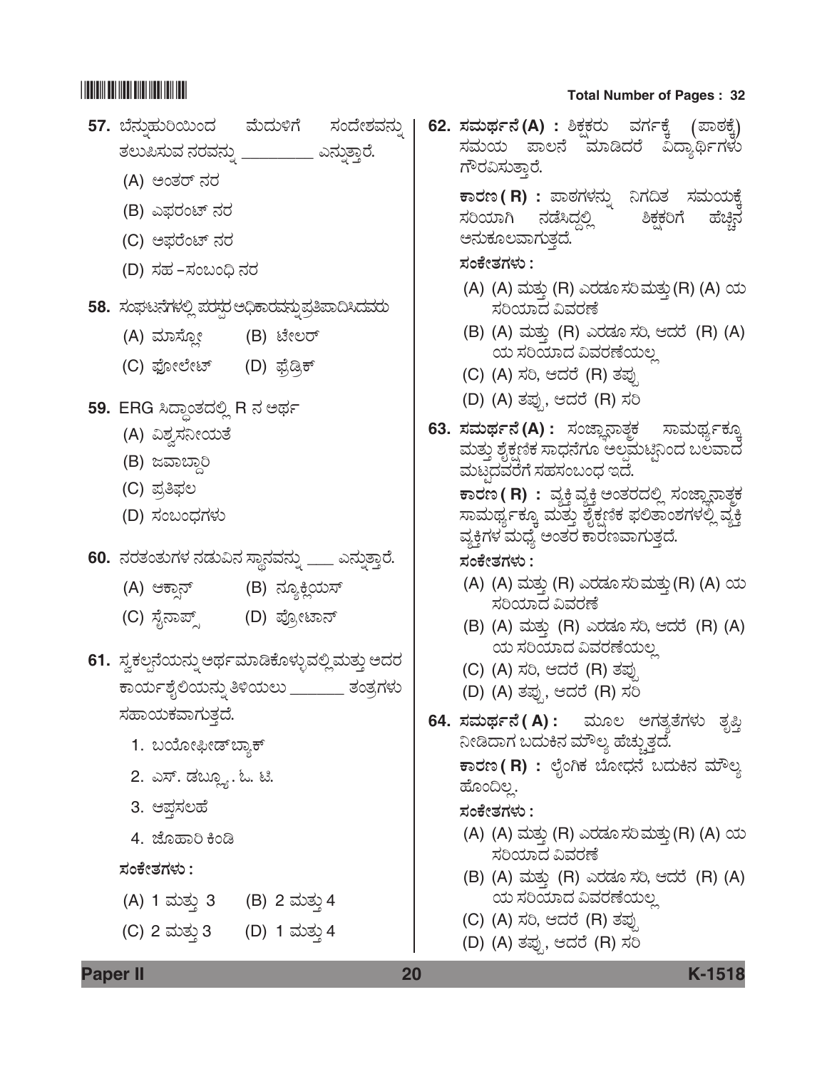| 57. ಬೆನ್ನುಹುರಿಯಿಂದ ಮೆದುಳಿಗೆ ಸಂದೇಶವನ್ನು  <br>ತಲುಪಿಸುವ ನರವನ್ನು __________ ಎನ್ನುತ್ತಾರೆ.<br>(A) ಅಂತರ್ ನರ                                                                                                                     | 62. ಸಮರ್ಥನೆ(A) : ಶಿಕ್ಷಕರು  ವರ್ಗಕ್ಕೆ  (ಪಾಠಕ್ಕೆ)<br>ಸಮಯ ಪಾಲನೆ ಮಾಡಿದರೆ ವಿದ್ಯಾರ್ಥಿಗಳು<br>ಗೌರವಿಸುತ್ತಾರೆ.                                                                                                                                                                                                                                                                           |
|--------------------------------------------------------------------------------------------------------------------------------------------------------------------------------------------------------------------------|-------------------------------------------------------------------------------------------------------------------------------------------------------------------------------------------------------------------------------------------------------------------------------------------------------------------------------------------------------------------------------|
| (B) ಎಫರಂಟ್ ನರ<br>(C) ಅಫರೆಂಟ್ ನರ                                                                                                                                                                                          | ಕಾರಣ ( R) : ಪಾಠಗಳನ್ನು ನಿಗದಿತ ಸಮಯಕ್ಕೆ<br>ಸರಿಯಾಗಿ ನಡೆಸಿದ್ದಲ್ಲಿ ` ಶಿಕ್ಷಕರಿಗೆ ಹೆಚ್ಚಿನ<br>ಅನುಕೂಲವಾಗುತ್ತದೆ.<br>ಸಂಕೇತಗಳು :                                                                                                                                                                                                                                                           |
| (D) ಸಹ –ಸಂಬಂಧಿ ನರ<br>58. ಸಂಘಟನೆಗಳಲ್ಲಿ ಪರಸ್ಪರ ಅಧಿಕಾರವನ್ನು ಪ್ರತಿಪಾದಿಸಿದವರು<br>(A) ಮಾಸ್ಲೋ (B) ಟೇಲರ್<br>(C) ಫೋಲೇಟ್ (D) ಫ್ರೆಡ್ರಿಕ್                                                                                            | (A) (A) ಮತ್ತು (R) ಎರಡೂ ಸರಿ ಮತ್ತು (R) (A) ಯ<br>ಸರಿಯಾದ ವಿವರಣೆ<br>(B) (A) ಮತ್ತು (R) ಎರಡೂ ಸರಿ, ಆದರೆ (R) (A)<br>ಯ ಸರಿಯಾದ ವಿವರಣೆಯಲ್ಲ<br>(C) (A) ಸರಿ, ಆದರೆ (R) ತಪ್ಪು<br>(D) (A) ತಪ್ಪು, ಆದರೆ (R) ಸರಿ                                                                                                                                                                                  |
| 59. ERG ಸಿದ್ಧಾಂತದಲ್ಲಿ R ನ ಅರ್ಥ<br>(A) ವಿಶ್ವಸನೀಯತೆ<br>(B) ಜವಾಬ್ದಾರಿ<br>(C) ಪ್ರತಿಫಲ<br>(D) ಸಂಬಂಧಗಳು                                                                                                                        | 63. ಸಮರ್ಥನೆ(A) : ಸಂಜ್ಞಾನಾತ್ಮಕ ಸಾಮರ್ಥ್ಯಕ್ಕೂ<br>ಮತ್ತು ಶೈಕ್ಷಣಿಕ ಸಾಧನೆಗೂ ಅಲ್ಲಮಟಿನಿಂದ ಬಲವಾದೆ<br>ಮಟ್ತದವರೆಗೆ ಸಹಸಂಬಂಧ ಇದೆ.<br>ಕಾರಣ ( R) : ವ್ಯಕ್ತಿ ವ್ಯಕ್ತಿ ಅಂತರದಲ್ಲಿ ಸಂಜ್ಞಾನಾತ್ಮಕ<br>ಸಾಮರ್ಥ್ಯಕ್ತೂ ಮತ್ತು ಶೈಕ್ಷಣಿಕ ಫಲಿತಾಂಶಗಳಲ್ಲಿ ವ್ಯಕ್ತಿ                                                                                                                                                 |
| 60.  ನರತಂತುಗಳ ನಡುವಿನ ಸ್ಥಾನವನ್ನು ____ ಎನ್ನುತ್ತಾರೆ.<br>(A) ಆಕ್ಸಾನ್         (B) ನ್ಯೂಕ್ಲಿಯಸ್<br>(C) ಸೈನಾಪ್ಸ್         (D) ಪ್ರೋಟಾನ್<br>61. ಸ್ವಕಲ್ಪನೆಯನ್ನು ಅರ್ಥಮಾಡಿಕೊಳ್ಳುವಲ್ಲಿ ಮತ್ತು ಅದರ                                        | ವ್ಯಕ್ತಿಗಳ ಮಧ್ಯೆ ಅಂತರ ಕಾರಣವಾಗುತ್ತದೆ.<br>ಸಂಕೇತಗಳು :<br>(A) (A) ಮತ್ತು (R) ಎರಡೂ ಸರಿ ಮತ್ತು (R) (A) ಯ<br>ಸರಿಯಾದ ವಿವರಣೆ<br>(B) (A) ಮತ್ತು (R) ಎರಡೂ ಸರಿ, ಆದರೆ (R) (A)<br>ಯ ಸರಿಯಾದ ವಿವರಣೆಯಲ್ಲ<br>(C) (A) ಸರಿ, ಆದರೆ (R) ತಪ್ಪು                                                                                                                                                            |
| ಕಾರ್ಯಶೈಲಿಯನ್ನು ತಿಳಿಯಲು ________ ತಂತ್ರಗಳು<br>ಸಹಾಯಕವಾಗುತ್ತದೆ.<br>1. ಬಯೋಫೀಡ್ಬ್ಯಾಕ್<br>2. ಎಸ್. ಡಬ್ಲ್ಯೂ. ಓ. ಟಿ.<br>3. ಆಪ್ತಸಲಹೆ<br>4. ಜೊಹಾರಿ ಕಿಂಡಿ<br>ಸಂಕೇತಗಳು :<br>(A) 1 ಮತ್ತು 3 (B) 2 ಮತ್ತು 4<br>(C) 2 ಮತ್ತು 3 (D) 1 ಮತ್ತು 4 | (D) (A) ತಪ್ಪು, ಆದರೆ (R) ಸರಿ<br>64. ಸಮರ್ಥನೆ(A): ಮೂಲ ಅಗತ್ಯತೆಗಳು ತೃಪ್ತಿ<br>ನೀಡಿದಾಗ ಬದುಕಿನ ಮೌಲ್ಯ ಹೆಚ್ಚುತ್ತದೆ.<br>ಕಾರಣ ( R) : ಲೈಂಗಿಕ ಬೋಧನೆ ಬದುಕಿನ ಮೌಲ್ಯ<br>ಹೊಂದಿಲ್ಲ.<br>ಸಂಕೇತಗಳು :<br>(A) (A) ಮತ್ತು (R) ಎರಡೂ ಸರಿ ಮತ್ತು (R) (A) ಯ<br>ಸರಿಯಾದ ವಿವರಣೆ<br>(B) (A) ಮತ್ತು (R) ಎರಡೂ ಸರಿ, ಆದರೆ (R) (A)<br>ಯ ಸರಿಯಾದ ವಿವರಣೆಯಲ್ಲ<br>(C) (A) ಸರಿ, ಆದರೆ (R) ತಪ್ಪು<br>(D) (A) ತಪ್ಪು, ಆದರೆ (R) ಸರಿ |

**Paper II 20 K-1518**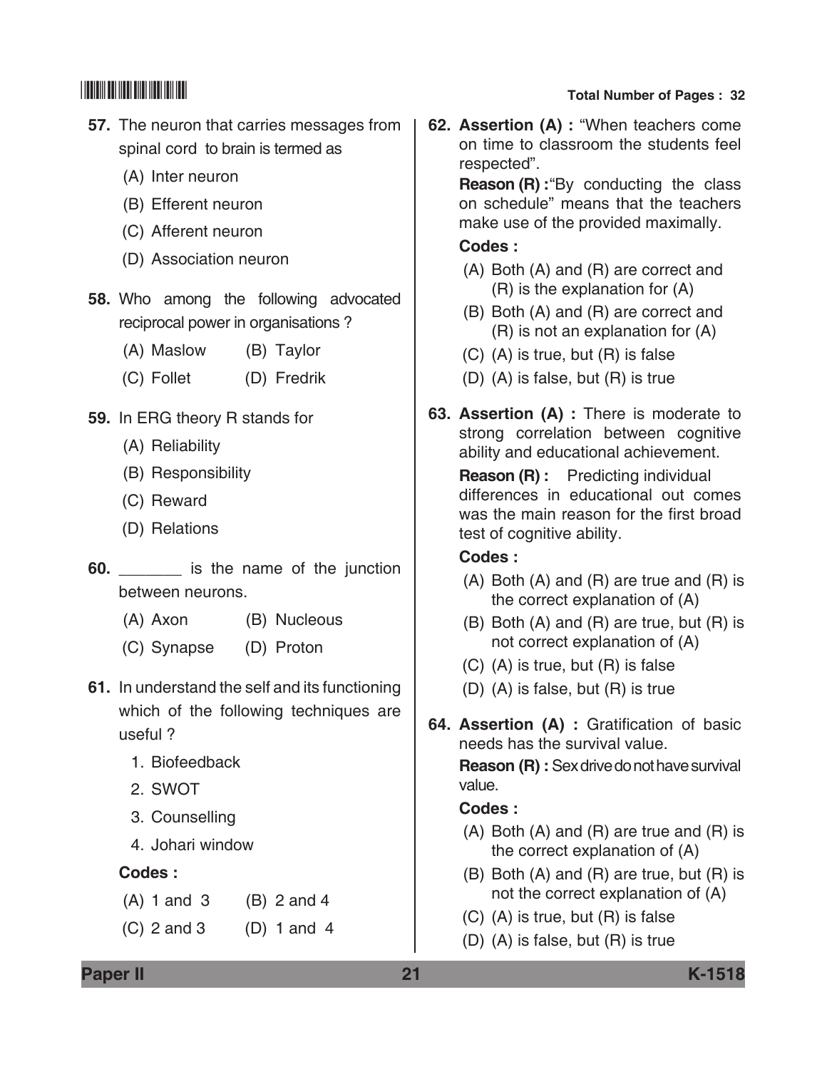### **57.** The neuron that carries messages from spinal cord to brain is termed as

- (A) Inter neuron
- (B) Efferent neuron
- (C) Afferent neuron
- (D) Association neuron
- **58.** Who among the following advocated reciprocal power in organisations ?
	- (A) Maslow (B) Taylor
	- (C) Follet (D) Fredrik
- **59.** In ERG theory R stands for
	- (A) Reliability
	- (B) Responsibility
	- (C) Reward
	- (D) Relations
- **60.** \_\_\_\_\_\_\_ is the name of the junction between neurons.
	- (A) Axon (B) Nucleous
	- (C) Synapse (D) Proton
- **61.** In understand the self and its functioning which of the following techniques are useful ?
	- 1. Biofeedback
	- 2. SWOT
	- 3. Counselling
	- 4. Johari window

#### **Codes :**

- (A) 1 and 3 (B) 2 and 4
- (C) 2 and 3 (D) 1 and 4

**62. Assertion (A) :** "When teachers come on time to classroom the students feel respected".

 **Reason (R) :**"By conducting the class on schedule" means that the teachers make use of the provided maximally.

#### **Codes :**

- (A) Both (A) and (R) are correct and (R) is the explanation for (A)
- (B) Both (A) and (R) are correct and (R) is not an explanation for (A)
- (C) (A) is true, but (R) is false
- (D) (A) is false, but (R) is true
- **63. Assertion (A) :** There is moderate to strong correlation between cognitive ability and educational achievement.

**Reason (R) :** Predicting individual differences in educational out comes was the main reason for the first broad test of cognitive ability.

### **Codes :**

- (A) Both (A) and (R) are true and (R) is the correct explanation of (A)
- (B) Both (A) and (R) are true, but (R) is not correct explanation of (A)
- (C) (A) is true, but (R) is false
- (D) (A) is false, but (R) is true
- **64. Assertion (A) :** Gratification of basic needs has the survival value.

 **Reason (R) :** Sex drive do not have survival value.

### **Codes :**

- (A) Both (A) and (R) are true and (R) is the correct explanation of (A)
- (B) Both (A) and (R) are true, but (R) is not the correct explanation of (A)
- (C) (A) is true, but (R) is false
- (D) (A) is false, but (R) is true

**Paper II 21 K-1518**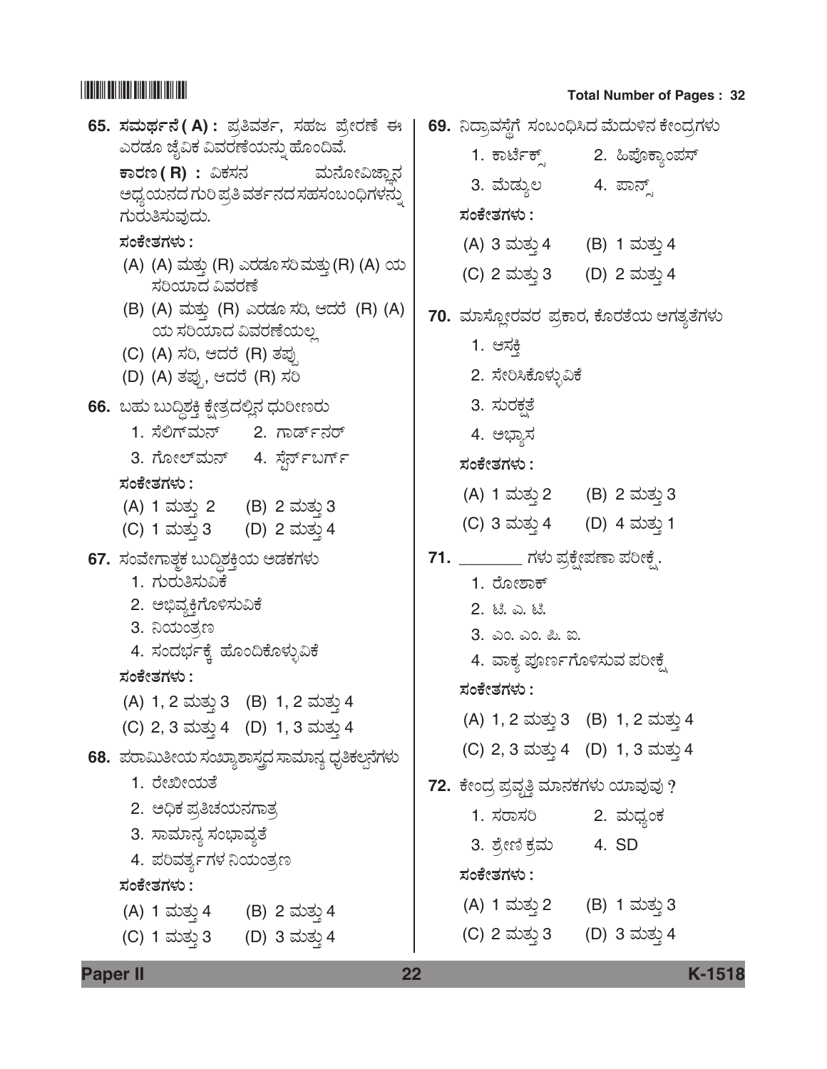| 65. ಸಮರ್ಥನೆ(A): ಪ್ರತಿವರ್ತ, ಸಹಜ ಪ್ರೇರಣೆ ಈ                                                       | 69.  ನಿದ್ರಾವಸ್ಥೆಗೆ  ಸಂಬಂಧಿಸಿದ ಮೆದುಳಿನ ಕೇಂದ್ರಗಳು               |
|------------------------------------------------------------------------------------------------|---------------------------------------------------------------|
| ಎರಡೂ ಜೈವಿಕ ವಿವರಣೆಯನ್ನು ಹೊಂದಿವೆ.                                                                | 2. ಹಿಪೊಕ್ತಾಂಪಸ್<br>1. ಕಾರ್ಟೆಕ್ಸ್                              |
| ಕಾರಣ ( R) : ವಿಕಸನ         ಮನೋವಿಜ್ಞಾನ                             ಮನೋವಿಜ್ಞಾನ                    | 3. ಮೆಡ್ಶುಲ<br>4. ಪಾನ್ <u>ಸ್</u>                               |
| ಅಧ್ಯಯನದ ಗುರಿ ಪ್ರತಿ ವರ್ತನದ ಸಹಸಂಬಂಧಿಗಳನ್ನು<br>ಗುರುತಿಸುವುದು.                                      | ಸಂಕೇತಗಳು :                                                    |
| ಸಂಕೇತಗಳು :                                                                                     | (A) 3 ಮತ್ತು 4 (B) 1 ಮತ್ತು 4                                   |
| (A) (A) ಮತ್ತು (R) ಎರಡೂ ಸರಿ ಮತ್ತು (R) (A) ಯ<br>ಸರಿಯಾದ ವಿವರಣೆ                                    | (C) 2 ಮತ್ತು 3 (D) 2 ಮತ್ತು 4                                   |
| (B) (A) ಮತ್ತು (R) ಎರಡೂ ಸರಿ, ಆದರೆ (R) (A)<br>ಯ ಸರಿಯಾದ ವಿವರಣೆಯಲ್ಲ<br>(C) (A) ಸರಿ, ಆದರೆ (R) ತಪ್ಪು | 70. ಮಾಸ್ಲೋರವರ ಪ್ರಕಾರ, ಕೊರತೆಯ ಅಗತ್ತತೆಗಳು<br>1. ಆಸಕ <u>್</u> ತಿ |
| (D) (A) ತಪ್ಪು, ಆದರೆ (R) ಸರಿ                                                                    | 2. ಸೇರಿಸಿಕೊಳ್ಳುವಿಕೆ                                           |
| 66. ಬಹು ಬುದ್ಧಿಶಕ್ತಿ ಕ್ಷೇತ್ರದಲ್ಲಿನ ಧುರೀಣರು                                                      | 3. ಸುರಕ್ಷತೆ                                                   |
| 1. ಸೆಲಿಗ್ಮನ್ 2. ಗಾರ್ಡ್ನರ್                                                                      | 4. ಅಭ್ಯಾಸ                                                     |
| 3. ಗೋಲ್ಮನ್ 4. ಸ್ಪರ್ನ್ಐರ್ಗ್                                                                     | ಸಂಕೇತಗಳು :                                                    |
| ಸಂಕೇತಗಳು :                                                                                     | (A) 1 ಮತ್ತು 2 (B) 2 ಮತ್ತು 3                                   |
| (A) 1 ಮತ್ತು 2 (B) 2 ಮತ್ತು 3                                                                    | (C) 3 ಮತ್ತು 4 (D) 4 ಮತ್ತು 1                                   |
| (C) 1 ಮತ್ತು 3 (D) 2 ಮತ್ತು 4                                                                    |                                                               |
| 67. ಸಂವೇಗಾತ್ಚಕ ಬುದ್ಧಿಶಕ್ತಿಯ ಅಡಕಗಳು                                                             | <b>71.</b> _________ ಗಳು ಪ್ರಕ್ಷೇಪಣಾ ಪರೀಕ್ಷೆ.                  |
| 1. ಗುರುತಿಸುವಿಕೆ<br>2. ಅಭಿವ್ಯಕ್ತಿಗೊಳಿಸುವಿಕೆ                                                     | 1. ರೋಶಾಕ್                                                     |
| 3. ನಿಯಂತ್ರಣ                                                                                    | 2. & 2. &                                                     |
| 4. ಸಂದರ್ಭಕ್ಕೆ ಹೊಂದಿಕೊಳ್ಳುವಿಕೆ                                                                  | 3. ಎಂ. ಎಂ. ಪಿ. ಐ.<br>4. ವಾಕ್ಯ ಪೂರ್ಣಗೊಳಿಸುವ ಪರೀಕ್ಷೆ            |
| ಸಂಕೇತಗಳು :                                                                                     | ಸಂಕೇತಗಳು :                                                    |
| (A) 1, 2 ಮತ್ತು 3 (B) 1, 2 ಮತ್ತು 4                                                              |                                                               |
| (C) 2, 3 ಮತ್ತು 4 (D) 1, 3 ಮತ್ತು 4                                                              | (A) 1, 2 ಮತ್ತು 3 (B) 1, 2 ಮತ್ತು 4                             |
| 68. ಪರಾಮಿತೀಯ ಸಂಖ್ಯಾಶಾಸ್ತ್ರದ ಸಾಮಾನ್ಯ ಧೃತಿಕಲ್ಪನೆಗಳು                                              | (C) 2, 3 ಮತ್ತು 4 (D) 1, 3 ಮತ್ತು 4                             |
| 1. ರೇಖೀಯತೆ                                                                                     | 72.  ಕೇಂದ್ರ ಪ್ರವೃತ್ತಿ ಮಾನಕಗಳು ಯಾವುವು ?                        |
|                                                                                                |                                                               |
| 2. ಅಧಿಕ ಪ್ರತಿಚಯನಗಾತ್ರ                                                                          | 1. ಸರಾಸರಿ<br>2. ಮಧ್ಯಂಕ                                        |
| 3. ಸಾಮಾನ್ಯ ಸಂಭಾವ್ಯತೆ                                                                           | 4. SD                                                         |
| 4. ಪರಿವರ್ತ್ಯಗಳ ನಿಯಂತ್ರಣ                                                                        | 3. ಶ್ರೇಣಿ ಕ್ರಮ<br>ಸಂಕೇತಗಳು :                                  |
| ಸಂಕೇತಗಳು :                                                                                     |                                                               |
| (A) 1 ಮತ್ತು 4 (B) 2 ಮತ್ತು 4<br>(C) 1 ಮತ್ತು 3 (D) 3 ಮತ್ತು 4                                     | (A) 1 ಮತ್ತು 2 (B) 1 ಮತ್ತು 3<br>(C) 2 ಮತ್ತು 3 (D) 3 ಮತ್ತು 4    |

**Paper II 22 K-1518**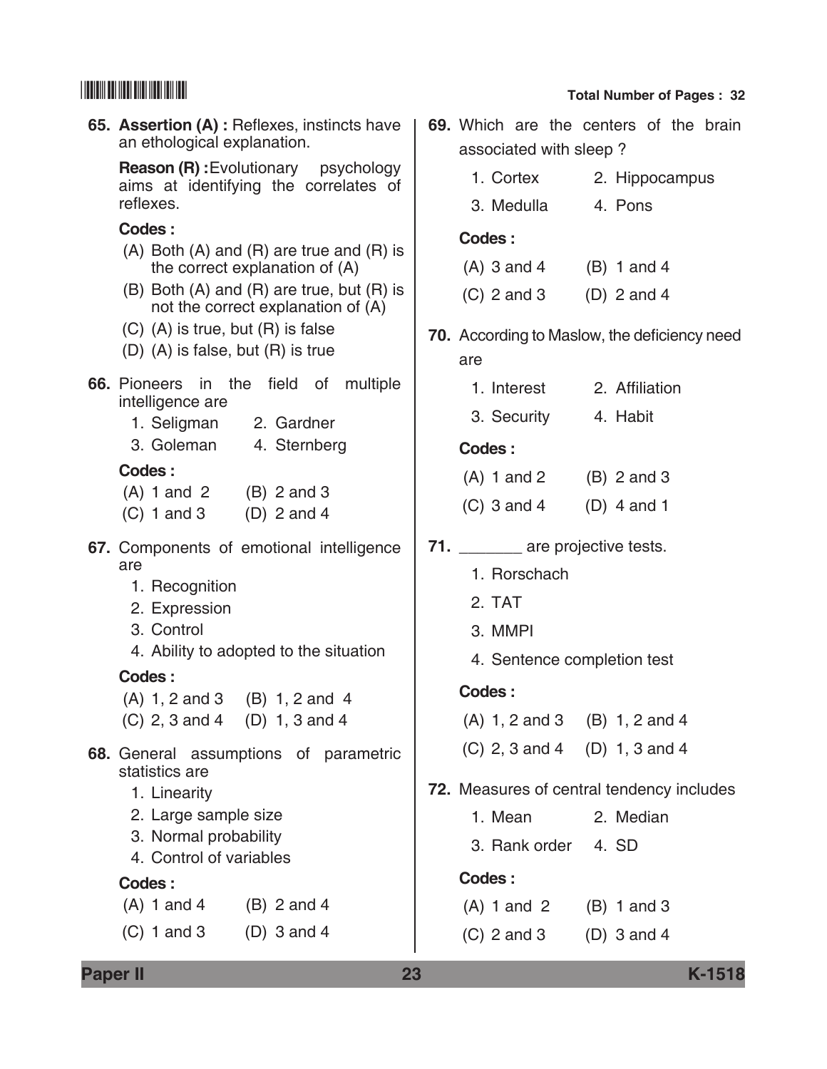| 65. Assertion (A) : Reflexes, instincts have<br>an ethological explanation.     | 69. Which are the centers of the brain<br>associated with sleep?                                                                                                                                                                                                       |
|---------------------------------------------------------------------------------|------------------------------------------------------------------------------------------------------------------------------------------------------------------------------------------------------------------------------------------------------------------------|
| <b>Reason (R):</b> Evolutionary psychology                                      | 1. Cortex<br>2. Hippocampus                                                                                                                                                                                                                                            |
| reflexes.                                                                       | 3. Medulla<br>4. Pons                                                                                                                                                                                                                                                  |
| Codes:                                                                          | Codes:                                                                                                                                                                                                                                                                 |
| the correct explanation of (A)                                                  | $(A)$ 3 and 4<br>$(B)$ 1 and 4                                                                                                                                                                                                                                         |
| (B) Both (A) and (R) are true, but (R) is<br>not the correct explanation of (A) | $(C)$ 2 and 3<br>$(D)$ 2 and 4                                                                                                                                                                                                                                         |
| (D) (A) is false, but (R) is true                                               | <b>70.</b> According to Maslow, the deficiency need<br>are                                                                                                                                                                                                             |
|                                                                                 | 2. Affiliation<br>1. Interest                                                                                                                                                                                                                                          |
| 1. Seligman<br>2. Gardner                                                       | 3. Security<br>4. Habit                                                                                                                                                                                                                                                |
| 3. Goleman<br>4. Sternberg                                                      | Codes:                                                                                                                                                                                                                                                                 |
| Codes:                                                                          | $(A)$ 1 and 2<br>$(B)$ 2 and 3                                                                                                                                                                                                                                         |
| $(D)$ 2 and 4<br>$(C)$ 1 and 3                                                  | $(C)$ 3 and 4<br>$(D)$ 4 and 1                                                                                                                                                                                                                                         |
|                                                                                 | 71. __________ are projective tests.                                                                                                                                                                                                                                   |
|                                                                                 |                                                                                                                                                                                                                                                                        |
| are                                                                             | 1. Rorschach                                                                                                                                                                                                                                                           |
| 1. Recognition<br>2. Expression                                                 | 2. TAT                                                                                                                                                                                                                                                                 |
| 3. Control                                                                      | 3. MMPI                                                                                                                                                                                                                                                                |
| 4. Ability to adopted to the situation                                          | 4. Sentence completion test                                                                                                                                                                                                                                            |
| Codes:<br>(A) 1, 2 and 3 (B) 1, 2 and 4                                         | Codes:                                                                                                                                                                                                                                                                 |
| (C) 2, 3 and 4 (D) 1, 3 and 4                                                   | $(A)$ 1, 2 and 3 $(B)$ 1, 2 and 4                                                                                                                                                                                                                                      |
| 68. General assumptions of parametric                                           | (C) 2, 3 and 4 (D) 1, 3 and 4                                                                                                                                                                                                                                          |
| statistics are<br>1. Linearity                                                  | 72. Measures of central tendency includes                                                                                                                                                                                                                              |
| 2. Large sample size                                                            | 2. Median<br>1. Mean                                                                                                                                                                                                                                                   |
| 3. Normal probability                                                           | 3. Rank order<br>4. SD                                                                                                                                                                                                                                                 |
| 4. Control of variables<br>Codes:                                               | Codes:                                                                                                                                                                                                                                                                 |
| $(A)$ 1 and 4<br>$(B)$ 2 and 4                                                  | $(A)$ 1 and 2<br>$(B)$ 1 and 3                                                                                                                                                                                                                                         |
|                                                                                 | aims at identifying the correlates of<br>$(A)$ Both $(A)$ and $(R)$ are true and $(R)$ is<br>(C) (A) is true, but (R) is false<br>66. Pioneers in the field of multiple<br>intelligence are<br>$(A) 1$ and 2 $(B) 2$ and 3<br>67. Components of emotional intelligence |

**Paper II 23 K-1518**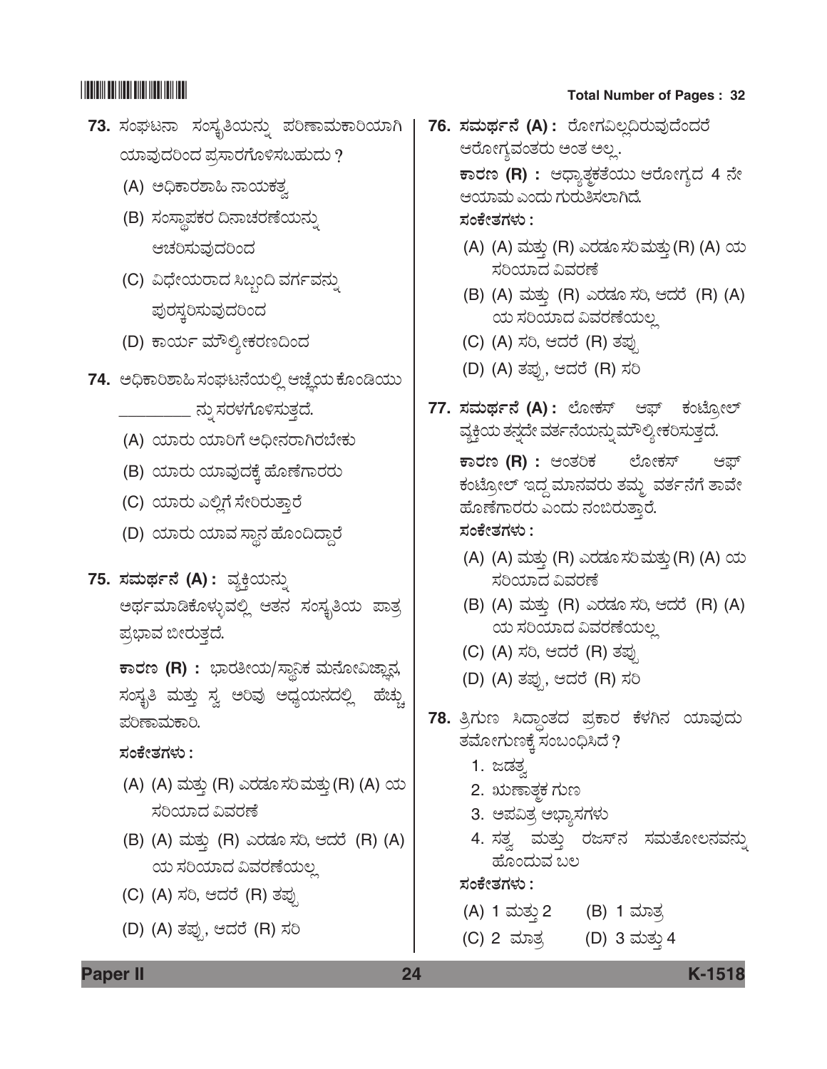## **73.** ಸಂಘಟನಾ ಸಂಸ್ಥತಿಯನ್ನು ಪರಿಣಾಮಕಾರಿಯಾಗಿ ಯಾವುದರಿಂದ ಪ್ರಸಾರಗೊಳಿಸಬಹುದು ?

- (A) ಅಧಿಕಾರಶಾಹಿ ನಾಯಕತ್ತ
- $(B)$  ಸಂಸ್ಥಾಪಕರ ದಿನಾಚರಣೆಯನ್ನು ಆಚರಿಸುವುದರಿಂದ
- (C) ವಿಧೇಯರಾದ ಸಿಬ್ಬಂದಿ ವರ್ಗವನ್ನು ಪುರಸ್ರಯವುದರಿಂದ
- (D) ಕಾರ್ಯ ಮೌಲ್ಯೀಕರಣದಿಂದ
- 74. ಅಧಿಕಾರಿಶಾಹಿ ಸಂಘಟನೆಯಲ್ಲಿ ಆಜ್ಞೆಯ ಕೊಂಡಿಯು \_\_\_\_\_\_\_\_\_\_\_ ನ್ನು ಸರಳಗೊಳಿಸುತ್ತದೆ.
	- (A) ಯಾರು ಯಾರಿಗೆ ಅಧೀನರಾಗಿರಬೇಕು
	- (B) ಯಾರು ಯಾವುದಕ್ಕೆ ಹೊಣೆಗಾರರು
	- (C) ಯಾರು ಎಲ್ಲಿಗೆ ಸೇರಿರುತ್ತಾರೆ
	- (D) ಯಾರು ಯಾವ ಸ್ಥಾನ ಹೊಂದಿದ್ದಾರೆ
- **75. ಸಮರ್ಥನೆ (A):** ವ್ಯಕ್ತಿಯನ್ನು ಅರ್ಥಮಾಡಿಕೊಳ್ಳುವಲ್ಲಿ ಆತನ ಸಂಸ್ಥತಿಯ ಪಾತ್ರ ಪ್ರಭಾವ ಬೀರುತ್ತದೆ.
	- $\overline{\phantom{a}}$ ಕಾರಣ (R) : ಭಾರತೀಯ/ಸ್ಥಾನಿಕ ಮನೋವಿಜ್ಞಾನ, ಸಂಸ್ವತಿ ಮತ್ತು ಸ್ವ ಅರಿವು ಅಧ್ಯಯನದಲ್ಲಿ ಹೆಚ್ಚು ಪರಿಣಾಮಕಾರಿ.

*ÓÜíPæàñÜWÜÙÜá :*

- (A) (A) ಮತ್ತು (R) ಎರಡೂ ಸರಿ ಮತ್ತು (R) (A) ಯ ಸರಿಯಾದ ವಿವರಣೆ
- (B) (A) ಮತ್ತು (R) ಎರಡೂ ಸರಿ, ಆದರೆ (R) (A) ಯ ಸರಿಯಾದ ವಿವರಣೆಯಲ್ಲ
- (C) (A) ಸರಿ, ಆದರೆ (R) ತಪ್ಪು
- (D) (A) ತಪ್ಪು, ಆದರೆ (R) ಸರಿ
- \*K1518\* **Total Number of Pages : 32**
	- 76. ಸಮರ್ಥನೆ (A): ರೋಗವಿಲ್ಷದಿರುವುದೆಂದರೆ ಆರೋಗ್ಯವಂತರು ಅಂತ ಅಲ್ಲ.  $\overline{\phantom{a}}$  **PAI** : ಆಧ್ಯಾತ್ಮಕತೆಯು ಆರೋಗ್ಯದ 4 ನೇ ಆಯಾಮ ಎಂದು ಗುರುತಿಸಲಾಗಿದೆ. *ÓÜíPæàñÜWÜÙÜá :*
		- (A) (A) ಮತ್ತು (R) ಎರಡೂ ಸರಿ ಮತ್ತು (R) (A) ಯ ಸರಿಯಾದ ವಿವರಣೆ
		- (B) (A) ಮತ್ತು (R) ಎರಡೂ ಸರಿ, ಆದರೆ (R) (A) ಯ ಸರಿಯಾದ ವಿವರಣೆಯಲ್ಲ
		- (C) (A) ಸರಿ, ಆದರೆ (R) ತಪ್ಪು
		- (D) (A) ತಪ್ಪು, ಆದರೆ (R) ಸರಿ
	- 77. ಸಮರ್ಥನೆ (A): ಲೋಕಸ್ ಆಫ್ ಕಂಟೋಲ್ ವ್ಯಕ್ತಿಯ ತನ್ನದೇ ವರ್ತನೆಯನ್ನು ಮೌಲ್ಯೀಕರಿಸುತ್ತದೆ.  $\overline{r}$ ಕಾರಣ (R) : ಆಂತರಿಕ ಲೋಕಸ್ ಆಫ್ ಕಂಟ್ರೋಲ್ ಇದ್ದ ಮಾನವರು ತಮ್ಮ ವರ್ತನೆಗೆ ತಾವೇ ಹೊಣೆಗಾರರು ಎಂದು ನಂಬಿರುತ್ತಾರೆ. *ÓÜíPæàñÜWÜÙÜá :*
		- (A) (A) ಮತ್ತು (R) ಎರಡೂ ಸರಿ ಮತ್ತು (R) (A) ಯ ಸರಿಯಾದ ವಿವರಣೆ
		- (B) (A) ಮತ್ತು (R) ಎರಡೂ ಸರಿ, ಆದರೆ (R) (A) ಯ ಸರಿಯಾದ ವಿವರಣೆಯಲ್ಲ
		- (C) (A) ಸರಿ, ಆದರೆ (R) ತಪ್ಪು
		- (D) (A) ತಪ್ಪು, ಆದರೆ (R) ಸರಿ
	- 78. ತ್ರಿಗುಣ ಸಿದ್ಧಾಂತದ ಪ್ರಕಾರ ಕೆಳಗಿನ ಯಾವುದು ತಮೋಗುಣಕ್ಕೆ ಸಂಬಂಧಿಸಿದೆ ?
		- 1. ಜಡತ್ತ
		- 2. ಋಣಾತ್ಮಕ ಗುಣ
		- 3. ಅಪವಿತ್ರ ಅಭ್ಯಾಸಗಳು
		- 4. ಸತ್ವ ಮತ್ತು ರಜಸ್ನ ಸಮತೋಲನವನ್ನು ಹೊಂದುವ ಬಲ

*ÓÜíPæàñÜWÜÙÜá :*

- (A) 1 ಮತ್ತು 2 (B) 1 ಮಾತ್ರ
- (C) 2 ಮಾತ್ರ (D) 3 ಮತ್ತು 4

**Paper II 24 K-1518**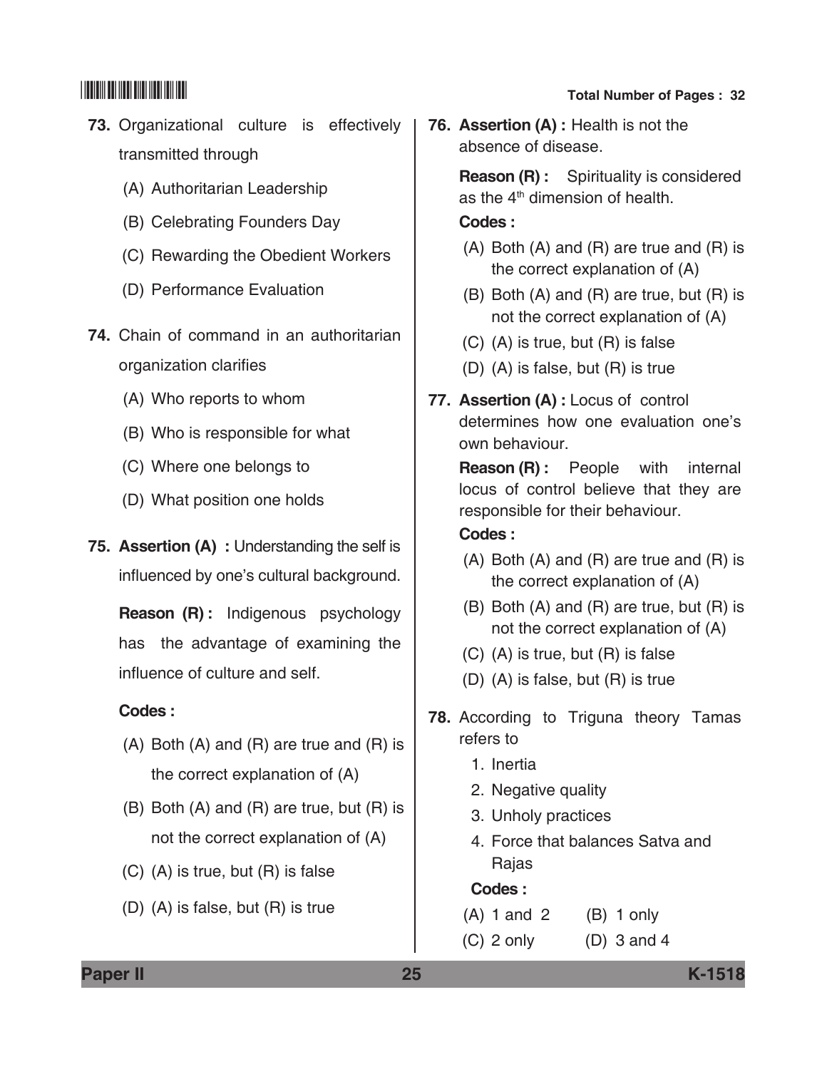- **73.** Organizational culture is effectively transmitted through
	- (A) Authoritarian leadership
	- (B) Celebrating Founders Day
	- (C) Rewarding the obedient workers
	- (D) Performance Evaluation
- **74.** Chain of command in an authoritarian organization clarifies
	- (A) Who reports to whom
	- (B) Who is responsible for what
	- (C) Where one belongs to
	- (D) What position one holds
- **75. Assertion (A) :** Understanding the self is influenced by one's cultural background.

**Reason (R):** Indigenous psychology has the advantage of examining the influence of culture and self.

#### **Codes :**

- (A) Both (A) and (R) are true and (R) is the correct explanation of (A)
- (B) Both (A) and (R) are true, but (R) is not the correct explanation of (A)
- (C) (A) is true, but (R) is false
- (D) (A) is false, but (R) is true

**76. Assertion (A) :** Health is not the absence of disease.

> **Reason (R) :** Spirituality is considered as the  $4<sup>th</sup>$  dimension of health.

#### **Codes :**

- (A) Both (A) and (R) are true and (R) is the correct explanation of (A)
- (B) Both (A) and (R) are true, but (R) is not the correct explanation of (A)
- (C) (A) is true, but (R) is false
- (D) (A) is false, but (R) is true
- **77. Assertion (A) :** Locus of control determines how one evaluation one's own behaviour.

 **Reason (R) :** People with internal locus of control believe that they are responsible for their behaviour.

### **Codes :**

- (A) Both (A) and (R) are true and (R) is the correct explanation of (A)
- (B) Both (A) and (R) are true, but (R) is not the correct explanation of (A)
- (C) (A) is true, but (R) is false
- (D) (A) is false, but (R) is true
- **78.** According to Triguna theory Tamas refers to
	- 1. Inertia
	- 2. Negative quality
	- 3. Unholy practices
	- 4. Force that balances Satva and Rajas

#### **Codes :**

- (A) 1 and 2 (B) 1 only
- $(C)$  2 only  $(D)$  3 and 4

## $\begin{array}{|c|c|c|c|}\hline \text{small} & \text{small} & \text{small} \end{array}$  Total Number of Pages : 32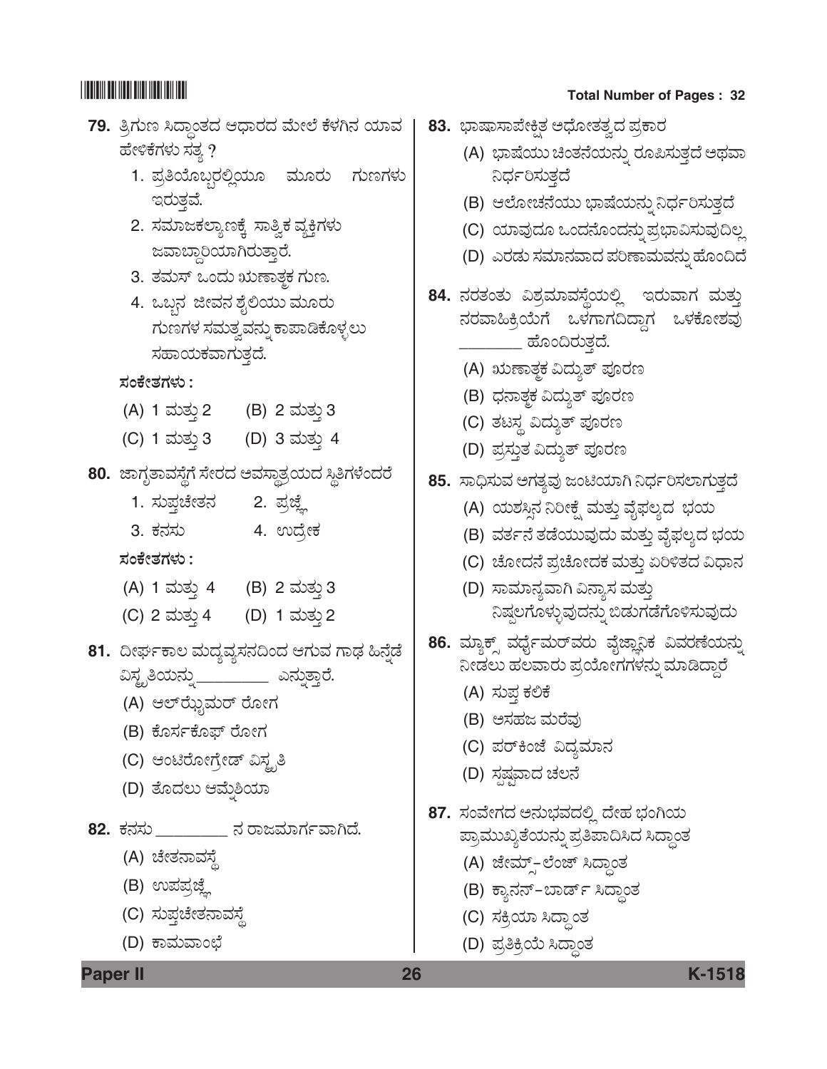|                 | 79. ತ್ರಿಗುಣ ಸಿದ್ಧಾಂತದ ಆಧಾರದ ಮೇಲೆ ಕೆಳಗಿನ ಯಾವ       | 83.  ಭಾಷಾಸಾಪೇಕ್ಷಿತ ಅಧೋತತ್ವದ ಪ್ರಕಾರ             |
|-----------------|---------------------------------------------------|------------------------------------------------|
|                 | ಹೇಳಿಕೆಗಳು ಸತ್ಯ ?                                  | (A) ಭಾಷೆಯು ಚಿಂತನೆಯನ್ನು ರೂಪಿಸುತ್ತದೆ ಅಥವಾ        |
|                 | 1. ಪ್ರತಿಯೊಬ್ಬರಲ್ಲಿಯೂ ಮೂರು<br>ಗುಣಗಳು               | ನಿರ್ಧರಿಸುತ್ತದೆ                                 |
|                 | ಇರುತ್ತವೆ.                                         | (B) ಆಲೋಚನೆಯು ಭಾಷೆಯನ್ನು ನಿರ್ಧರಿಸುತ್ತದೆ          |
|                 | 2. ಸಮಾಜಕಲ್ಯಾಣಕ್ಕೆ ಸಾತ್ವಿಕ ವ್ಯಕ್ತಿಗಳು              | (C) ಯಾವುದೂ ಒಂದನೊಂದನ್ನು ಪ್ರಭಾವಿಸುವುದಿಲ್ಲ        |
|                 | ಜವಾಬ್ದಾರಿಯಾಗಿರುತ್ತಾರೆ.                            | (D) ಎರಡು ಸಮಾನವಾದ ಪರಿಣಾಮವನ್ನು ಹೊಂದಿದೆ           |
|                 | 3. ತಮಸ್ ಒಂದು ಋಣಾತ್ಮಕ ಗುಣ.                         | 84. ನರತಂತು ವಿಶ್ರಮಾವಸ್ಥೆಯಲ್ಲಿ ಇರುವಾಗ ಮತ್ತು      |
|                 | 4. ಒಬ್ಬನ ಜೀವನ ಶೈಲಿಯು ಮೂರು                         | ನರವಾಹಿಕ್ರಿಯೆಗೆ ಒಳಗಾಗದಿದ್ದಾಗ ಒಳಕೋಶವು            |
|                 | ಗುಣಗಳ ಸಮತ್ವವನ್ನು ಕಾಪಾಡಿಕೊಳ್ಳಲು<br>ಸಹಾಯಕವಾಗುತ್ತದೆ. | _______ ಹೊಂದಿರುತ್ತದೆ.                          |
|                 |                                                   | (A) ಋಣಾತ್ಮಕ ವಿದ್ಯುತ್ ಪೂರಣ                      |
|                 | ಸಂಕೇತಗಳು :                                        | (B) ಧನಾತ್ಮಕ ವಿದ್ಯುತ್ ಪೂರಣ                      |
|                 | (A) 1 ಮತ್ತು 2<br>(B) 2 ಮತ್ತು 3                    | (C) ತಟಸ್ಥ ವಿದ್ಯುತ್ ಪೂರಣ                        |
|                 | (D) 3 ಮತ್ತು 4<br>(C) 1 ಮತ್ತು 3                    | (D) ಪ್ರಸ್ತುತ ವಿದ್ಯುತ್ ಪೂರಣ                     |
|                 | 80. ಜಾಗೃತಾವಸ್ಥೆಗೆ ಸೇರದ ಅವಸ್ಥಾತ್ರಯದ ಸ್ಥಿತಿಗಳೆಂದರೆ  | 85. ಸಾಧಿಸುವ ಅಗತ್ಯವು ಜಂಟಿಯಾಗಿ ನಿರ್ಧರಿಸಲಾಗುತ್ತದೆ |
|                 | 1. ಸುಪ್ತಚೇತನ<br>2. ಪ್ರಜ್ಞೆ                        | (A) ಯಶಸ್ಸಿನ ನಿರೀಕ್ಷೆ ಮತ್ತು ವೈಫಲ್ಯದ  ಭಯ         |
|                 | 3. ಕನಸ <u>ು</u><br>4. ಉದ್ರೇಕ                      | (B)  ವರ್ತನೆ ತಡೆಯುವುದು ಮತ್ತು ವೈಫಲ್ಯದ ಭಯ         |
|                 | ಸಂಕೇತಗಳು :                                        | (C) ಚೋದನೆ ಪ್ರಚೋದಕ ಮತ್ತು ಏರಿಳಿತದ ವಿಧಾನ          |
|                 | (A) 1 ಮತ್ತು 4<br>(B) 2 ಮತ್ತು 3                    | (D) ಸಾಮಾನ್ಯವಾಗಿ ವಿನ್ಯಾಸ ಮತ್ತು                  |
|                 | (C) 2 ಮತ್ತು 4<br>(D) 1 ಮತ್ತು 2                    | ನಿಷ್ಠಲಗೊಳ್ಳುವುದನ್ನು ಬಿಡುಗಡೆಗೊಳಿಸುವುದು          |
|                 | 81.  ದೀರ್ಘಕಾಲ ಮದ್ಯವ್ಯಸನದಿಂದ ಆಗುವ ಗಾಢ ಹಿನ್ನೆಡೆ     | 86. ಮ್ಯಾಕ್ಸ್ ವರ್ಧೈಮರ್ವರು ವೈಜ್ಞಾನಿಕ ವಿವರಣೆಯನ್ನು |
|                 | ವಿಸ್ತೃತಿಯನ್ನು__________ ಎನ್ನುತ್ತಾರೆ.              | ನೀಡಲು ಹಲವಾರು ಪ್ರಯೋಗಗಳನ್ನು ಮಾಡಿದ್ದಾರೆ           |
|                 | (A) ಆಲ್ <b>ಝೈಮರ್</b> ರೋಗ                          | (A) ಸುಪ್ತ ಕಲಿಕೆ                                |
|                 | (B) ಕೊರ್ಸಕೊಫ್ ರೋಗ                                 | (B) ಅಸಹಜ ಮರೆವು                                 |
|                 | (C) ಆಂಟಿರೋಗ್ರೇಡ್ ವಿಸ್ಥೃತಿ                         | (C) ಪರ್ಕಿಂಜೆ ವಿದ್ಯಮಾನ                          |
|                 | (D) ತೊದಲು ಆಮ್ರೆಶಿಯಾ                               | (D) ಸ್ಪಷ್ಟವಾದ ಚಲನೆ                             |
|                 |                                                   | 87. ಸಂವೇಗದ ಅನುಭವದಲ್ಲಿ ದೇಹ ಭಂಗಿಯ                |
|                 | 82. ಕನಸು _________ ನ ರಾಜಮಾರ್ಗವಾಗಿದೆ.              | ಪ್ರಾಮುಖ್ಯತೆಯನ್ನು ಪ್ರತಿಪಾದಿಸಿದ ಸಿದ್ಧಾಂತ         |
|                 | (A) ಚೇತನಾವಸ್ಥೆ                                    | (A) ಜೇಮ್ಸ್-ಲೆಂಜ್ ಸಿದ್ಧಾಂತ                      |
|                 | (B) ಉಪಪ್ರಜ್ಞೆ                                     | (B) ಕ್ಯಾನನ್-ಬಾರ್ಡ್ ಸಿದ್ಧಾಂತ                    |
|                 | (C) ಸುಪ್ತಚೇತನಾವಸ್ಥೆ                               | (C) ಸಕ್ರಿಯಾ ಸಿದ್ಧಾಂತ                           |
|                 | (D) ಕಾಮವಾಂಛೆ                                      | (D) ಪ್ರತಿಕ್ರಿಯೆ ಸಿದ್ಧಾಂತ                       |
| <b>Paper II</b> | 26                                                | K-1518                                         |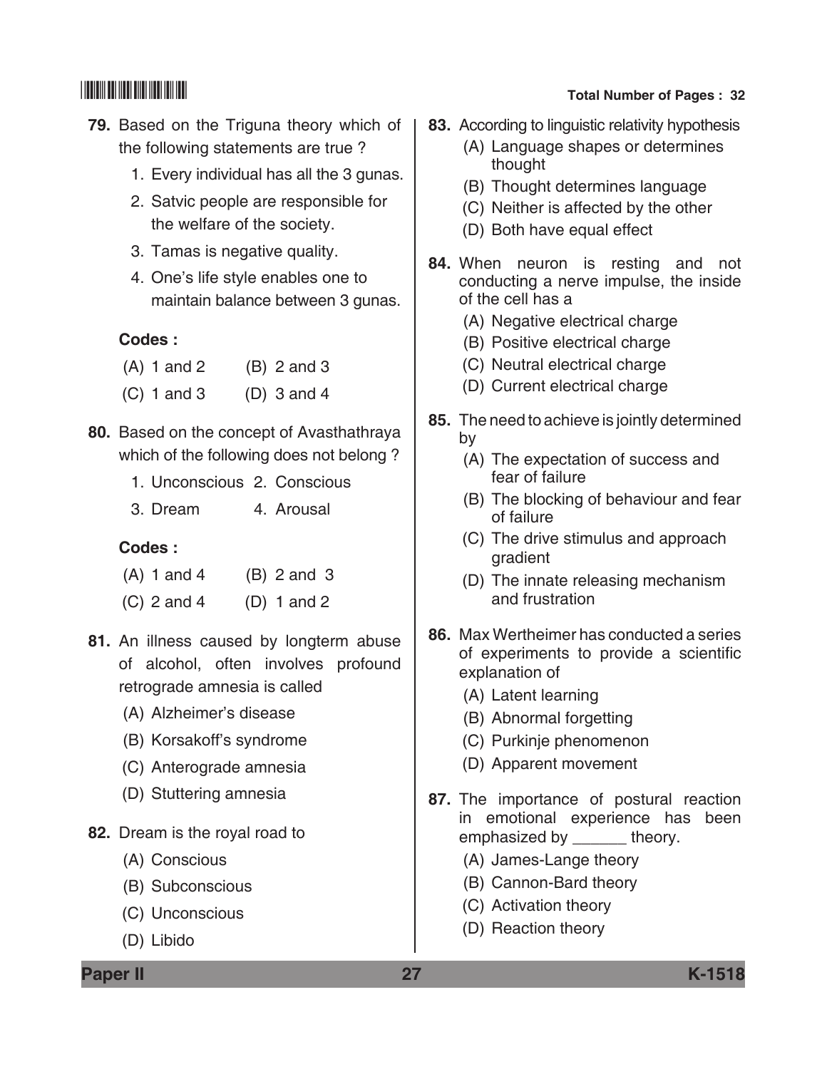- **79.** Based on the Triguna theory which of the following statements are true ?
	- 1. Every individual has all the 3 gunas.
	- 2. Satvic people are responsible for the welfare of the society.
	- 3. Tamas is negative quality.
	- 4. One's life style enables one to maintain balance between 3 gunas.

### **Codes :**

- $(A)$  1 and 2  $(B)$  2 and 3
- (C) 1 and 3 (D) 3 and 4
- **80.** Based on the concept of Avasthathraya which of the following does not belong ?
	- 1. Unconscious 2. Conscious
	- 3. Dream 4. Arousal

### **Codes :**

- $(A) 1$  and 4  $(B) 2$  and 3
- $(C)$  2 and 4  $(D)$  1 and 2
- **81.** An illness caused by longterm abuse of alcohol, often involves profound retrograde amnesia is called
	- (A) Alzheimer's disease
	- (B) Korsakoff's syndrome
	- (C) Anterograde amnesia
	- (D) Stuttering amnesia
- **82.** Dream is the royal road to
	- (A) Conscious
	- (B) Subconscious
	- (C) Unconscious
	- (D) Libido

- **83.** According to linguistic relativity hypothesis
	- (A) Language shapes or determines thought
	- (B) Thought determines language
	- (C) Neither is affected by the other
	- (D) Both have equal effect
- **84.** When neuron is resting and not conducting a nerve impulse, the inside of the cell has a
	- (A) Negative electrical charge
	- (B) Positive electrical charge
	- (C) Neutral electrical charge
	- (D) Current electrical charge
- **85.** The need to achieve is jointly determined by
	- (A) The expectation of success and fear of failure
	- (B) The blocking of behaviour and fear of failure
	- (C) The drive stimulus and approach gradient
	- (D) The innate releasing mechanism and frustration
- **86.** Max Wertheimer has conducted a series of experiments to provide a scientific explanation of
	- (A) Latent learning
	- (B) Abnormal forgetting
	- (C) Purkinje phenomenon
	- (D) Apparent movement
- **87.** The importance of postural reaction in emotional experience has been emphasized by \_\_\_\_\_\_\_ theory.
	- (A) James-Lange theory
	- (B) Cannon-Bard theory
	- (C) Activation theory
	- (D) Reaction theory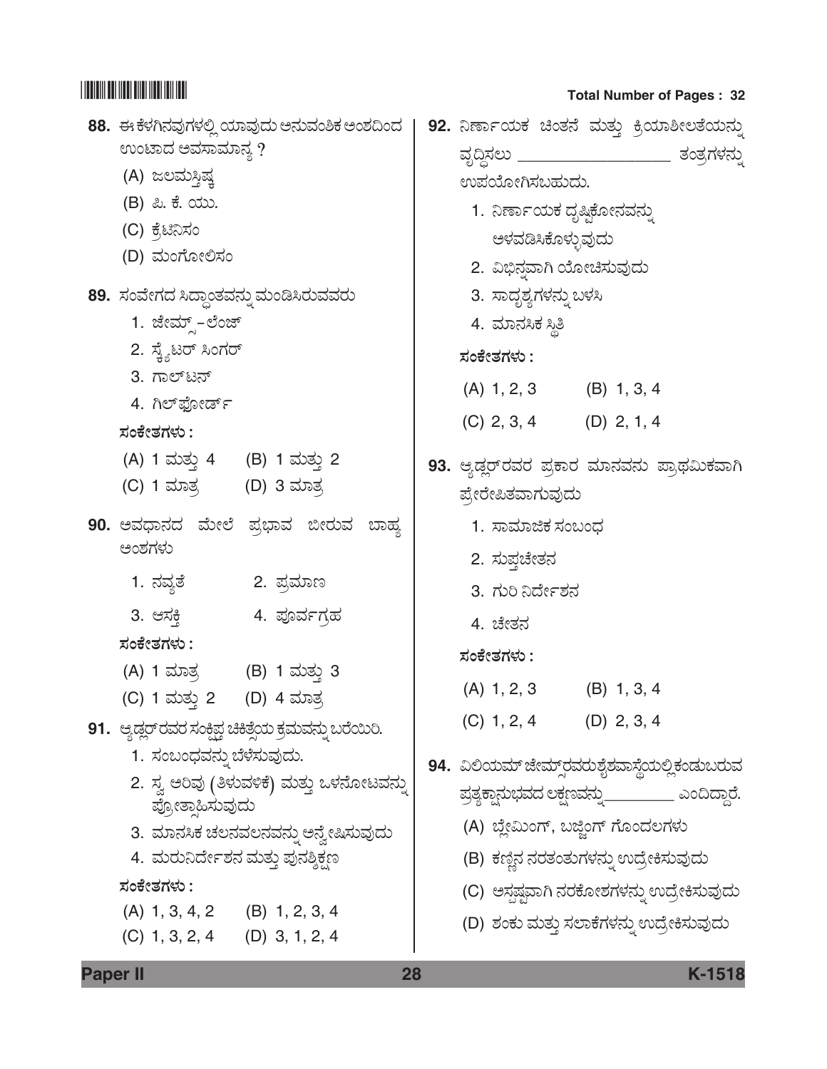| 88.  ಈ ಕೆಳಗಿನವುಗಳಲ್ಲಿ ಯಾವುದು ಅನುವಂಶಿಕ ಅಂಶದಿಂದ                      | 92. ನಿರ್ಣಾಯಕ ಚಿಂತನೆ ಮತ್ತು ಕ್ರಿಯಾಶೀಲತೆಯನ್ನು          |
|--------------------------------------------------------------------|-----------------------------------------------------|
| ಉಂಟಾದ ಅವಸಾಮಾನ್ಯ ?                                                  | <u>ವೃದ್ಧಿಸಲು ____________________</u> ತಂತ್ರಗಳನ್ನು   |
| (A) ಜಲಮಸ್ತಿಷ್ತ                                                     | ಉಪಯೋಗಿಸಬಹುದು.                                       |
| (B) ಪಿ. ಕೆ. ಯು.                                                    | 1. ನಿರ್ಣಾಯಕ ದೃಷ್ಟಿಕೋನವನ್ನು                          |
| (C) ಕ್ರೆಟಿನಿಸಂ                                                     | ಆಳವಡಿಸಿಕೊಳ್ಳುವುದು                                   |
| (D) ಮಂಗೋಲಿಸಂ                                                       | 2. ವಿಭಿನ್ನವಾಗಿ ಯೋಚಿಸುವುದು                           |
| 89.  ಸಂವೇಗದ ಸಿದ್ಧಾಂತವನ್ನು ಮಂಡಿಸಿರುವವರು                             | 3. ಸಾದೃಶ್ಯಗಳನ್ನು ಬಳಸಿ                               |
| 1. ಜೇಮ್ಸ್–ಲೆಂಜ್                                                    | 4. ಮಾನಸಿಕ ಸ್ಥಿತಿ                                    |
| 2. ಸ್ತೈಟರ್ ಸಿಂಗರ್                                                  | ಸಂಕೇತಗಳು :                                          |
| 3. ಗಾಲ್ಟನ್                                                         |                                                     |
| 4. ಗಿಲ್ಫೋರ್ಡ್                                                      | $(A)$ 1, 2, 3 $(B)$ 1, 3, 4                         |
| ಸಂಕೇತಗಳು :                                                         | $(C)$ 2, 3, 4 $(D)$ 2, 1, 4                         |
| (A) 1 ಮತ್ತು 4 (B) 1 ಮತ್ತು 2                                        | 93. ಆ್ಯಡ್ಲರ್ರವರ ಪ್ರಕಾರ ಮಾನವನು ಪ್ರಾಥಮಿಕವಾಗಿ          |
| (C) 1 ಮಾತ್ರ         (D) 3 ಮಾತ್ರ                                    | ಪ್ರೇರೇಪಿತವಾಗುವುದು                                   |
| 90. ಅವಧಾನದ ಮೇಲೆ ಪ್ರಭಾವ ಬೀರುವ ಬಾಹ್ಯ                                 | 1. ಸಾಮಾಜಿಕ ಸಂಬಂಧ                                    |
| ಅಂಶಗಳು                                                             | 2. ಸುಪ್ತಚೇತನ                                        |
| 1. ನವ್ಯತೆ<br>2. ಪ್ರಮಾಣ                                             | 3. ಗುರಿ ನಿರ್ದೇಶನ                                    |
| 3. ಆಸಕ್ತಿ<br>4. ಪೂರ್ವಗ್ರಹ                                          | <b>4. ಚೇತನ</b>                                      |
| ಸಂಕೇತಗಳು :                                                         | ಸಂಕೇತಗಳು :                                          |
| (A) 1 ಮಾತ್ರ         (B) 1 ಮತ್ತು 3                                  |                                                     |
| (C) 1 ಮತ್ತು 2 (D) 4 ಮಾತ್ರ                                          | $(A)$ 1, 2, 3 $(B)$ 1, 3, 4                         |
| 91. ಆ್ಯಡ್ಲರ್ ರವರ ಸಂಕ್ಷಿಪ್ತ ಚಿಕಿತ್ಸೆಯ ಕ್ರಮವನ್ನು ಬರೆಯಿರಿ.            | $(C)$ 1, 2, 4 $(D)$ 2, 3, 4                         |
| 1. ಸಂಬಂಧವನ್ನು ಬೆಳೆಸುವುದು.                                          | 94. ವಿಲಿಯಮ್ ಜೇಮ್ಸ್ರವರುಶೈಶವಾಸ್ಥೆಯಲ್ಲಿ ಕಂಡುಬರುವ       |
| 2. ಸ್ವ ಅರಿವು (ತಿಳುವಳಿಕೆ) ಮತ್ತು ಒಳನೋಟವನ್ನು                          | ಪ್ರತ್ಯಕ್ಷಾನುಭವದ ಲಕ್ಷಣವನ್ನು ____________ ಎಂದಿದ್ದಾರೆ. |
| ಪ್ರೋತ್ತಾಹಿಸುವುದು                                                   | (A) ಬ್ಲೇಮಿಂಗ್, ಬಜ್ಜಿಂಗ್ ಗೊಂದಲಗಳು                    |
| 3. ಮಾನಸಿಕ ಚಲನವಲನವನ್ನು ಅನ್ವೇಷಿಸುವುದು                                |                                                     |
| 4. ಮರುನಿರ್ದೇಶನ ಮತ್ತು ಪುನಶ್ಶಿಕ್ಷಣ                                   | (B) ಕಣ್ಣಿನ ನರತಂತುಗಳನ್ನು ಉದ್ರೇಕಿಸುವುದು               |
| ಸಂಕೇತಗಳು :                                                         | (C) ಅಸ್ಪಷ್ಟವಾಗಿ ನರಕೋಶಗಳನ್ನು ಉದ್ರೇಕಿಸುವುದು           |
| (A) 1, 3, 4, 2 (B) 1, 2, 3, 4<br>$(C)$ 1, 3, 2, 4 $(D)$ 3, 1, 2, 4 | (D) ಶಂಕು ಮತ್ತು ಸಲಾಕೆಗಳನ್ನು ಉದ್ರೇಕಿಸುವುದು            |
|                                                                    |                                                     |

**Paper II 28 K-1518**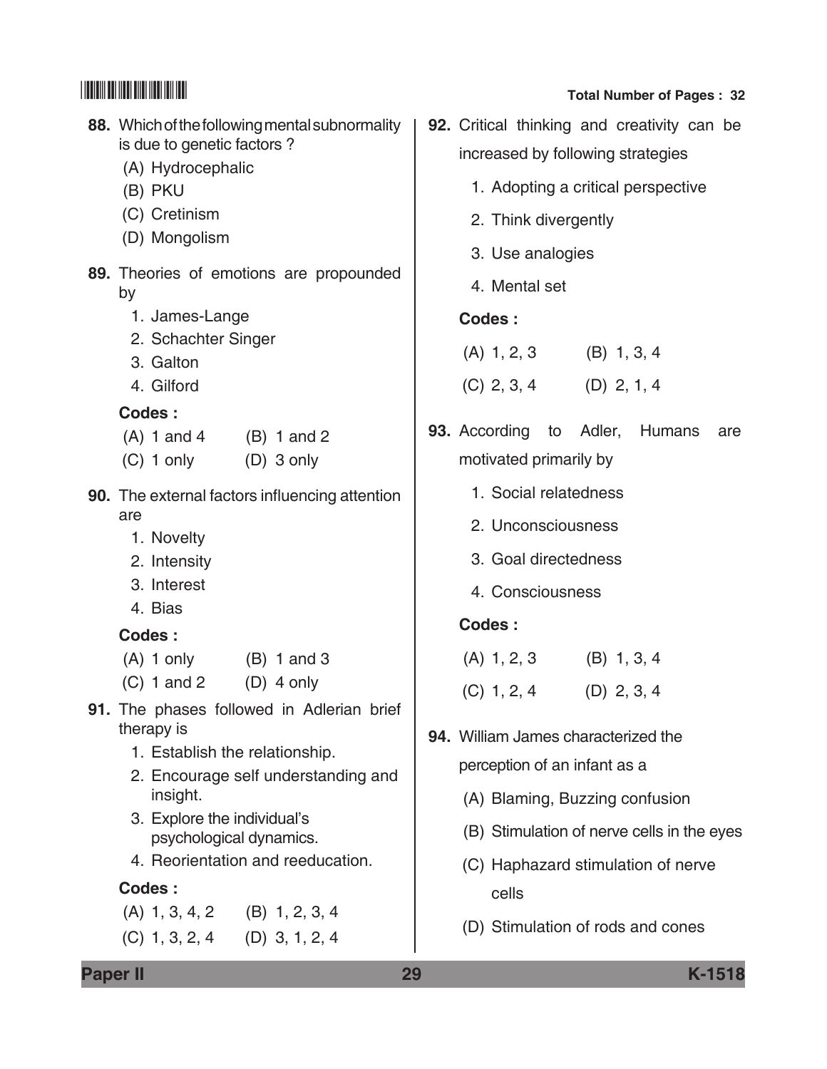#### **88.** Which of the following mental subnormality is due to genetic factors ? (A) Hydrocephalic (B) PKU (C) Cretinism (D) Mongolism **89.** Theories of emotions are propounded by 1. James-Lange 2. Schachter Singer 3. Galton 4. Gilford  **Codes :**  $(A) 1$  and  $( B) 1$  and  $( 2)$ (C) 1 only (D) 3 only **90.** The external factors influencing attention are 1. Novelty 2. Intensity 3. Interest 4. Bias **Codes :**  $(A)$  1 only  $(B)$  1 and 3  $(C)$  1 and 2  $(D)$  4 only **91.** The phases followed in Adlerian brief therapy is 1. Establish the relationship. 2. Encourage self understanding and insight. 3. Explore the individual's psychological dynamics. 4. Reorientation and reeducation. **Codes :** (A) 1, 3, 4, 2 (B) 1, 2, 3, 4 **92.** Critical thinking and creativity can be increased by following strategies 1. Adopting a critical perspective 2. Think divergently 3. Use analogies 4. Mental set **Codes :** (A) 1, 2, 3 (B) 1, 3, 4 (C) 2, 3, 4 (D) 2, 1, 4 **93.** According to Adler, Humans are motivated primarily by 1. Social relatedness 2. Unconsciousness 3. Goal directedness 4. Consciousness **Codes :** (A) 1, 2, 3 (B) 1, 3, 4 (C) 1, 2, 4 (D) 2, 3, 4 **94.** William James characterized the perception of an infant as a (A) Blaming, Buzzing confusion (B) Stimulation of nerve cells in the eyes (C) Haphazard stimulation of nerve cells

(D) Stimulation of rods and cones

**Paper II 29 K-1518**

(C) 1, 3, 2, 4 (D) 3, 1, 2, 4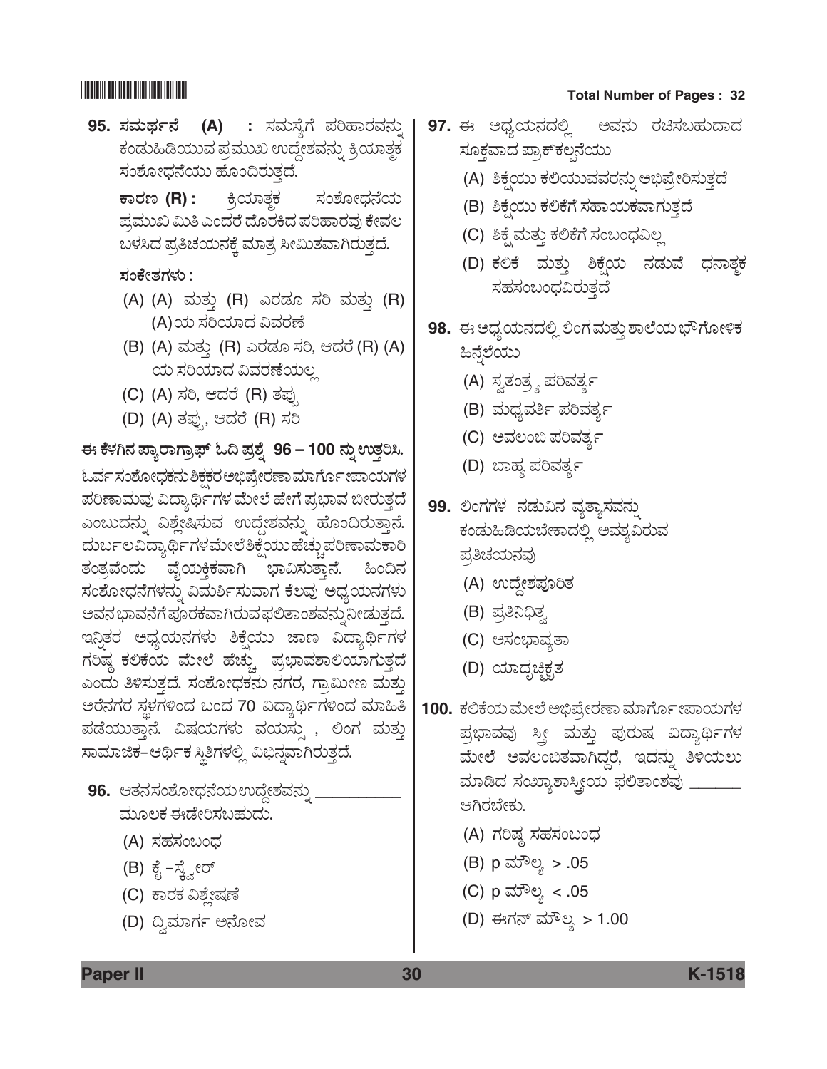95. ಸಮರ್ಥನೆ (A) : ಸಮಸ್ಯೆಗೆ ಪರಿಹಾರವನ್ನು ಕಂಡುಹಿಡಿಯುವ ಪ್ರಮುಖ ಉದ್ದೇಶವನ್ನು ಕ್ರಿಯಾತ್ಮಕ ಸಂಶೋಧನೆಯು ಹೊಂದಿರುತ್ತದೆ.

 $\overline{r}$ ಕಾರಣ (R) : ಕ್ರಿಯಾತ್<del>ಚ</del> ಸಂಶೋಧನೆಯ ಪ್ರಮುಖ ಮಿತಿ ಎಂದರೆ ದೊರಕಿದ ಪರಿಹಾರವು ಕೇವಲ ಬಳಸಿದ ಪ್ರತಿಚಯನಕ್ಕೆ ಮಾತ್ರ ಸೀಮಿತವಾಗಿರುತ್ತದೆ.

### *ÓÜíPæàñÜWÜÙÜá :*

- (A) (A) ಮತ್ತು (R) ಎರಡೂ ಸರಿ ಮತ್ತು (R) (A)ಯ ಸರಿಯಾದ ವಿವರಣೆ
- (B) (A) ಮತ್ತು (R) ಎರಡೂ ಸರಿ, ಆದರೆ (R) (A) ಯ ಸರಿಯಾದ ವಿವರಣೆಯಲ್ಲ
- (C) (A) ಸರಿ, ಆದರೆ (R) ತಪು
- (D) (A) ತಪ್ಪು, ಆದರೆ (R) ಸರಿ

<u>ಈ ಕೆಳಗಿನ ಪ್ಯಾರಾಗ್ರಾಫ್ ಓದಿ ಪ್ರಶ್ನೆ</u> 96 – 100 ನ್ನು ಉತ್ತರಿಸಿ. ಓರ್ವ ಸಂಶೋಧಕನು ಶಿಕ್ಷಕರ ಅಭಿಪ್ರೇರಣಾ ಮಾರ್ಗೊ ಚಾಯಗಳ ಪರಿಣಾಮವು ವಿದ್ಯಾರ್ಥಿಗಳ ಮೇಲೆ ಹೇಗೆ ಪ್ರಭಾವ ಬೀರುತ್ತದೆ ಎಂಬುದನ್ನು ವಿಶ್ಲೇಷಿಸುವ ಉದ್ದೇಶವನ್ನು ಹೊಂದಿರುತ್ತಾನೆ. ದುರ್ಬಲವಿದ್ಯಾರ್ಥಿಗಳಮೇಲೆಶಿಕ್ಷೆಯುಹೆಚ್ಚುಪರಿಣಾಮಕಾರಿ ತಂತ್ರವೆಂದು ವೈಯಕ್ತಿಕವಾಗಿ ಭಾವಿಸುತ್ತಾನೆ. ಹಿಂದಿನ ಸಂಶೋಧನೆಗಳನ್ನು ವಿಮರ್ಶಿಸುವಾಗ ಕೆಲವು ಅಧ್ಯಯನಗಳು ಅವನ ಭಾವನೆಗೆ ಪೂರಕವಾಗಿರುವ ಫಲಿತಾಂಶವನ್ನು ನೀಡುತ್ತದೆ. ಇನ್ನಿತರ ಅಧ್ಯಯನಗಳು ಶಿಕ್ಷೆಯು ಜಾಣ ವಿದ್ಯಾರ್ಥಿಗಳ ಗರಿಷ್ಠ ಕಲಿಕೆಯ ಮೇಲೆ ಹೆಚ್ಚು ಪ್ರಭಾವಶಾಲಿಯಾಗುತ್ತದೆ ಎಂದು ತಿಳಿಸುತ್ತದೆ. ಸಂಶೋಧಕನು ನಗರ, ಗ್ರಾಮೀಣ ಮತ್ತು ಅರೆನಗರ ಸ್ಥಳಗಳಿಂದ ಬಂದ 70 ವಿದ್ಯಾರ್ಥಿಗಳಿಂದ ಮಾಹಿತಿ ಪಡೆಯುತ್ತಾನೆ. ವಿಷಯಗಳು ವಯಸ್ಸು , ಲಿಂಗ ಮತ್ತು ಸಾಮಾಜಿಕ–ಆರ್ಥಿಕ ಸ್ಥಿತಿಗಳಲ್ಲಿ ವಿಭಿನ್ನವಾಗಿರುತ್ತದೆ.

- **96.** ಆತನಸಂಶೋಧನೆಯಉದ್ದೇಶವನ್ನು ಮೂಲಕ ಈಡೇರಿಸಬಹುದು.
	- (A) ಸಹಸಂಬಂಧ
	- (B) ಕೈ –ಸ್ತ್ವೇರ್
	- (C) ಕಾರಕ ವಿಶ್ಲೇಷಣೆ
	- (D) ದ್ವಿಮಾರ್ಗ ಅನೋವ

## \*K1518\* **Total Number of Pages : 32**

- **97.** ಈ ಅಧ್ಯಯನದಲ್ಲಿ ಅವನು ರಚಿಸಬಹುದಾದ ಸೂಕ್ತವಾದ ಪ್ರಾಕ್ ಕಲ್ಪನೆಯು
	- (A) ಶಿಕ್ಷೆಯು ಕಲಿಯುವವರನ್ನು ಅಭಿಪ್ರೇರಿಸುತ್ತದೆ
	- (B) ಶಿಕ್ಷೆಯು ಕಲಿಕೆಗೆ ಸಹಾಯಕವಾಗುತ್ತದೆ
	- (C) ಶಿಕ್ಷೆ ಮತ್ತು ಕಲಿಕೆಗೆ ಸಂಬಂಧವಿಲ್ಲ
	- (D) ಕಲಿಕೆ ಮತ್ತು ಶಿಕ್ಷೆಯ ನಡುವೆ ಧನಾತ್<del>ಚ</del> ಸಹಸಂಬಂಧವಿರುತ್ತದೆ
- 98. ಈ ಆಧ್ಯಯನದಲ್ಲಿ ಲಿಂಗ ಮತ್ತು ಶಾಲೆಯ ಭೌಗೋಳಿಕ ಹಿನ್ನೆಲೆಯು
	- (A) ಸ್ವತಂತ್ರ್ಯ ಪರಿವರ್ತ್ಯ
	- (B) ಮಧ್ಯವರ್ತಿ ಪರಿವರ್ತ್ಯ
	- (C) ಅವಲಂಬಿ ಪರಿವರ್ತ್ನ
	- (D) ಬಾಹ್ಯ ಪರಿವರ್ತ್ನ
- 99. ಲಿಂಗಗಳ ನಡುವಿನ ವ್ಯತ್ಯಾಸವನ್ನು ಕಂಡುಹಿಡಿಯಬೇಕಾದಲ್ಲಿ ಅವಶ್ಯವಿರುವ ಪ್ರತಿಚಯನವು
	- (A) ಉದ್ದೇಶಪೂರಿತ
	- (B) ಪ್ರತಿನಿಧಿತ್ನ
	- (C) ಅಸಂಭಾವ್ಯತಾ
	- (D) ಯಾದೃಚ್ಚಿಕೃತ

**100.** ಕಲಿಕೆಯ ಮೇಲೆ ಅಭಿಪ್ರೇರಣಾ ಮಾರ್ಗೋಪಾಯಗಳ <u>ಪ್ರಭಾವವು ಸ್ತ್ರೀ ಮತ್ತು ಪುರುಷ ವಿದ್ಯಾರ್ಥಿಗಳ</u> ಮೇಲೆ ಅವಲಂಬಿತವಾಗಿದ್ದರೆ, ಇದನ್ನು ತಿಳಿಯಲು ಮಾಡಿದ ಸಂಖ್ಯಾಶಾಸ್ತ್ರೀಯ ಫಲಿತಾಂಶವು \_ ಆಗಿರಬೇಕು.

- (A) ಗರಿಷ್ಠ ಸಹಸಂಬಂಧ
- (B) p ಮೌಲ್ಯ  $> .05$
- (C) p ಮೌಲ್ಯ < .05
- (D) ಈಗನ್ ಮೌಲ್ಯ > 1.00

**Paper II 30 K-1518**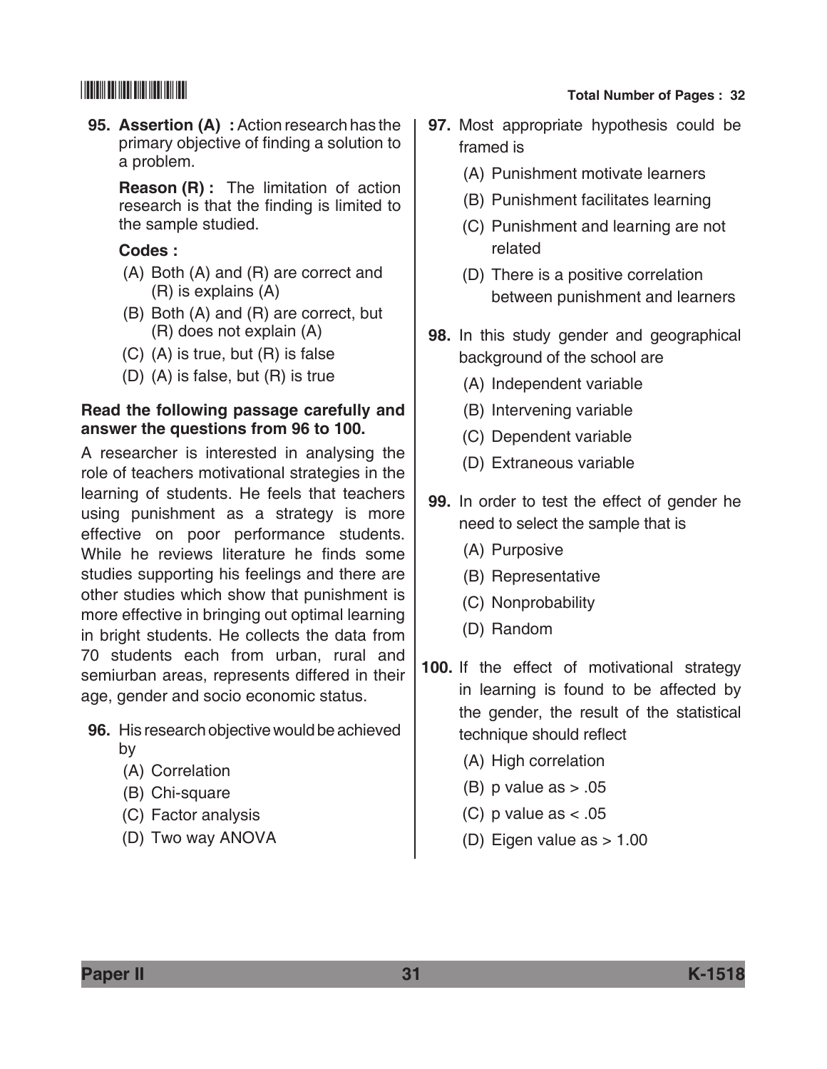**95. Assertion (A) :** Action research has the primary objective of finding a solution to a problem.

 **Reason (R) :** The limitation of action research is that the finding is limited to the sample studied.

#### **Codes :**

- (A) Both (A) and (R) are correct and (R) is explains (A)
- (B) Both (A) and (R) are correct, but (R) does not explain (A)
- (C) (A) is true, but (R) is false
- (D) (A) is false, but (R) is true

#### **Read the following passage carefully and answer the questions from 96 to 100.**

A researcher is interested in analysing the role of teachers motivational strategies in the learning of students. He feels that teachers using punishment as a strategy is more effective on poor performance students. While he reviews literature he finds some studies supporting his feelings and there are other studies which show that punishment is more effective in bringing out optimal learning in bright students. He collects the data from 70 students each from urban, rural and semiurban areas, represents differed in their age, gender and socio economic status.

- **96.** His research objective would be achieved by
	- (A) Correlation
	- (B) Chi-square
	- (C) Factor analysis
	- (D) Two way ANOVA

- **97.** Most appropriate hypothesis could be framed is
	- (A) Punishment motivate learners
	- (B) Punishment facilitates learning
	- (C) Punishment and learning are not related
	- (D) There is a positive correlation between punishment and learners
- **98.** In this study gender and geographical background of the school are
	- (A) Independent variable
	- (B) Intervening variable
	- (C) Dependent variable
	- (D) Extraneous variable
- **99.** In order to test the effect of gender he need to select the sample that is
	- (A) Purposive
	- (B) Representative
	- (C) Nonprobability
	- (D) Random
- **100.** If the effect of motivational strategy in learning is found to be affected by the gender, the result of the statistical technique should reflect
	- (A) High correlation
	- (B) p value as  $> .05$
	- (C) p value as  $< .05$
	- (D) Eigen value as  $> 1.00$